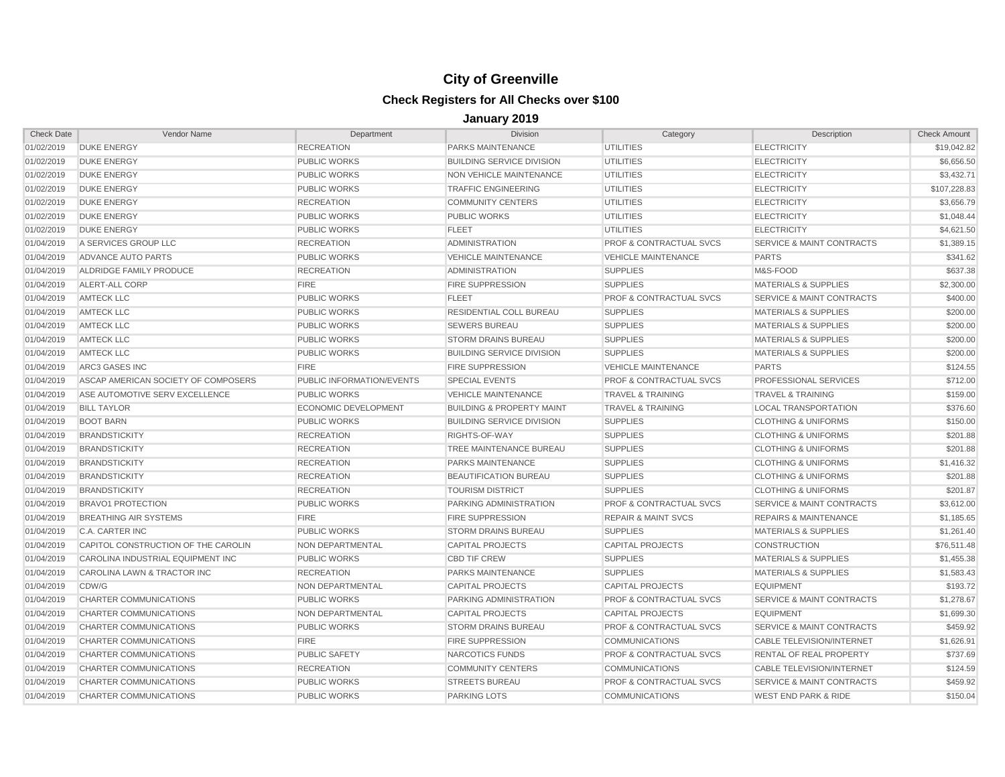| <b>Check Date</b> | Vendor Name                         | Department                | <b>Division</b>                      | Category                           | Description                          | <b>Check Amount</b> |
|-------------------|-------------------------------------|---------------------------|--------------------------------------|------------------------------------|--------------------------------------|---------------------|
| 01/02/2019        | <b>DUKE ENERGY</b>                  | <b>RECREATION</b>         | PARKS MAINTENANCE                    | <b>UTILITIES</b>                   | <b>ELECTRICITY</b>                   | \$19,042.82         |
| 01/02/2019        | <b>DUKE ENERGY</b>                  | PUBLIC WORKS              | <b>BUILDING SERVICE DIVISION</b>     | <b>UTILITIES</b>                   | <b>ELECTRICITY</b>                   | \$6.656.50          |
| 01/02/2019        | <b>DUKE ENERGY</b>                  | <b>PUBLIC WORKS</b>       | NON VEHICLE MAINTENANCE              | <b>UTILITIES</b>                   | <b>ELECTRICITY</b>                   | \$3,432.71          |
| 01/02/2019        | <b>DUKE ENERGY</b>                  | <b>PUBLIC WORKS</b>       | <b>TRAFFIC ENGINEERING</b>           | <b>UTILITIES</b>                   | <b>ELECTRICITY</b>                   | \$107,228.83        |
| 01/02/2019        | <b>DUKE ENERGY</b>                  | <b>RECREATION</b>         | <b>COMMUNITY CENTERS</b>             | <b>UTILITIES</b>                   | <b>ELECTRICITY</b>                   | \$3,656.79          |
| 01/02/2019        | <b>DUKE ENERGY</b>                  | <b>PUBLIC WORKS</b>       | <b>PUBLIC WORKS</b>                  | <b>UTILITIES</b>                   | <b>ELECTRICITY</b>                   | \$1,048.44          |
| 01/02/2019        | <b>DUKE ENERGY</b>                  | <b>PUBLIC WORKS</b>       | <b>FLEET</b>                         | <b>UTILITIES</b>                   | <b>ELECTRICITY</b>                   | \$4,621.50          |
| 01/04/2019        | A SERVICES GROUP LLC                | <b>RECREATION</b>         | <b>ADMINISTRATION</b>                | PROF & CONTRACTUAL SVCS            | <b>SERVICE &amp; MAINT CONTRACTS</b> | \$1,389.15          |
| 01/04/2019        | ADVANCE AUTO PARTS                  | <b>PUBLIC WORKS</b>       | <b>VEHICLE MAINTENANCE</b>           | <b>VEHICLE MAINTENANCE</b>         | <b>PARTS</b>                         | \$341.62            |
| 01/04/2019        | ALDRIDGE FAMILY PRODUCE             | <b>RECREATION</b>         | <b>ADMINISTRATION</b>                | <b>SUPPLIES</b>                    | M&S-FOOD                             | \$637.38            |
| 01/04/2019        | ALERT-ALL CORP                      | <b>FIRE</b>               | <b>FIRE SUPPRESSION</b>              | <b>SUPPLIES</b>                    | <b>MATERIALS &amp; SUPPLIES</b>      | \$2,300.00          |
| 01/04/2019        | <b>AMTECK LLC</b>                   | <b>PUBLIC WORKS</b>       | <b>FLEET</b>                         | <b>PROF &amp; CONTRACTUAL SVCS</b> | SERVICE & MAINT CONTRACTS            | \$400.00            |
| 01/04/2019        | <b>AMTECK LLC</b>                   | <b>PUBLIC WORKS</b>       | RESIDENTIAL COLL BUREAU              | <b>SUPPLIES</b>                    | <b>MATERIALS &amp; SUPPLIES</b>      | \$200.00            |
| 01/04/2019        | <b>AMTECK LLC</b>                   | <b>PUBLIC WORKS</b>       | <b>SEWERS BUREAU</b>                 | <b>SUPPLIES</b>                    | <b>MATERIALS &amp; SUPPLIES</b>      | \$200.00            |
| 01/04/2019        | <b>AMTECK LLC</b>                   | <b>PUBLIC WORKS</b>       | <b>STORM DRAINS BUREAU</b>           | <b>SUPPLIES</b>                    | <b>MATERIALS &amp; SUPPLIES</b>      | \$200.00            |
| 01/04/2019        | <b>AMTECK LLC</b>                   | <b>PUBLIC WORKS</b>       | <b>BUILDING SERVICE DIVISION</b>     | <b>SUPPLIES</b>                    | <b>MATERIALS &amp; SUPPLIES</b>      | \$200.00            |
| 01/04/2019        | <b>ARC3 GASES INC</b>               | <b>FIRE</b>               | <b>FIRE SUPPRESSION</b>              | <b>VEHICLE MAINTENANCE</b>         | <b>PARTS</b>                         | \$124.55            |
| 01/04/2019        | ASCAP AMERICAN SOCIETY OF COMPOSERS | PUBLIC INFORMATION/EVENTS | <b>SPECIAL EVENTS</b>                | <b>PROF &amp; CONTRACTUAL SVCS</b> | PROFESSIONAL SERVICES                | \$712.00            |
| 01/04/2019        | ASE AUTOMOTIVE SERV EXCELLENCE      | <b>PUBLIC WORKS</b>       | <b>VEHICLE MAINTENANCE</b>           | <b>TRAVEL &amp; TRAINING</b>       | <b>TRAVEL &amp; TRAINING</b>         | \$159.00            |
| 01/04/2019        | <b>BILL TAYLOR</b>                  | ECONOMIC DEVELOPMENT      | <b>BUILDING &amp; PROPERTY MAINT</b> | <b>TRAVEL &amp; TRAINING</b>       | <b>LOCAL TRANSPORTATION</b>          | \$376.60            |
| 01/04/2019        | <b>BOOT BARN</b>                    | <b>PUBLIC WORKS</b>       | <b>BUILDING SERVICE DIVISION</b>     | <b>SUPPLIES</b>                    | <b>CLOTHING &amp; UNIFORMS</b>       | \$150.00            |
| 01/04/2019        | <b>BRANDSTICKITY</b>                | <b>RECREATION</b>         | RIGHTS-OF-WAY                        | <b>SUPPLIES</b>                    | <b>CLOTHING &amp; UNIFORMS</b>       | \$201.88            |
| 01/04/2019        | <b>BRANDSTICKITY</b>                | <b>RECREATION</b>         | TREE MAINTENANCE BUREAU              | <b>SUPPLIES</b>                    | <b>CLOTHING &amp; UNIFORMS</b>       | \$201.88            |
| 01/04/2019        | <b>BRANDSTICKITY</b>                | <b>RECREATION</b>         | PARKS MAINTENANCE                    | <b>SUPPLIES</b>                    | <b>CLOTHING &amp; UNIFORMS</b>       | \$1,416.32          |
| 01/04/2019        | <b>BRANDSTICKITY</b>                | <b>RECREATION</b>         | <b>BEAUTIFICATION BUREAU</b>         | <b>SUPPLIES</b>                    | <b>CLOTHING &amp; UNIFORMS</b>       | \$201.88            |
| 01/04/2019        | <b>BRANDSTICKITY</b>                | <b>RECREATION</b>         | <b>TOURISM DISTRICT</b>              | <b>SUPPLIES</b>                    | <b>CLOTHING &amp; UNIFORMS</b>       | \$201.87            |
| 01/04/2019        | <b>BRAVO1 PROTECTION</b>            | <b>PUBLIC WORKS</b>       | PARKING ADMINISTRATION               | <b>PROF &amp; CONTRACTUAL SVCS</b> | SERVICE & MAINT CONTRACTS            | \$3,612.00          |
| 01/04/2019        | <b>BREATHING AIR SYSTEMS</b>        | <b>FIRE</b>               | <b>FIRE SUPPRESSION</b>              | <b>REPAIR &amp; MAINT SVCS</b>     | <b>REPAIRS &amp; MAINTENANCE</b>     | \$1,185.65          |
| 01/04/2019        | <b>C.A. CARTER INC</b>              | <b>PUBLIC WORKS</b>       | <b>STORM DRAINS BUREAU</b>           | <b>SUPPLIES</b>                    | <b>MATERIALS &amp; SUPPLIES</b>      | \$1,261.40          |
| 01/04/2019        | CAPITOL CONSTRUCTION OF THE CAROLIN | NON DEPARTMENTAL          | <b>CAPITAL PROJECTS</b>              | <b>CAPITAL PROJECTS</b>            | <b>CONSTRUCTION</b>                  | \$76,511.48         |
| 01/04/2019        | CAROLINA INDUSTRIAL EQUIPMENT INC   | <b>PUBLIC WORKS</b>       | <b>CBD TIF CREW</b>                  | <b>SUPPLIES</b>                    | <b>MATERIALS &amp; SUPPLIES</b>      | \$1,455.38          |
| 01/04/2019        | CAROLINA LAWN & TRACTOR INC         | <b>RECREATION</b>         | <b>PARKS MAINTENANCE</b>             | <b>SUPPLIES</b>                    | <b>MATERIALS &amp; SUPPLIES</b>      | \$1,583.43          |
| 01/04/2019        | CDW/G                               | NON DEPARTMENTAL          | <b>CAPITAL PROJECTS</b>              | <b>CAPITAL PROJECTS</b>            | <b>EQUIPMENT</b>                     | \$193.72            |
| 01/04/2019        | CHARTER COMMUNICATIONS              | <b>PUBLIC WORKS</b>       | PARKING ADMINISTRATION               | <b>PROF &amp; CONTRACTUAL SVCS</b> | SERVICE & MAINT CONTRACTS            | \$1,278.67          |
| 01/04/2019        | CHARTER COMMUNICATIONS              | NON DEPARTMENTAL          | <b>CAPITAL PROJECTS</b>              | <b>CAPITAL PROJECTS</b>            | <b>EQUIPMENT</b>                     | \$1,699.30          |
| 01/04/2019        | CHARTER COMMUNICATIONS              | <b>PUBLIC WORKS</b>       | STORM DRAINS BUREAU                  | <b>PROF &amp; CONTRACTUAL SVCS</b> | SERVICE & MAINT CONTRACTS            | \$459.92            |
| 01/04/2019        | CHARTER COMMUNICATIONS              | <b>FIRE</b>               | <b>FIRE SUPPRESSION</b>              | <b>COMMUNICATIONS</b>              | <b>CABLE TELEVISION/INTERNET</b>     | \$1,626.91          |
| 01/04/2019        | CHARTER COMMUNICATIONS              | <b>PUBLIC SAFETY</b>      | NARCOTICS FUNDS                      | <b>PROF &amp; CONTRACTUAL SVCS</b> | RENTAL OF REAL PROPERTY              | \$737.69            |
| 01/04/2019        | CHARTER COMMUNICATIONS              | <b>RECREATION</b>         | <b>COMMUNITY CENTERS</b>             | <b>COMMUNICATIONS</b>              | <b>CABLE TELEVISION/INTERNET</b>     | \$124.59            |
| 01/04/2019        | CHARTER COMMUNICATIONS              | <b>PUBLIC WORKS</b>       | <b>STREETS BUREAU</b>                | <b>PROF &amp; CONTRACTUAL SVCS</b> | SERVICE & MAINT CONTRACTS            | \$459.92            |
| 01/04/2019        | CHARTER COMMUNICATIONS              | <b>PUBLIC WORKS</b>       | <b>PARKING LOTS</b>                  | <b>COMMUNICATIONS</b>              | <b>WEST END PARK &amp; RIDE</b>      | \$150.04            |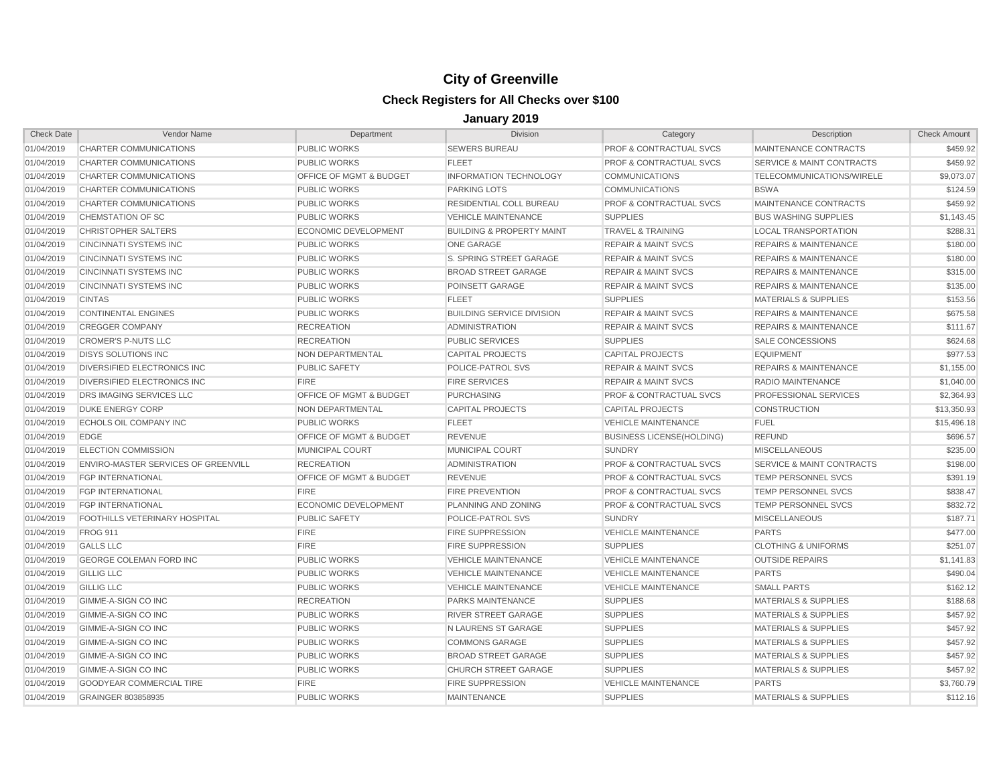| <b>Check Date</b> | Vendor Name                          | Department                         | <b>Division</b>                      | Category                           | Description                          | <b>Check Amount</b> |
|-------------------|--------------------------------------|------------------------------------|--------------------------------------|------------------------------------|--------------------------------------|---------------------|
| 01/04/2019        | CHARTER COMMUNICATIONS               | <b>PUBLIC WORKS</b>                | <b>SEWERS BUREAU</b>                 | <b>PROF &amp; CONTRACTUAL SVCS</b> | MAINTENANCE CONTRACTS                | \$459.92            |
| 01/04/2019        | CHARTER COMMUNICATIONS               | <b>PUBLIC WORKS</b>                | <b>FLEET</b>                         | <b>PROF &amp; CONTRACTUAL SVCS</b> | SERVICE & MAINT CONTRACTS            | \$459.92            |
| 01/04/2019        | CHARTER COMMUNICATIONS               | <b>OFFICE OF MGMT &amp; BUDGET</b> | <b>INFORMATION TECHNOLOGY</b>        | <b>COMMUNICATIONS</b>              | TELECOMMUNICATIONS/WIRELE            | \$9,073.07          |
| 01/04/2019        | CHARTER COMMUNICATIONS               | PUBLIC WORKS                       | <b>PARKING LOTS</b>                  | <b>COMMUNICATIONS</b>              | <b>BSWA</b>                          | \$124.59            |
| 01/04/2019        | <b>CHARTER COMMUNICATIONS</b>        | PUBLIC WORKS                       | RESIDENTIAL COLL BUREAU              | <b>PROF &amp; CONTRACTUAL SVCS</b> | <b>MAINTENANCE CONTRACTS</b>         | \$459.92            |
| 01/04/2019        | CHEMSTATION OF SC                    | <b>PUBLIC WORKS</b>                | <b>VEHICLE MAINTENANCE</b>           | <b>SUPPLIES</b>                    | <b>BUS WASHING SUPPLIES</b>          | \$1,143.45          |
| 01/04/2019        | <b>CHRISTOPHER SALTERS</b>           | ECONOMIC DEVELOPMENT               | <b>BUILDING &amp; PROPERTY MAINT</b> | <b>TRAVEL &amp; TRAINING</b>       | LOCAL TRANSPORTATION                 | \$288.31            |
| 01/04/2019        | <b>CINCINNATI SYSTEMS INC</b>        | <b>PUBLIC WORKS</b>                | <b>ONE GARAGE</b>                    | <b>REPAIR &amp; MAINT SVCS</b>     | <b>REPAIRS &amp; MAINTENANCE</b>     | \$180.00            |
| 01/04/2019        | <b>CINCINNATI SYSTEMS INC</b>        | PUBLIC WORKS                       | S. SPRING STREET GARAGE              | <b>REPAIR &amp; MAINT SVCS</b>     | <b>REPAIRS &amp; MAINTENANCE</b>     | \$180.00            |
| 01/04/2019        | <b>CINCINNATI SYSTEMS INC</b>        | <b>PUBLIC WORKS</b>                | <b>BROAD STREET GARAGE</b>           | <b>REPAIR &amp; MAINT SVCS</b>     | <b>REPAIRS &amp; MAINTENANCE</b>     | \$315.00            |
| 01/04/2019        | <b>CINCINNATI SYSTEMS INC.</b>       | <b>PUBLIC WORKS</b>                | POINSETT GARAGE                      | <b>REPAIR &amp; MAINT SVCS</b>     | <b>REPAIRS &amp; MAINTENANCE</b>     | \$135.00            |
| 01/04/2019        | <b>CINTAS</b>                        | <b>PUBLIC WORKS</b>                | <b>FLEET</b>                         | <b>SUPPLIES</b>                    | <b>MATERIALS &amp; SUPPLIES</b>      | \$153.56            |
| 01/04/2019        | <b>CONTINENTAL ENGINES</b>           | <b>PUBLIC WORKS</b>                | <b>BUILDING SERVICE DIVISION</b>     | <b>REPAIR &amp; MAINT SVCS</b>     | <b>REPAIRS &amp; MAINTENANCE</b>     | \$675.58            |
| 01/04/2019        | <b>CREGGER COMPANY</b>               | <b>RECREATION</b>                  | <b>ADMINISTRATION</b>                | <b>REPAIR &amp; MAINT SVCS</b>     | <b>REPAIRS &amp; MAINTENANCE</b>     | \$111.67            |
| 01/04/2019        | <b>CROMER'S P-NUTS LLC</b>           | <b>RECREATION</b>                  | <b>PUBLIC SERVICES</b>               | <b>SUPPLIES</b>                    | <b>SALE CONCESSIONS</b>              | \$624.68            |
| 01/04/2019        | <b>DISYS SOLUTIONS INC</b>           | NON DEPARTMENTAL                   | <b>CAPITAL PROJECTS</b>              | <b>CAPITAL PROJECTS</b>            | <b>EQUIPMENT</b>                     | \$977.53            |
| 01/04/2019        | DIVERSIFIED ELECTRONICS INC          | <b>PUBLIC SAFETY</b>               | <b>POLICE-PATROL SVS</b>             | <b>REPAIR &amp; MAINT SVCS</b>     | <b>REPAIRS &amp; MAINTENANCE</b>     | \$1,155.00          |
| 01/04/2019        | DIVERSIFIED ELECTRONICS INC          | <b>FIRE</b>                        | <b>FIRE SERVICES</b>                 | <b>REPAIR &amp; MAINT SVCS</b>     | <b>RADIO MAINTENANCE</b>             | \$1,040.00          |
| 01/04/2019        | DRS IMAGING SERVICES LLC             | OFFICE OF MGMT & BUDGET            | <b>PURCHASING</b>                    | <b>PROF &amp; CONTRACTUAL SVCS</b> | PROFESSIONAL SERVICES                | \$2,364.93          |
| 01/04/2019        | DUKE ENERGY CORP                     | NON DEPARTMENTAL                   | <b>CAPITAL PROJECTS</b>              | <b>CAPITAL PROJECTS</b>            | <b>CONSTRUCTION</b>                  | \$13,350.93         |
| 01/04/2019        | ECHOLS OIL COMPANY INC               | <b>PUBLIC WORKS</b>                | <b>FLEET</b>                         | <b>VEHICLE MAINTENANCE</b>         | <b>FUEL</b>                          | \$15,496.18         |
| 01/04/2019        | <b>EDGE</b>                          | OFFICE OF MGMT & BUDGET            | <b>REVENUE</b>                       | <b>BUSINESS LICENSE(HOLDING)</b>   | <b>REFUND</b>                        | \$696.57            |
| 01/04/2019        | <b>ELECTION COMMISSION</b>           | <b>MUNICIPAL COURT</b>             | MUNICIPAL COURT                      | <b>SUNDRY</b>                      | <b>MISCELLANEOUS</b>                 | \$235.00            |
| 01/04/2019        | ENVIRO-MASTER SERVICES OF GREENVILL  | <b>RECREATION</b>                  | <b>ADMINISTRATION</b>                | <b>PROF &amp; CONTRACTUAL SVCS</b> | <b>SERVICE &amp; MAINT CONTRACTS</b> | \$198.00            |
| 01/04/2019        | <b>FGP INTERNATIONAL</b>             | OFFICE OF MGMT & BUDGET            | <b>REVENUE</b>                       | <b>PROF &amp; CONTRACTUAL SVCS</b> | <b>TEMP PERSONNEL SVCS</b>           | \$391.19            |
| 01/04/2019        | <b>FGP INTERNATIONAL</b>             | <b>FIRE</b>                        | <b>FIRE PREVENTION</b>               | <b>PROF &amp; CONTRACTUAL SVCS</b> | <b>TEMP PERSONNEL SVCS</b>           | \$838.47            |
| 01/04/2019        | <b>FGP INTERNATIONAL</b>             | <b>ECONOMIC DEVELOPMENT</b>        | PLANNING AND ZONING                  | <b>PROF &amp; CONTRACTUAL SVCS</b> | <b>TEMP PERSONNEL SVCS</b>           | \$832.72            |
| 01/04/2019        | <b>FOOTHILLS VETERINARY HOSPITAL</b> | PUBLIC SAFETY                      | POLICE-PATROL SVS                    | <b>SUNDRY</b>                      | <b>MISCELLANEOUS</b>                 | \$187.71            |
| 01/04/2019        | <b>FROG 911</b>                      | <b>FIRE</b>                        | FIRE SUPPRESSION                     | <b>VEHICLE MAINTENANCE</b>         | <b>PARTS</b>                         | \$477.00            |
| 01/04/2019        | <b>GALLS LLC</b>                     | <b>FIRE</b>                        | <b>FIRE SUPPRESSION</b>              | <b>SUPPLIES</b>                    | <b>CLOTHING &amp; UNIFORMS</b>       | \$251.07            |
| 01/04/2019        | <b>GEORGE COLEMAN FORD INC</b>       | <b>PUBLIC WORKS</b>                | <b>VEHICLE MAINTENANCE</b>           | <b>VEHICLE MAINTENANCE</b>         | <b>OUTSIDE REPAIRS</b>               | \$1,141.83          |
| 01/04/2019        | <b>GILLIG LLC</b>                    | <b>PUBLIC WORKS</b>                | <b>VEHICLE MAINTENANCE</b>           | <b>VEHICLE MAINTENANCE</b>         | <b>PARTS</b>                         | \$490.04            |
| 01/04/2019        | <b>GILLIG LLC</b>                    | <b>PUBLIC WORKS</b>                | <b>VEHICLE MAINTENANCE</b>           | <b>VEHICLE MAINTENANCE</b>         | <b>SMALL PARTS</b>                   | \$162.12            |
| 01/04/2019        | GIMME-A-SIGN CO INC                  | <b>RECREATION</b>                  | <b>PARKS MAINTENANCE</b>             | <b>SUPPLIES</b>                    | <b>MATERIALS &amp; SUPPLIES</b>      | \$188.68            |
| 01/04/2019        | GIMME-A-SIGN CO INC                  | <b>PUBLIC WORKS</b>                | <b>RIVER STREET GARAGE</b>           | <b>SUPPLIES</b>                    | <b>MATERIALS &amp; SUPPLIES</b>      | \$457.92            |
| 01/04/2019        | GIMME-A-SIGN CO INC                  | <b>PUBLIC WORKS</b>                | N LAURENS ST GARAGE                  | <b>SUPPLIES</b>                    | <b>MATERIALS &amp; SUPPLIES</b>      | \$457.92            |
| 01/04/2019        | GIMME-A-SIGN CO INC                  | <b>PUBLIC WORKS</b>                | <b>COMMONS GARAGE</b>                | <b>SUPPLIES</b>                    | <b>MATERIALS &amp; SUPPLIES</b>      | \$457.92            |
| 01/04/2019        | GIMME-A-SIGN CO INC                  | <b>PUBLIC WORKS</b>                | <b>BROAD STREET GARAGE</b>           | <b>SUPPLIES</b>                    | <b>MATERIALS &amp; SUPPLIES</b>      | \$457.92            |
| 01/04/2019        | GIMME-A-SIGN CO INC                  | <b>PUBLIC WORKS</b>                | <b>CHURCH STREET GARAGE</b>          | <b>SUPPLIES</b>                    | <b>MATERIALS &amp; SUPPLIES</b>      | \$457.92            |
| 01/04/2019        | <b>GOODYEAR COMMERCIAL TIRE</b>      | <b>FIRE</b>                        | <b>FIRE SUPPRESSION</b>              | <b>VEHICLE MAINTENANCE</b>         | <b>PARTS</b>                         | \$3,760.79          |
| 01/04/2019        | GRAINGER 803858935                   | <b>PUBLIC WORKS</b>                | <b>MAINTENANCE</b>                   | <b>SUPPLIES</b>                    | <b>MATERIALS &amp; SUPPLIES</b>      | \$112.16            |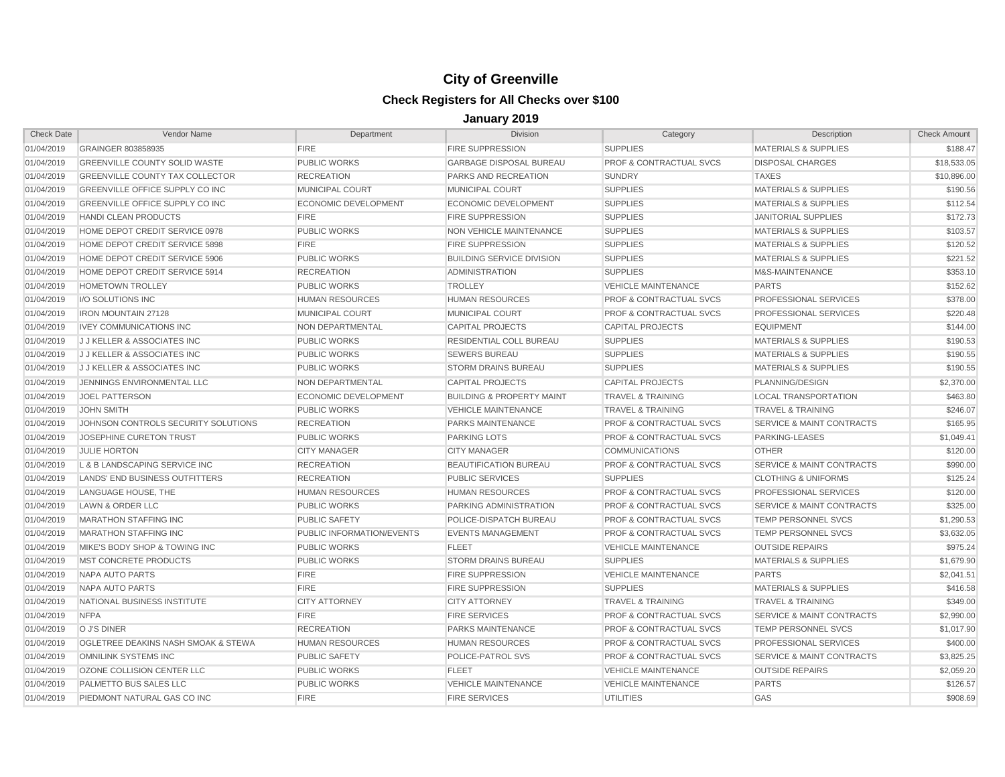| <b>Check Date</b> | Vendor Name                            | Department                  | <b>Division</b>                      | Category                           | Description                          | <b>Check Amount</b> |
|-------------------|----------------------------------------|-----------------------------|--------------------------------------|------------------------------------|--------------------------------------|---------------------|
| 01/04/2019        | GRAINGER 803858935                     | <b>FIRE</b>                 | <b>FIRE SUPPRESSION</b>              | <b>SUPPLIES</b>                    | <b>MATERIALS &amp; SUPPLIES</b>      | \$188.47            |
| 01/04/2019        | <b>GREENVILLE COUNTY SOLID WASTE</b>   | PUBLIC WORKS                | <b>GARBAGE DISPOSAL BUREAU</b>       | <b>PROF &amp; CONTRACTUAL SVCS</b> | <b>DISPOSAL CHARGES</b>              | \$18,533.05         |
| 01/04/2019        | <b>GREENVILLE COUNTY TAX COLLECTOR</b> | <b>RECREATION</b>           | PARKS AND RECREATION                 | <b>SUNDRY</b>                      | <b>TAXES</b>                         | \$10,896.00         |
| 01/04/2019        | <b>GREENVILLE OFFICE SUPPLY CO INC</b> | <b>MUNICIPAL COURT</b>      | <b>MUNICIPAL COURT</b>               | <b>SUPPLIES</b>                    | <b>MATERIALS &amp; SUPPLIES</b>      | \$190.56            |
| 01/04/2019        | GREENVILLE OFFICE SUPPLY CO INC        | <b>ECONOMIC DEVELOPMENT</b> | <b>ECONOMIC DEVELOPMENT</b>          | <b>SUPPLIES</b>                    | <b>MATERIALS &amp; SUPPLIES</b>      | \$112.54            |
| 01/04/2019        | <b>HANDI CLEAN PRODUCTS</b>            | <b>FIRE</b>                 | <b>FIRE SUPPRESSION</b>              | <b>SUPPLIES</b>                    | <b>JANITORIAL SUPPLIES</b>           | \$172.73            |
| 01/04/2019        | HOME DEPOT CREDIT SERVICE 0978         | <b>PUBLIC WORKS</b>         | NON VEHICLE MAINTENANCE              | <b>SUPPLIES</b>                    | <b>MATERIALS &amp; SUPPLIES</b>      | \$103.57            |
| 01/04/2019        | HOME DEPOT CREDIT SERVICE 5898         | <b>FIRE</b>                 | <b>FIRE SUPPRESSION</b>              | <b>SUPPLIES</b>                    | <b>MATERIALS &amp; SUPPLIES</b>      | \$120.52            |
| 01/04/2019        | HOME DEPOT CREDIT SERVICE 5906         | <b>PUBLIC WORKS</b>         | <b>BUILDING SERVICE DIVISION</b>     | <b>SUPPLIES</b>                    | <b>MATERIALS &amp; SUPPLIES</b>      | \$221.52            |
| 01/04/2019        | HOME DEPOT CREDIT SERVICE 5914         | <b>RECREATION</b>           | <b>ADMINISTRATION</b>                | <b>SUPPLIES</b>                    | M&S-MAINTENANCE                      | \$353.10            |
| 01/04/2019        | <b>HOMETOWN TROLLEY</b>                | <b>PUBLIC WORKS</b>         | <b>TROLLEY</b>                       | <b>VEHICLE MAINTENANCE</b>         | <b>PARTS</b>                         | \$152.62            |
| 01/04/2019        | I/O SOLUTIONS INC                      | <b>HUMAN RESOURCES</b>      | <b>HUMAN RESOURCES</b>               | <b>PROF &amp; CONTRACTUAL SVCS</b> | PROFESSIONAL SERVICES                | \$378.00            |
| 01/04/2019        | <b>IRON MOUNTAIN 27128</b>             | <b>MUNICIPAL COURT</b>      | MUNICIPAL COURT                      | <b>PROF &amp; CONTRACTUAL SVCS</b> | PROFESSIONAL SERVICES                | \$220.48            |
| 01/04/2019        | <b>IVEY COMMUNICATIONS INC</b>         | NON DEPARTMENTAL            | <b>CAPITAL PROJECTS</b>              | <b>CAPITAL PROJECTS</b>            | <b>EQUIPMENT</b>                     | \$144.00            |
| 01/04/2019        | <b>J J KELLER &amp; ASSOCIATES INC</b> | <b>PUBLIC WORKS</b>         | <b>RESIDENTIAL COLL BUREAU</b>       | <b>SUPPLIES</b>                    | <b>MATERIALS &amp; SUPPLIES</b>      | \$190.53            |
| 01/04/2019        | <b>J J KELLER &amp; ASSOCIATES INC</b> | PUBLIC WORKS                | <b>SEWERS BUREAU</b>                 | <b>SUPPLIES</b>                    | <b>MATERIALS &amp; SUPPLIES</b>      | \$190.55            |
| 01/04/2019        | <b>J J KELLER &amp; ASSOCIATES INC</b> | <b>PUBLIC WORKS</b>         | <b>STORM DRAINS BUREAU</b>           | <b>SUPPLIES</b>                    | <b>MATERIALS &amp; SUPPLIES</b>      | \$190.55            |
| 01/04/2019        | JENNINGS ENVIRONMENTAL LLC             | NON DEPARTMENTAL            | <b>CAPITAL PROJECTS</b>              | <b>CAPITAL PROJECTS</b>            | PLANNING/DESIGN                      | \$2,370.00          |
| 01/04/2019        | <b>JOEL PATTERSON</b>                  | <b>ECONOMIC DEVELOPMENT</b> | <b>BUILDING &amp; PROPERTY MAINT</b> | <b>TRAVEL &amp; TRAINING</b>       | <b>LOCAL TRANSPORTATION</b>          | \$463.80            |
| 01/04/2019        | <b>JOHN SMITH</b>                      | <b>PUBLIC WORKS</b>         | <b>VEHICLE MAINTENANCE</b>           | <b>TRAVEL &amp; TRAINING</b>       | <b>TRAVEL &amp; TRAINING</b>         | \$246.07            |
| 01/04/2019        | JOHNSON CONTROLS SECURITY SOLUTIONS    | <b>RECREATION</b>           | <b>PARKS MAINTENANCE</b>             | <b>PROF &amp; CONTRACTUAL SVCS</b> | <b>SERVICE &amp; MAINT CONTRACTS</b> | \$165.95            |
| 01/04/2019        | JOSEPHINE CURETON TRUST                | <b>PUBLIC WORKS</b>         | <b>PARKING LOTS</b>                  | <b>PROF &amp; CONTRACTUAL SVCS</b> | PARKING-LEASES                       | \$1,049.41          |
| 01/04/2019        | <b>JULIE HORTON</b>                    | <b>CITY MANAGER</b>         | <b>CITY MANAGER</b>                  | <b>COMMUNICATIONS</b>              | <b>OTHER</b>                         | \$120.00            |
| 01/04/2019        | L & B LANDSCAPING SERVICE INC          | <b>RECREATION</b>           | <b>BEAUTIFICATION BUREAU</b>         | <b>PROF &amp; CONTRACTUAL SVCS</b> | <b>SERVICE &amp; MAINT CONTRACTS</b> | \$990.00            |
| 01/04/2019        | LANDS' END BUSINESS OUTFITTERS         | <b>RECREATION</b>           | <b>PUBLIC SERVICES</b>               | <b>SUPPLIES</b>                    | <b>CLOTHING &amp; UNIFORMS</b>       | \$125.24            |
| 01/04/2019        | LANGUAGE HOUSE, THE                    | <b>HUMAN RESOURCES</b>      | <b>HUMAN RESOURCES</b>               | <b>PROF &amp; CONTRACTUAL SVCS</b> | <b>PROFESSIONAL SERVICES</b>         | \$120.00            |
| 01/04/2019        | LAWN & ORDER LLC                       | <b>PUBLIC WORKS</b>         | PARKING ADMINISTRATION               | <b>PROF &amp; CONTRACTUAL SVCS</b> | <b>SERVICE &amp; MAINT CONTRACTS</b> | \$325.00            |
| 01/04/2019        | <b>MARATHON STAFFING INC</b>           | <b>PUBLIC SAFETY</b>        | POLICE-DISPATCH BUREAU               | <b>PROF &amp; CONTRACTUAL SVCS</b> | TEMP PERSONNEL SVCS                  | \$1,290.53          |
| 01/04/2019        | <b>MARATHON STAFFING INC</b>           | PUBLIC INFORMATION/EVENTS   | <b>EVENTS MANAGEMENT</b>             | <b>PROF &amp; CONTRACTUAL SVCS</b> | <b>TEMP PERSONNEL SVCS</b>           | \$3,632.05          |
| 01/04/2019        | MIKE'S BODY SHOP & TOWING INC          | PUBLIC WORKS                | <b>FLEET</b>                         | <b>VEHICLE MAINTENANCE</b>         | <b>OUTSIDE REPAIRS</b>               | \$975.24            |
| 01/04/2019        | <b>MST CONCRETE PRODUCTS</b>           | <b>PUBLIC WORKS</b>         | <b>STORM DRAINS BUREAU</b>           | <b>SUPPLIES</b>                    | <b>MATERIALS &amp; SUPPLIES</b>      | \$1,679.90          |
| 01/04/2019        | NAPA AUTO PARTS                        | <b>FIRE</b>                 | <b>FIRE SUPPRESSION</b>              | <b>VEHICLE MAINTENANCE</b>         | <b>PARTS</b>                         | \$2,041.51          |
| 01/04/2019        | NAPA AUTO PARTS                        | <b>FIRE</b>                 | <b>FIRE SUPPRESSION</b>              | <b>SUPPLIES</b>                    | MATERIALS & SUPPLIES                 | \$416.58            |
| 01/04/2019        | NATIONAL BUSINESS INSTITUTE            | <b>CITY ATTORNEY</b>        | <b>CITY ATTORNEY</b>                 | <b>TRAVEL &amp; TRAINING</b>       | <b>TRAVEL &amp; TRAINING</b>         | \$349.00            |
| 01/04/2019        | <b>NFPA</b>                            | <b>FIRE</b>                 | <b>FIRE SERVICES</b>                 | <b>PROF &amp; CONTRACTUAL SVCS</b> | <b>SERVICE &amp; MAINT CONTRACTS</b> | \$2,990.00          |
| 01/04/2019        | O J'S DINER                            | <b>RECREATION</b>           | PARKS MAINTENANCE                    | <b>PROF &amp; CONTRACTUAL SVCS</b> | TEMP PERSONNEL SVCS                  | \$1,017.90          |
| 01/04/2019        | OGLETREE DEAKINS NASH SMOAK & STEWA    | <b>HUMAN RESOURCES</b>      | <b>HUMAN RESOURCES</b>               | <b>PROF &amp; CONTRACTUAL SVCS</b> | PROFESSIONAL SERVICES                | \$400.00            |
| 01/04/2019        | <b>OMNILINK SYSTEMS INC</b>            | <b>PUBLIC SAFETY</b>        | POLICE-PATROL SVS                    | <b>PROF &amp; CONTRACTUAL SVCS</b> | <b>SERVICE &amp; MAINT CONTRACTS</b> | \$3,825.25          |
| 01/04/2019        | OZONE COLLISION CENTER LLC             | <b>PUBLIC WORKS</b>         | <b>FLEET</b>                         | <b>VEHICLE MAINTENANCE</b>         | <b>OUTSIDE REPAIRS</b>               | \$2,059.20          |
| 01/04/2019        | PALMETTO BUS SALES LLC                 | <b>PUBLIC WORKS</b>         | <b>VEHICLE MAINTENANCE</b>           | <b>VEHICLE MAINTENANCE</b>         | <b>PARTS</b>                         | \$126.57            |
| 01/04/2019        | PIEDMONT NATURAL GAS CO INC            | <b>FIRE</b>                 | <b>FIRE SERVICES</b>                 | <b>UTILITIES</b>                   | GAS                                  | \$908.69            |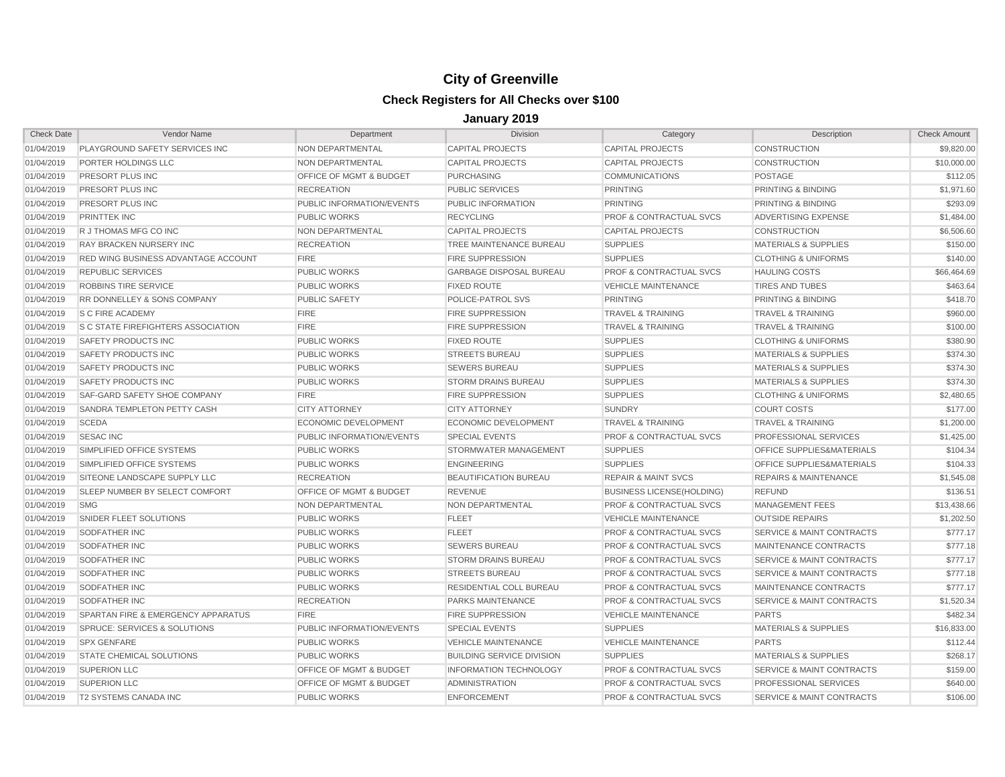| <b>Check Date</b> | Vendor Name                                | Department                         | <b>Division</b>                  | Category                           | Description                          | <b>Check Amount</b> |
|-------------------|--------------------------------------------|------------------------------------|----------------------------------|------------------------------------|--------------------------------------|---------------------|
| 01/04/2019        | PLAYGROUND SAFETY SERVICES INC             | NON DEPARTMENTAL                   | <b>CAPITAL PROJECTS</b>          | <b>CAPITAL PROJECTS</b>            | <b>CONSTRUCTION</b>                  | \$9,820.00          |
| 01/04/2019        | PORTER HOLDINGS LLC                        | NON DEPARTMENTAL                   | <b>CAPITAL PROJECTS</b>          | <b>CAPITAL PROJECTS</b>            | <b>CONSTRUCTION</b>                  | \$10,000.00         |
| 01/04/2019        | <b>PRESORT PLUS INC</b>                    | <b>OFFICE OF MGMT &amp; BUDGET</b> | <b>PURCHASING</b>                | <b>COMMUNICATIONS</b>              | <b>POSTAGE</b>                       | \$112.05            |
| 01/04/2019        | PRESORT PLUS INC                           | <b>RECREATION</b>                  | <b>PUBLIC SERVICES</b>           | <b>PRINTING</b>                    | PRINTING & BINDING                   | \$1,971.60          |
| 01/04/2019        | PRESORT PLUS INC                           | PUBLIC INFORMATION/EVENTS          | PUBLIC INFORMATION               | <b>PRINTING</b>                    | PRINTING & BINDING                   | \$293.09            |
| 01/04/2019        | <b>PRINTTEK INC</b>                        | <b>PUBLIC WORKS</b>                | <b>RECYCLING</b>                 | <b>PROF &amp; CONTRACTUAL SVCS</b> | ADVERTISING EXPENSE                  | \$1,484.00          |
| 01/04/2019        | R J THOMAS MFG CO INC                      | NON DEPARTMENTAL                   | <b>CAPITAL PROJECTS</b>          | <b>CAPITAL PROJECTS</b>            | <b>CONSTRUCTION</b>                  | \$6,506.60          |
| 01/04/2019        | RAY BRACKEN NURSERY INC                    | <b>RECREATION</b>                  | TREE MAINTENANCE BUREAU          | <b>SUPPLIES</b>                    | <b>MATERIALS &amp; SUPPLIES</b>      | \$150.00            |
| 01/04/2019        | <b>RED WING BUSINESS ADVANTAGE ACCOUNT</b> | <b>FIRE</b>                        | <b>FIRE SUPPRESSION</b>          | <b>SUPPLIES</b>                    | <b>CLOTHING &amp; UNIFORMS</b>       | \$140.00            |
| 01/04/2019        | <b>REPUBLIC SERVICES</b>                   | <b>PUBLIC WORKS</b>                | <b>GARBAGE DISPOSAL BUREAU</b>   | <b>PROF &amp; CONTRACTUAL SVCS</b> | <b>HAULING COSTS</b>                 | \$66,464.69         |
| 01/04/2019        | <b>ROBBINS TIRE SERVICE</b>                | <b>PUBLIC WORKS</b>                | <b>FIXED ROUTE</b>               | <b>VEHICLE MAINTENANCE</b>         | <b>TIRES AND TUBES</b>               | \$463.64            |
| 01/04/2019        | RR DONNELLEY & SONS COMPANY                | PUBLIC SAFETY                      | POLICE-PATROL SVS                | <b>PRINTING</b>                    | PRINTING & BINDING                   | \$418.70            |
| 01/04/2019        | <b>S C FIRE ACADEMY</b>                    | <b>FIRE</b>                        | <b>FIRE SUPPRESSION</b>          | <b>TRAVEL &amp; TRAINING</b>       | <b>TRAVEL &amp; TRAINING</b>         | \$960.00            |
| 01/04/2019        | <b>S C STATE FIREFIGHTERS ASSOCIATION</b>  | <b>FIRE</b>                        | <b>FIRE SUPPRESSION</b>          | <b>TRAVEL &amp; TRAINING</b>       | <b>TRAVEL &amp; TRAINING</b>         | \$100.00            |
| 01/04/2019        | <b>SAFETY PRODUCTS INC</b>                 | <b>PUBLIC WORKS</b>                | <b>FIXED ROUTE</b>               | <b>SUPPLIES</b>                    | <b>CLOTHING &amp; UNIFORMS</b>       | \$380.90            |
| 01/04/2019        | SAFETY PRODUCTS INC                        | PUBLIC WORKS                       | <b>STREETS BUREAU</b>            | <b>SUPPLIES</b>                    | <b>MATERIALS &amp; SUPPLIES</b>      | \$374.30            |
| 01/04/2019        | <b>SAFETY PRODUCTS INC</b>                 | <b>PUBLIC WORKS</b>                | <b>SEWERS BUREAU</b>             | <b>SUPPLIES</b>                    | <b>MATERIALS &amp; SUPPLIES</b>      | \$374.30            |
| 01/04/2019        | SAFETY PRODUCTS INC                        | <b>PUBLIC WORKS</b>                | <b>STORM DRAINS BUREAU</b>       | <b>SUPPLIES</b>                    | <b>MATERIALS &amp; SUPPLIES</b>      | \$374.30            |
| 01/04/2019        | SAF-GARD SAFETY SHOE COMPANY               | <b>FIRE</b>                        | <b>FIRE SUPPRESSION</b>          | <b>SUPPLIES</b>                    | <b>CLOTHING &amp; UNIFORMS</b>       | \$2,480.65          |
| 01/04/2019        | SANDRA TEMPLETON PETTY CASH                | <b>CITY ATTORNEY</b>               | <b>CITY ATTORNEY</b>             | <b>SUNDRY</b>                      | <b>COURT COSTS</b>                   | \$177.00            |
| 01/04/2019        | <b>SCEDA</b>                               | ECONOMIC DEVELOPMENT               | ECONOMIC DEVELOPMENT             | TRAVEL & TRAINING                  | <b>TRAVEL &amp; TRAINING</b>         | \$1,200.00          |
| 01/04/2019        | <b>SESAC INC</b>                           | PUBLIC INFORMATION/EVENTS          | <b>SPECIAL EVENTS</b>            | <b>PROF &amp; CONTRACTUAL SVCS</b> | PROFESSIONAL SERVICES                | \$1,425.00          |
| 01/04/2019        | SIMPLIFIED OFFICE SYSTEMS                  | <b>PUBLIC WORKS</b>                | STORMWATER MANAGEMENT            | <b>SUPPLIES</b>                    | <b>OFFICE SUPPLIES&amp;MATERIALS</b> | \$104.34            |
| 01/04/2019        | SIMPLIFIED OFFICE SYSTEMS                  | <b>PUBLIC WORKS</b>                | <b>ENGINEERING</b>               | <b>SUPPLIES</b>                    | <b>OFFICE SUPPLIES&amp;MATERIALS</b> | \$104.33            |
| 01/04/2019        | SITEONE LANDSCAPE SUPPLY LLC               | <b>RECREATION</b>                  | BEAUTIFICATION BUREAU            | <b>REPAIR &amp; MAINT SVCS</b>     | <b>REPAIRS &amp; MAINTENANCE</b>     | \$1,545.08          |
| 01/04/2019        | SLEEP NUMBER BY SELECT COMFORT             | <b>OFFICE OF MGMT &amp; BUDGET</b> | <b>REVENUE</b>                   | <b>BUSINESS LICENSE(HOLDING)</b>   | <b>REFUND</b>                        | \$136.51            |
| 01/04/2019        | <b>SMG</b>                                 | NON DEPARTMENTAL                   | NON DEPARTMENTAL                 | <b>PROF &amp; CONTRACTUAL SVCS</b> | <b>MANAGEMENT FEES</b>               | \$13,438.66         |
| 01/04/2019        | SNIDER FLEET SOLUTIONS                     | <b>PUBLIC WORKS</b>                | <b>FLEET</b>                     | <b>VEHICLE MAINTENANCE</b>         | <b>OUTSIDE REPAIRS</b>               | \$1,202.50          |
| 01/04/2019        | <b>SODFATHER INC</b>                       | <b>PUBLIC WORKS</b>                | <b>FLEET</b>                     | <b>PROF &amp; CONTRACTUAL SVCS</b> | <b>SERVICE &amp; MAINT CONTRACTS</b> | \$777.17            |
| 01/04/2019        | <b>SODFATHER INC</b>                       | PUBLIC WORKS                       | <b>SEWERS BUREAU</b>             | <b>PROF &amp; CONTRACTUAL SVCS</b> | MAINTENANCE CONTRACTS                | \$777.18            |
| 01/04/2019        | SODFATHER INC                              | <b>PUBLIC WORKS</b>                | <b>STORM DRAINS BUREAU</b>       | <b>PROF &amp; CONTRACTUAL SVCS</b> | <b>SERVICE &amp; MAINT CONTRACTS</b> | \$777.17            |
| 01/04/2019        | <b>SODFATHER INC</b>                       | <b>PUBLIC WORKS</b>                | <b>STREETS BUREAU</b>            | <b>PROF &amp; CONTRACTUAL SVCS</b> | SERVICE & MAINT CONTRACTS            | \$777.18            |
| 01/04/2019        | <b>SODFATHER INC</b>                       | PUBLIC WORKS                       | RESIDENTIAL COLL BUREAU          | <b>PROF &amp; CONTRACTUAL SVCS</b> | MAINTENANCE CONTRACTS                | \$777.17            |
| 01/04/2019        | SODFATHER INC                              | <b>RECREATION</b>                  | PARKS MAINTENANCE                | <b>PROF &amp; CONTRACTUAL SVCS</b> | <b>SERVICE &amp; MAINT CONTRACTS</b> | \$1,520.34          |
| 01/04/2019        | SPARTAN FIRE & EMERGENCY APPARATUS         | <b>FIRE</b>                        | <b>FIRE SUPPRESSION</b>          | <b>VEHICLE MAINTENANCE</b>         | <b>PARTS</b>                         | \$482.34            |
| 01/04/2019        | <b>SPRUCE: SERVICES &amp; SOLUTIONS</b>    | PUBLIC INFORMATION/EVENTS          | <b>SPECIAL EVENTS</b>            | <b>SUPPLIES</b>                    | <b>MATERIALS &amp; SUPPLIES</b>      | \$16,833.00         |
| 01/04/2019        | <b>SPX GENFARE</b>                         | PUBLIC WORKS                       | <b>VEHICLE MAINTENANCE</b>       | <b>VEHICLE MAINTENANCE</b>         | <b>PARTS</b>                         | \$112.44            |
| 01/04/2019        | <b>STATE CHEMICAL SOLUTIONS</b>            | <b>PUBLIC WORKS</b>                | <b>BUILDING SERVICE DIVISION</b> | <b>SUPPLIES</b>                    | <b>MATERIALS &amp; SUPPLIES</b>      | \$268.17            |
| 01/04/2019        | <b>SUPERION LLC</b>                        | <b>OFFICE OF MGMT &amp; BUDGET</b> | <b>INFORMATION TECHNOLOGY</b>    | <b>PROF &amp; CONTRACTUAL SVCS</b> | SERVICE & MAINT CONTRACTS            | \$159.00            |
| 01/04/2019        | <b>SUPERION LLC</b>                        | <b>OFFICE OF MGMT &amp; BUDGET</b> | <b>ADMINISTRATION</b>            | <b>PROF &amp; CONTRACTUAL SVCS</b> | PROFESSIONAL SERVICES                | \$640.00            |
| 01/04/2019        | <b>T2 SYSTEMS CANADA INC</b>               | PUBLIC WORKS                       | <b>ENFORCEMENT</b>               | PROF & CONTRACTUAL SVCS            | SERVICE & MAINT CONTRACTS            | \$106.00            |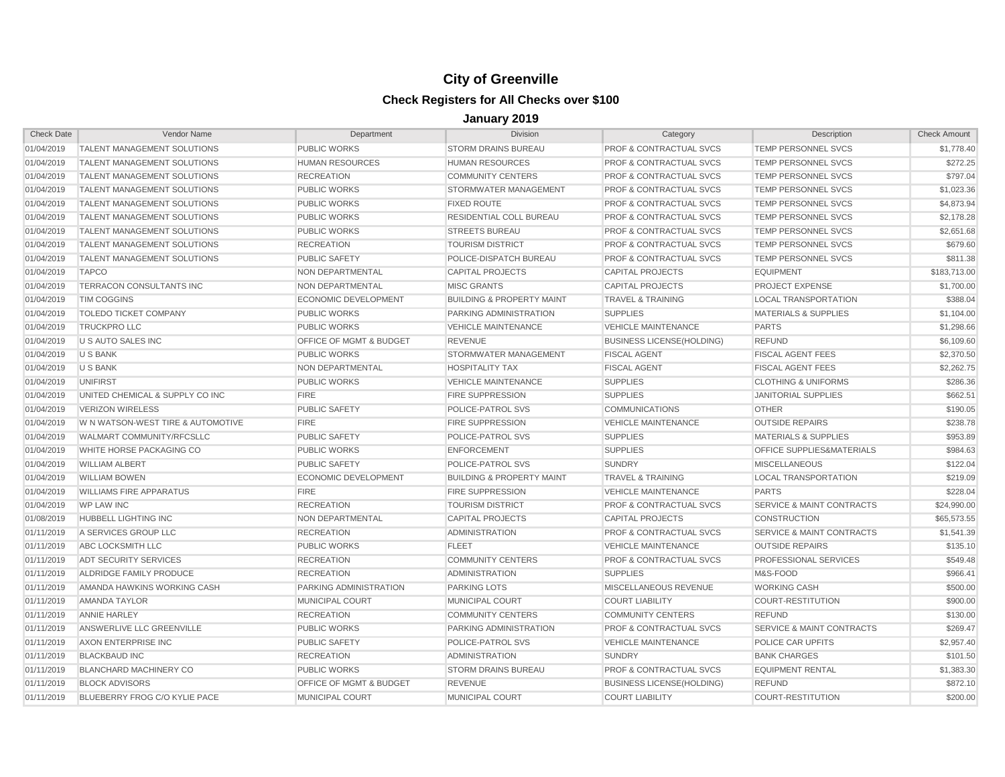| <b>Check Date</b> | Vendor Name                        | Department                         | Division                             | Category                           | Description                          | <b>Check Amount</b> |
|-------------------|------------------------------------|------------------------------------|--------------------------------------|------------------------------------|--------------------------------------|---------------------|
| 01/04/2019        | TALENT MANAGEMENT SOLUTIONS        | PUBLIC WORKS                       | <b>STORM DRAINS BUREAU</b>           | <b>PROF &amp; CONTRACTUAL SVCS</b> | TEMP PERSONNEL SVCS                  | \$1,778.40          |
| 01/04/2019        | <b>TALENT MANAGEMENT SOLUTIONS</b> | <b>HUMAN RESOURCES</b>             | <b>HUMAN RESOURCES</b>               | <b>PROF &amp; CONTRACTUAL SVCS</b> | <b>TEMP PERSONNEL SVCS</b>           | \$272.25            |
| 01/04/2019        | <b>TALENT MANAGEMENT SOLUTIONS</b> | <b>RECREATION</b>                  | <b>COMMUNITY CENTERS</b>             | <b>PROF &amp; CONTRACTUAL SVCS</b> | <b>TEMP PERSONNEL SVCS</b>           | \$797.04            |
| 01/04/2019        | TALENT MANAGEMENT SOLUTIONS        | <b>PUBLIC WORKS</b>                | STORMWATER MANAGEMENT                | <b>PROF &amp; CONTRACTUAL SVCS</b> | <b>TEMP PERSONNEL SVCS</b>           | \$1,023.36          |
| 01/04/2019        | <b>TALENT MANAGEMENT SOLUTIONS</b> | <b>PUBLIC WORKS</b>                | <b>FIXED ROUTE</b>                   | <b>PROF &amp; CONTRACTUAL SVCS</b> | <b>TEMP PERSONNEL SVCS</b>           | \$4,873.94          |
| 01/04/2019        | TALENT MANAGEMENT SOLUTIONS        | <b>PUBLIC WORKS</b>                | RESIDENTIAL COLL BUREAU              | <b>PROF &amp; CONTRACTUAL SVCS</b> | TEMP PERSONNEL SVCS                  | \$2,178.28          |
| 01/04/2019        | TALENT MANAGEMENT SOLUTIONS        | <b>PUBLIC WORKS</b>                | <b>STREETS BUREAU</b>                | <b>PROF &amp; CONTRACTUAL SVCS</b> | <b>TEMP PERSONNEL SVCS</b>           | \$2,651.68          |
| 01/04/2019        | TALENT MANAGEMENT SOLUTIONS        | <b>RECREATION</b>                  | <b>TOURISM DISTRICT</b>              | <b>PROF &amp; CONTRACTUAL SVCS</b> | <b>TEMP PERSONNEL SVCS</b>           | \$679.60            |
| 01/04/2019        | TALENT MANAGEMENT SOLUTIONS        | <b>PUBLIC SAFETY</b>               | POLICE-DISPATCH BUREAU               | <b>PROF &amp; CONTRACTUAL SVCS</b> | TEMP PERSONNEL SVCS                  | \$811.38            |
| 01/04/2019        | <b>TAPCO</b>                       | NON DEPARTMENTAL                   | <b>CAPITAL PROJECTS</b>              | <b>CAPITAL PROJECTS</b>            | <b>EQUIPMENT</b>                     | \$183,713.00        |
| 01/04/2019        | TERRACON CONSULTANTS INC           | NON DEPARTMENTAL                   | <b>MISC GRANTS</b>                   | <b>CAPITAL PROJECTS</b>            | <b>PROJECT EXPENSE</b>               | \$1,700.00          |
| 01/04/2019        | <b>TIM COGGINS</b>                 | ECONOMIC DEVELOPMENT               | <b>BUILDING &amp; PROPERTY MAINT</b> | <b>TRAVEL &amp; TRAINING</b>       | <b>LOCAL TRANSPORTATION</b>          | \$388.04            |
| 01/04/2019        | TOLEDO TICKET COMPANY              | <b>PUBLIC WORKS</b>                | PARKING ADMINISTRATION               | <b>SUPPLIES</b>                    | <b>MATERIALS &amp; SUPPLIES</b>      | \$1,104.00          |
| 01/04/2019        | <b>TRUCKPRO LLC</b>                | <b>PUBLIC WORKS</b>                | <b>VEHICLE MAINTENANCE</b>           | <b>VEHICLE MAINTENANCE</b>         | <b>PARTS</b>                         | \$1,298.66          |
| 01/04/2019        | U S AUTO SALES INC                 | OFFICE OF MGMT & BUDGET            | <b>REVENUE</b>                       | <b>BUSINESS LICENSE(HOLDING)</b>   | <b>REFUND</b>                        | \$6,109.60          |
| 01/04/2019        | U S BANK                           | <b>PUBLIC WORKS</b>                | STORMWATER MANAGEMENT                | <b>FISCAL AGENT</b>                | <b>FISCAL AGENT FEES</b>             | \$2,370.50          |
| 01/04/2019        | <b>U S BANK</b>                    | NON DEPARTMENTAL                   | <b>HOSPITALITY TAX</b>               | <b>FISCAL AGENT</b>                | <b>FISCAL AGENT FEES</b>             | \$2,262.75          |
| 01/04/2019        | <b>UNIFIRST</b>                    | <b>PUBLIC WORKS</b>                | <b>VEHICLE MAINTENANCE</b>           | <b>SUPPLIES</b>                    | <b>CLOTHING &amp; UNIFORMS</b>       | \$286.36            |
| 01/04/2019        | UNITED CHEMICAL & SUPPLY CO INC    | <b>FIRE</b>                        | <b>FIRE SUPPRESSION</b>              | <b>SUPPLIES</b>                    | <b>JANITORIAL SUPPLIES</b>           | \$662.51            |
| 01/04/2019        | <b>VERIZON WIRELESS</b>            | <b>PUBLIC SAFETY</b>               | POLICE-PATROL SVS                    | <b>COMMUNICATIONS</b>              | <b>OTHER</b>                         | \$190.05            |
| 01/04/2019        | W N WATSON-WEST TIRE & AUTOMOTIVE  | <b>FIRE</b>                        | <b>FIRE SUPPRESSION</b>              | <b>VEHICLE MAINTENANCE</b>         | <b>OUTSIDE REPAIRS</b>               | \$238.78            |
| 01/04/2019        | WALMART COMMUNITY/RFCSLLC          | <b>PUBLIC SAFETY</b>               | POLICE-PATROL SVS                    | <b>SUPPLIES</b>                    | <b>MATERIALS &amp; SUPPLIES</b>      | \$953.89            |
| 01/04/2019        | WHITE HORSE PACKAGING CO           | <b>PUBLIC WORKS</b>                | <b>ENFORCEMENT</b>                   | <b>SUPPLIES</b>                    | OFFICE SUPPLIES&MATERIALS            | \$984.63            |
| 01/04/2019        | <b>WILLIAM ALBERT</b>              | <b>PUBLIC SAFETY</b>               | POLICE-PATROL SVS                    | <b>SUNDRY</b>                      | <b>MISCELLANEOUS</b>                 | \$122.04            |
| 01/04/2019        | <b>WILLIAM BOWEN</b>               | <b>ECONOMIC DEVELOPMENT</b>        | <b>BUILDING &amp; PROPERTY MAINT</b> | <b>TRAVEL &amp; TRAINING</b>       | <b>LOCAL TRANSPORTATION</b>          | \$219.09            |
| 01/04/2019        | <b>WILLIAMS FIRE APPARATUS</b>     | <b>FIRE</b>                        | <b>FIRE SUPPRESSION</b>              | <b>VEHICLE MAINTENANCE</b>         | <b>PARTS</b>                         | \$228.04            |
| 01/04/2019        | <b>WP LAW INC</b>                  | <b>RECREATION</b>                  | <b>TOURISM DISTRICT</b>              | PROF & CONTRACTUAL SVCS            | SERVICE & MAINT CONTRACTS            | \$24,990.00         |
| 01/08/2019        | <b>HUBBELL LIGHTING INC</b>        | <b>NON DEPARTMENTAL</b>            | <b>CAPITAL PROJECTS</b>              | <b>CAPITAL PROJECTS</b>            | <b>CONSTRUCTION</b>                  | \$65,573,55         |
| 01/11/2019        | A SERVICES GROUP LLC               | <b>RECREATION</b>                  | <b>ADMINISTRATION</b>                | <b>PROF &amp; CONTRACTUAL SVCS</b> | <b>SERVICE &amp; MAINT CONTRACTS</b> | \$1,541.39          |
| 01/11/2019        | ABC LOCKSMITH LLC                  | <b>PUBLIC WORKS</b>                | <b>FLEET</b>                         | <b>VEHICLE MAINTENANCE</b>         | <b>OUTSIDE REPAIRS</b>               | \$135.10            |
| 01/11/2019        | <b>ADT SECURITY SERVICES</b>       | <b>RECREATION</b>                  | <b>COMMUNITY CENTERS</b>             | <b>PROF &amp; CONTRACTUAL SVCS</b> | PROFESSIONAL SERVICES                | \$549.48            |
| 01/11/2019        | ALDRIDGE FAMILY PRODUCE            | <b>RECREATION</b>                  | <b>ADMINISTRATION</b>                | <b>SUPPLIES</b>                    | M&S-FOOD                             | \$966.41            |
| 01/11/2019        | AMANDA HAWKINS WORKING CASH        | PARKING ADMINISTRATION             | <b>PARKING LOTS</b>                  | MISCELLANEOUS REVENUE              | <b>WORKING CASH</b>                  | \$500.00            |
| 01/11/2019        | <b>AMANDA TAYLOR</b>               | MUNICIPAL COURT                    | MUNICIPAL COURT                      | <b>COURT LIABILITY</b>             | <b>COURT-RESTITUTION</b>             | \$900.00            |
| 01/11/2019        | <b>ANNIE HARLEY</b>                | <b>RECREATION</b>                  | <b>COMMUNITY CENTERS</b>             | <b>COMMUNITY CENTERS</b>           | <b>REFUND</b>                        | \$130.00            |
| 01/11/2019        | ANSWERLIVE LLC GREENVILLE          | <b>PUBLIC WORKS</b>                | PARKING ADMINISTRATION               | <b>PROF &amp; CONTRACTUAL SVCS</b> | <b>SERVICE &amp; MAINT CONTRACTS</b> | \$269.47            |
| 01/11/2019        | AXON ENTERPRISE INC                | <b>PUBLIC SAFETY</b>               | POLICE-PATROL SVS                    | <b>VEHICLE MAINTENANCE</b>         | POLICE CAR UPFITS                    | \$2,957.40          |
| 01/11/2019        | <b>BLACKBAUD INC</b>               | <b>RECREATION</b>                  | <b>ADMINISTRATION</b>                | <b>SUNDRY</b>                      | <b>BANK CHARGES</b>                  | \$101.50            |
| 01/11/2019        | <b>BLANCHARD MACHINERY CO</b>      | <b>PUBLIC WORKS</b>                | <b>STORM DRAINS BUREAU</b>           | <b>PROF &amp; CONTRACTUAL SVCS</b> | <b>EQUIPMENT RENTAL</b>              | \$1,383.30          |
| 01/11/2019        | <b>BLOCK ADVISORS</b>              | <b>OFFICE OF MGMT &amp; BUDGET</b> | <b>REVENUE</b>                       | <b>BUSINESS LICENSE (HOLDING)</b>  | <b>REFUND</b>                        | \$872.10            |
| 01/11/2019        | BLUEBERRY FROG C/O KYLIE PACE      | <b>MUNICIPAL COURT</b>             | <b>MUNICIPAL COURT</b>               | <b>COURT LIABILITY</b>             | COURT-RESTITUTION                    | \$200.00            |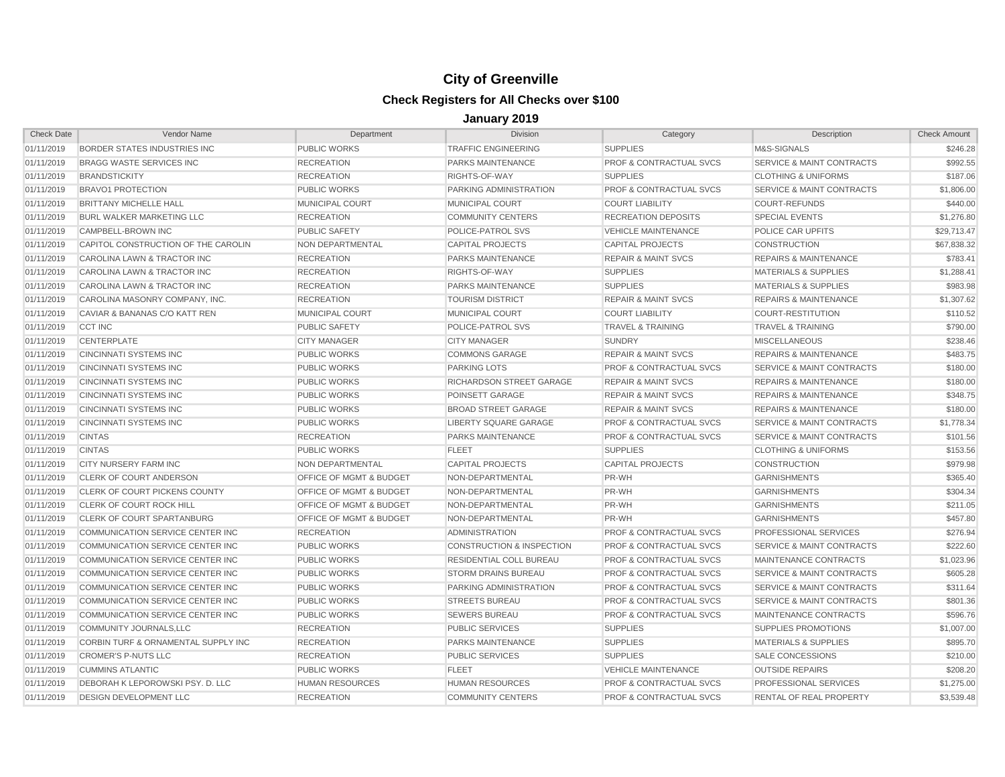| <b>Check Date</b> | Vendor Name                         | Department                         | <b>Division</b>                      | Category                           | Description                          | <b>Check Amount</b> |
|-------------------|-------------------------------------|------------------------------------|--------------------------------------|------------------------------------|--------------------------------------|---------------------|
| 01/11/2019        | BORDER STATES INDUSTRIES INC        | <b>PUBLIC WORKS</b>                | <b>TRAFFIC ENGINEERING</b>           | <b>SUPPLIES</b>                    | M&S-SIGNALS                          | \$246.28            |
| 01/11/2019        | BRAGG WASTE SERVICES INC            | <b>RECREATION</b>                  | <b>PARKS MAINTENANCE</b>             | <b>PROF &amp; CONTRACTUAL SVCS</b> | SERVICE & MAINT CONTRACTS            | \$992.55            |
| 01/11/2019        | <b>BRANDSTICKITY</b>                | <b>RECREATION</b>                  | RIGHTS-OF-WAY                        | <b>SUPPLIES</b>                    | <b>CLOTHING &amp; UNIFORMS</b>       | \$187.06            |
| 01/11/2019        | <b>BRAVO1 PROTECTION</b>            | <b>PUBLIC WORKS</b>                | PARKING ADMINISTRATION               | <b>PROF &amp; CONTRACTUAL SVCS</b> | SERVICE & MAINT CONTRACTS            | \$1,806.00          |
| 01/11/2019        | <b>BRITTANY MICHELLE HALL</b>       | MUNICIPAL COURT                    | MUNICIPAL COURT                      | <b>COURT LIABILITY</b>             | <b>COURT-REFUNDS</b>                 | \$440.00            |
| 01/11/2019        | <b>BURL WALKER MARKETING LLC</b>    | <b>RECREATION</b>                  | <b>COMMUNITY CENTERS</b>             | <b>RECREATION DEPOSITS</b>         | <b>SPECIAL EVENTS</b>                | \$1,276.80          |
| 01/11/2019        | <b>CAMPBELL-BROWN INC</b>           | <b>PUBLIC SAFETY</b>               | POLICE-PATROL SVS                    | <b>VEHICLE MAINTENANCE</b>         | POLICE CAR UPFITS                    | \$29.713.47         |
| 01/11/2019        | CAPITOL CONSTRUCTION OF THE CAROLIN | NON DEPARTMENTAL                   | <b>CAPITAL PROJECTS</b>              | <b>CAPITAL PROJECTS</b>            | <b>CONSTRUCTION</b>                  | \$67,838.32         |
| 01/11/2019        | CAROLINA LAWN & TRACTOR INC         | <b>RECREATION</b>                  | <b>PARKS MAINTENANCE</b>             | <b>REPAIR &amp; MAINT SVCS</b>     | <b>REPAIRS &amp; MAINTENANCE</b>     | \$783.41            |
| 01/11/2019        | CAROLINA LAWN & TRACTOR INC         | <b>RECREATION</b>                  | RIGHTS-OF-WAY                        | <b>SUPPLIES</b>                    | <b>MATERIALS &amp; SUPPLIES</b>      | \$1,288.41          |
| 01/11/2019        | CAROLINA LAWN & TRACTOR INC         | <b>RECREATION</b>                  | <b>PARKS MAINTENANCE</b>             | <b>SUPPLIES</b>                    | <b>MATERIALS &amp; SUPPLIES</b>      | \$983.98            |
| 01/11/2019        | CAROLINA MASONRY COMPANY, INC.      | <b>RECREATION</b>                  | <b>TOURISM DISTRICT</b>              | <b>REPAIR &amp; MAINT SVCS</b>     | <b>REPAIRS &amp; MAINTENANCE</b>     | \$1,307.62          |
| 01/11/2019        | CAVIAR & BANANAS C/O KATT REN       | MUNICIPAL COURT                    | MUNICIPAL COURT                      | <b>COURT LIABILITY</b>             | COURT-RESTITUTION                    | \$110.52            |
| 01/11/2019        | <b>CCT INC</b>                      | <b>PUBLIC SAFETY</b>               | POLICE-PATROL SVS                    | <b>TRAVEL &amp; TRAINING</b>       | <b>TRAVEL &amp; TRAINING</b>         | \$790.00            |
| 01/11/2019        | <b>CENTERPLATE</b>                  | <b>CITY MANAGER</b>                | <b>CITY MANAGER</b>                  | <b>SUNDRY</b>                      | <b>MISCELLANEOUS</b>                 | \$238.46            |
| 01/11/2019        | <b>CINCINNATI SYSTEMS INC</b>       | <b>PUBLIC WORKS</b>                | <b>COMMONS GARAGE</b>                | <b>REPAIR &amp; MAINT SVCS</b>     | <b>REPAIRS &amp; MAINTENANCE</b>     | \$483.75            |
| 01/11/2019        | <b>CINCINNATI SYSTEMS INC</b>       | <b>PUBLIC WORKS</b>                | <b>PARKING LOTS</b>                  | <b>PROF &amp; CONTRACTUAL SVCS</b> | SERVICE & MAINT CONTRACTS            | \$180.00            |
| 01/11/2019        | CINCINNATI SYSTEMS INC              | <b>PUBLIC WORKS</b>                | RICHARDSON STREET GARAGE             | <b>REPAIR &amp; MAINT SVCS</b>     | <b>REPAIRS &amp; MAINTENANCE</b>     | \$180.00            |
| 01/11/2019        | CINCINNATI SYSTEMS INC              | <b>PUBLIC WORKS</b>                | POINSETT GARAGE                      | <b>REPAIR &amp; MAINT SVCS</b>     | <b>REPAIRS &amp; MAINTENANCE</b>     | \$348.75            |
| 01/11/2019        | <b>CINCINNATI SYSTEMS INC</b>       | <b>PUBLIC WORKS</b>                | <b>BROAD STREET GARAGE</b>           | <b>REPAIR &amp; MAINT SVCS</b>     | <b>REPAIRS &amp; MAINTENANCE</b>     | \$180.00            |
| 01/11/2019        | <b>CINCINNATI SYSTEMS INC</b>       | <b>PUBLIC WORKS</b>                | LIBERTY SQUARE GARAGE                | <b>PROF &amp; CONTRACTUAL SVCS</b> | SERVICE & MAINT CONTRACTS            | \$1,778.34          |
| 01/11/2019        | <b>CINTAS</b>                       | <b>RECREATION</b>                  | PARKS MAINTENANCE                    | <b>PROF &amp; CONTRACTUAL SVCS</b> | <b>SERVICE &amp; MAINT CONTRACTS</b> | \$101.56            |
| 01/11/2019        | <b>CINTAS</b>                       | <b>PUBLIC WORKS</b>                | <b>FLEET</b>                         | <b>SUPPLIES</b>                    | <b>CLOTHING &amp; UNIFORMS</b>       | \$153.56            |
| 01/11/2019        | <b>CITY NURSERY FARM INC</b>        | NON DEPARTMENTAL                   | <b>CAPITAL PROJECTS</b>              | <b>CAPITAL PROJECTS</b>            | <b>CONSTRUCTION</b>                  | \$979.98            |
| 01/11/2019        | <b>CLERK OF COURT ANDERSON</b>      | <b>OFFICE OF MGMT &amp; BUDGET</b> | NON-DEPARTMENTAL                     | PR-WH                              | <b>GARNISHMENTS</b>                  | \$365.40            |
| 01/11/2019        | CLERK OF COURT PICKENS COUNTY       | OFFICE OF MGMT & BUDGET            | NON-DEPARTMENTAL                     | PR-WH                              | <b>GARNISHMENTS</b>                  | \$304.34            |
| 01/11/2019        | CLERK OF COURT ROCK HILL            | <b>OFFICE OF MGMT &amp; BUDGET</b> | NON-DEPARTMENTAL                     | PR-WH                              | <b>GARNISHMENTS</b>                  | \$211.05            |
| 01/11/2019        | <b>CLERK OF COURT SPARTANBURG</b>   | <b>OFFICE OF MGMT &amp; BUDGET</b> | NON-DEPARTMENTAL                     | PR-WH                              | <b>GARNISHMENTS</b>                  | \$457.80            |
| 01/11/2019        | COMMUNICATION SERVICE CENTER INC    | <b>RECREATION</b>                  | <b>ADMINISTRATION</b>                | <b>PROF &amp; CONTRACTUAL SVCS</b> | <b>PROFESSIONAL SERVICES</b>         | \$276.94            |
| 01/11/2019        | COMMUNICATION SERVICE CENTER INC    | <b>PUBLIC WORKS</b>                | <b>CONSTRUCTION &amp; INSPECTION</b> | <b>PROF &amp; CONTRACTUAL SVCS</b> | <b>SERVICE &amp; MAINT CONTRACTS</b> | \$222.60            |
| 01/11/2019        | COMMUNICATION SERVICE CENTER INC    | <b>PUBLIC WORKS</b>                | <b>RESIDENTIAL COLL BUREAU</b>       | <b>PROF &amp; CONTRACTUAL SVCS</b> | MAINTENANCE CONTRACTS                | \$1,023.96          |
| 01/11/2019        | COMMUNICATION SERVICE CENTER INC    | <b>PUBLIC WORKS</b>                | <b>STORM DRAINS BUREAU</b>           | PROF & CONTRACTUAL SVCS            | <b>SERVICE &amp; MAINT CONTRACTS</b> | \$605.28            |
| 01/11/2019        | COMMUNICATION SERVICE CENTER INC    | <b>PUBLIC WORKS</b>                | PARKING ADMINISTRATION               | <b>PROF &amp; CONTRACTUAL SVCS</b> | SERVICE & MAINT CONTRACTS            | \$311.64            |
| 01/11/2019        | COMMUNICATION SERVICE CENTER INC    | <b>PUBLIC WORKS</b>                | <b>STREETS BUREAU</b>                | <b>PROF &amp; CONTRACTUAL SVCS</b> | <b>SERVICE &amp; MAINT CONTRACTS</b> | \$801.36            |
| 01/11/2019        | COMMUNICATION SERVICE CENTER INC    | <b>PUBLIC WORKS</b>                | <b>SEWERS BUREAU</b>                 | <b>PROF &amp; CONTRACTUAL SVCS</b> | MAINTENANCE CONTRACTS                | \$596.76            |
| 01/11/2019        | <b>COMMUNITY JOURNALS.LLC</b>       | <b>RECREATION</b>                  | <b>PUBLIC SERVICES</b>               | <b>SUPPLIES</b>                    | <b>SUPPLIES PROMOTIONS</b>           | \$1,007.00          |
| 01/11/2019        | CORBIN TURF & ORNAMENTAL SUPPLY INC | <b>RECREATION</b>                  | PARKS MAINTENANCE                    | <b>SUPPLIES</b>                    | <b>MATERIALS &amp; SUPPLIES</b>      | \$895.70            |
| 01/11/2019        | <b>CROMER'S P-NUTS LLC</b>          | <b>RECREATION</b>                  | <b>PUBLIC SERVICES</b>               | <b>SUPPLIES</b>                    | SALE CONCESSIONS                     | \$210.00            |
| 01/11/2019        | <b>CUMMINS ATLANTIC</b>             | <b>PUBLIC WORKS</b>                | <b>FLEET</b>                         | <b>VEHICLE MAINTENANCE</b>         | <b>OUTSIDE REPAIRS</b>               | \$208.20            |
| 01/11/2019        | DEBORAH K LEPOROWSKI PSY. D. LLC    | <b>HUMAN RESOURCES</b>             | <b>HUMAN RESOURCES</b>               | <b>PROF &amp; CONTRACTUAL SVCS</b> | <b>PROFESSIONAL SERVICES</b>         | \$1,275.00          |
| 01/11/2019        | <b>DESIGN DEVELOPMENT LLC</b>       | <b>RECREATION</b>                  | <b>COMMUNITY CENTERS</b>             | <b>PROF &amp; CONTRACTUAL SVCS</b> | RENTAL OF REAL PROPERTY              | \$3,539.48          |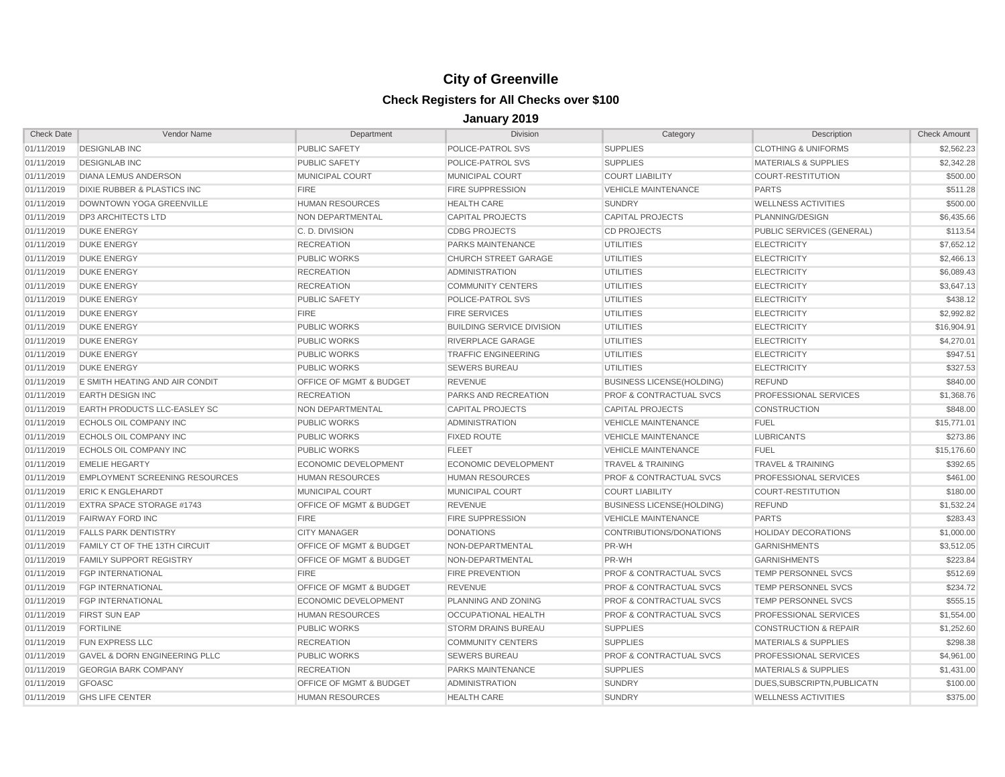| <b>Check Date</b> | Vendor Name                              | Department                         | <b>Division</b>                  | Category                           | Description                      | <b>Check Amount</b> |
|-------------------|------------------------------------------|------------------------------------|----------------------------------|------------------------------------|----------------------------------|---------------------|
| 01/11/2019        | <b>DESIGNLAB INC</b>                     | <b>PUBLIC SAFETY</b>               | POLICE-PATROL SVS                | <b>SUPPLIES</b>                    | <b>CLOTHING &amp; UNIFORMS</b>   | \$2,562.23          |
| 01/11/2019        | <b>DESIGNLAB INC</b>                     | <b>PUBLIC SAFETY</b>               | POLICE-PATROL SVS                | <b>SUPPLIES</b>                    | <b>MATERIALS &amp; SUPPLIES</b>  | \$2,342.28          |
| 01/11/2019        | <b>DIANA LEMUS ANDERSON</b>              | MUNICIPAL COURT                    | MUNICIPAL COURT                  | <b>COURT LIABILITY</b>             | COURT-RESTITUTION                | \$500.00            |
| 01/11/2019        | DIXIE RUBBER & PLASTICS INC              | <b>FIRE</b>                        | <b>FIRE SUPPRESSION</b>          | <b>VEHICLE MAINTENANCE</b>         | <b>PARTS</b>                     | \$511.28            |
| 01/11/2019        | <b>DOWNTOWN YOGA GREENVILLE</b>          | <b>HUMAN RESOURCES</b>             | <b>HEALTH CARE</b>               | <b>SUNDRY</b>                      | <b>WELLNESS ACTIVITIES</b>       | \$500.00            |
| 01/11/2019        | <b>DP3 ARCHITECTS LTD</b>                | NON DEPARTMENTAL                   | <b>CAPITAL PROJECTS</b>          | <b>CAPITAL PROJECTS</b>            | PLANNING/DESIGN                  | \$6,435.66          |
| 01/11/2019        | <b>DUKE ENERGY</b>                       | C. D. DIVISION                     | <b>CDBG PROJECTS</b>             | <b>CD PROJECTS</b>                 | PUBLIC SERVICES (GENERAL)        | \$113.54            |
| 01/11/2019        | <b>DUKE ENERGY</b>                       | <b>RECREATION</b>                  | <b>PARKS MAINTENANCE</b>         | <b>UTILITIES</b>                   | <b>ELECTRICITY</b>               | \$7,652.12          |
| 01/11/2019        | <b>DUKE ENERGY</b>                       | <b>PUBLIC WORKS</b>                | <b>CHURCH STREET GARAGE</b>      | <b>UTILITIES</b>                   | <b>ELECTRICITY</b>               | \$2,466.13          |
| 01/11/2019        | <b>DUKE ENERGY</b>                       | <b>RECREATION</b>                  | <b>ADMINISTRATION</b>            | <b>UTILITIES</b>                   | <b>ELECTRICITY</b>               | \$6,089.43          |
| 01/11/2019        | <b>DUKE ENERGY</b>                       | <b>RECREATION</b>                  | <b>COMMUNITY CENTERS</b>         | <b>UTILITIES</b>                   | <b>ELECTRICITY</b>               | \$3,647.13          |
| 01/11/2019        | <b>DUKE ENERGY</b>                       | PUBLIC SAFETY                      | POLICE-PATROL SVS                | <b>UTILITIES</b>                   | <b>ELECTRICITY</b>               | \$438.12            |
| 01/11/2019        | <b>DUKE ENERGY</b>                       | <b>FIRE</b>                        | <b>FIRE SERVICES</b>             | <b>UTILITIES</b>                   | <b>ELECTRICITY</b>               | \$2,992.82          |
| 01/11/2019        | <b>DUKE ENERGY</b>                       | <b>PUBLIC WORKS</b>                | <b>BUILDING SERVICE DIVISION</b> | <b>UTILITIES</b>                   | <b>ELECTRICITY</b>               | \$16,904.91         |
| 01/11/2019        | <b>DUKE ENERGY</b>                       | <b>PUBLIC WORKS</b>                | RIVERPLACE GARAGE                | <b>UTILITIES</b>                   | <b>ELECTRICITY</b>               | \$4,270.01          |
| 01/11/2019        | <b>DUKE ENERGY</b>                       | <b>PUBLIC WORKS</b>                | <b>TRAFFIC ENGINEERING</b>       | <b>UTILITIES</b>                   | <b>ELECTRICITY</b>               | \$947.51            |
| 01/11/2019        | <b>DUKE ENERGY</b>                       | <b>PUBLIC WORKS</b>                | <b>SEWERS BUREAU</b>             | <b>UTILITIES</b>                   | <b>ELECTRICITY</b>               | \$327.53            |
| 01/11/2019        | E SMITH HEATING AND AIR CONDIT           | OFFICE OF MGMT & BUDGET            | <b>REVENUE</b>                   | <b>BUSINESS LICENSE(HOLDING)</b>   | <b>REFUND</b>                    | \$840.00            |
| 01/11/2019        | <b>EARTH DESIGN INC</b>                  | <b>RECREATION</b>                  | PARKS AND RECREATION             | <b>PROF &amp; CONTRACTUAL SVCS</b> | PROFESSIONAL SERVICES            | \$1,368.76          |
| 01/11/2019        | <b>EARTH PRODUCTS LLC-EASLEY SC</b>      | NON DEPARTMENTAL                   | <b>CAPITAL PROJECTS</b>          | <b>CAPITAL PROJECTS</b>            | <b>CONSTRUCTION</b>              | \$848.00            |
| 01/11/2019        | ECHOLS OIL COMPANY INC                   | <b>PUBLIC WORKS</b>                | <b>ADMINISTRATION</b>            | <b>VEHICLE MAINTENANCE</b>         | <b>FUEL</b>                      | \$15,771.01         |
| 01/11/2019        | ECHOLS OIL COMPANY INC                   | <b>PUBLIC WORKS</b>                | <b>FIXED ROUTE</b>               | <b>VEHICLE MAINTENANCE</b>         | <b>LUBRICANTS</b>                | \$273.86            |
| 01/11/2019        | ECHOLS OIL COMPANY INC                   | <b>PUBLIC WORKS</b>                | <b>FLEET</b>                     | <b>VEHICLE MAINTENANCE</b>         | <b>FUEL</b>                      | \$15,176.60         |
| 01/11/2019        | <b>EMELIE HEGARTY</b>                    | ECONOMIC DEVELOPMENT               | <b>ECONOMIC DEVELOPMENT</b>      | <b>TRAVEL &amp; TRAINING</b>       | <b>TRAVEL &amp; TRAINING</b>     | \$392.65            |
| 01/11/2019        | <b>EMPLOYMENT SCREENING RESOURCES</b>    | <b>HUMAN RESOURCES</b>             | <b>HUMAN RESOURCES</b>           | <b>PROF &amp; CONTRACTUAL SVCS</b> | PROFESSIONAL SERVICES            | \$461.00            |
| 01/11/2019        | <b>ERIC K ENGLEHARDT</b>                 | <b>MUNICIPAL COURT</b>             | <b>MUNICIPAL COURT</b>           | <b>COURT LIABILITY</b>             | <b>COURT-RESTITUTION</b>         | \$180.00            |
| 01/11/2019        | <b>EXTRA SPACE STORAGE #1743</b>         | OFFICE OF MGMT & BUDGET            | <b>REVENUE</b>                   | <b>BUSINESS LICENSE(HOLDING)</b>   | <b>REFUND</b>                    | \$1,532.24          |
| 01/11/2019        | <b>FAIRWAY FORD INC</b>                  | <b>FIRE</b>                        | <b>FIRE SUPPRESSION</b>          | <b>VEHICLE MAINTENANCE</b>         | <b>PARTS</b>                     | \$283.43            |
| 01/11/2019        | <b>FALLS PARK DENTISTRY</b>              | <b>CITY MANAGER</b>                | <b>DONATIONS</b>                 | CONTRIBUTIONS/DONATIONS            | <b>HOLIDAY DECORATIONS</b>       | \$1,000.00          |
| 01/11/2019        | FAMILY CT OF THE 13TH CIRCUIT            | OFFICE OF MGMT & BUDGET            | NON-DEPARTMENTAL                 | PR-WH                              | <b>GARNISHMENTS</b>              | \$3,512.05          |
| 01/11/2019        | <b>FAMILY SUPPORT REGISTRY</b>           | OFFICE OF MGMT & BUDGET            | NON-DEPARTMENTAL                 | PR-WH                              | <b>GARNISHMENTS</b>              | \$223.84            |
| 01/11/2019        | <b>FGP INTERNATIONAL</b>                 | <b>FIRE</b>                        | <b>FIRE PREVENTION</b>           | <b>PROF &amp; CONTRACTUAL SVCS</b> | <b>TEMP PERSONNEL SVCS</b>       | \$512.69            |
| 01/11/2019        | <b>FGP INTERNATIONAL</b>                 | OFFICE OF MGMT & BUDGET            | <b>REVENUE</b>                   | <b>PROF &amp; CONTRACTUAL SVCS</b> | <b>TEMP PERSONNEL SVCS</b>       | \$234.72            |
| 01/11/2019        | <b>FGP INTERNATIONAL</b>                 | ECONOMIC DEVELOPMENT               | PLANNING AND ZONING              | <b>PROF &amp; CONTRACTUAL SVCS</b> | <b>TEMP PERSONNEL SVCS</b>       | \$555.15            |
| 01/11/2019        | <b>FIRST SUN EAP</b>                     | <b>HUMAN RESOURCES</b>             | <b>OCCUPATIONAL HEALTH</b>       | <b>PROF &amp; CONTRACTUAL SVCS</b> | <b>PROFESSIONAL SERVICES</b>     | \$1,554.00          |
| 01/11/2019        | <b>FORTILINE</b>                         | <b>PUBLIC WORKS</b>                | <b>STORM DRAINS BUREAU</b>       | <b>SUPPLIES</b>                    | <b>CONSTRUCTION &amp; REPAIR</b> | \$1,252.60          |
| 01/11/2019        | FUN EXPRESS LLC                          | <b>RECREATION</b>                  | <b>COMMUNITY CENTERS</b>         | <b>SUPPLIES</b>                    | <b>MATERIALS &amp; SUPPLIES</b>  | \$298.38            |
| 01/11/2019        | <b>GAVEL &amp; DORN ENGINEERING PLLC</b> | <b>PUBLIC WORKS</b>                | <b>SEWERS BUREAU</b>             | PROF & CONTRACTUAL SVCS            | <b>PROFESSIONAL SERVICES</b>     | \$4,961.00          |
| 01/11/2019        | <b>GEORGIA BARK COMPANY</b>              | <b>RECREATION</b>                  | PARKS MAINTENANCE                | <b>SUPPLIES</b>                    | <b>MATERIALS &amp; SUPPLIES</b>  | \$1,431.00          |
| 01/11/2019        | <b>GFOASC</b>                            | <b>OFFICE OF MGMT &amp; BUDGET</b> | <b>ADMINISTRATION</b>            | <b>SUNDRY</b>                      | DUES.SUBSCRIPTN.PUBLICATN        | \$100.00            |
| 01/11/2019        | <b>GHS LIFE CENTER</b>                   | <b>HUMAN RESOURCES</b>             | <b>HEALTH CARE</b>               | <b>SUNDRY</b>                      | <b>WELLNESS ACTIVITIES</b>       | \$375.00            |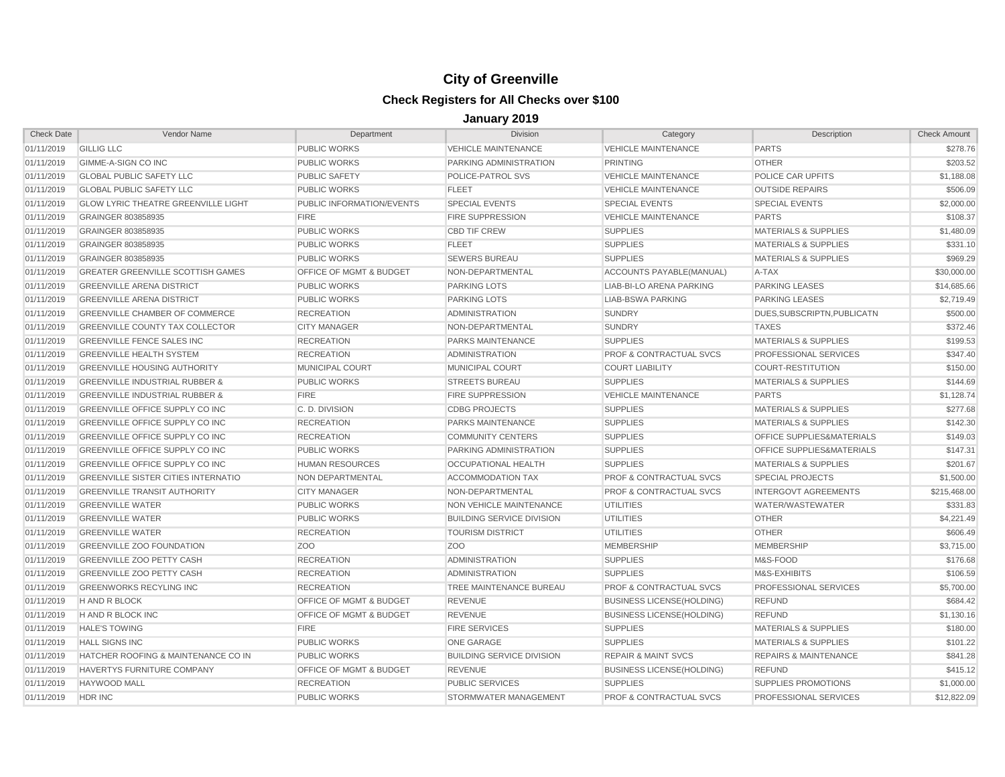| <b>Check Date</b> | Vendor Name                                | Department                         | <b>Division</b>                  | Category                           | Description                          | <b>Check Amount</b> |
|-------------------|--------------------------------------------|------------------------------------|----------------------------------|------------------------------------|--------------------------------------|---------------------|
| 01/11/2019        | <b>GILLIG LLC</b>                          | PUBLIC WORKS                       | <b>VEHICLE MAINTENANCE</b>       | <b>VEHICLE MAINTENANCE</b>         | <b>PARTS</b>                         | \$278.76            |
| 01/11/2019        | <b>GIMME-A-SIGN CO INC</b>                 | <b>PUBLIC WORKS</b>                | PARKING ADMINISTRATION           | PRINTING                           | <b>OTHER</b>                         | \$203.52            |
| 01/11/2019        | <b>GLOBAL PUBLIC SAFETY LLC</b>            | <b>PUBLIC SAFETY</b>               | POLICE-PATROL SVS                | <b>VEHICLE MAINTENANCE</b>         | <b>POLICE CAR UPFITS</b>             | \$1,188.08          |
| 01/11/2019        | <b>GLOBAL PUBLIC SAFETY LLC</b>            | <b>PUBLIC WORKS</b>                | <b>FLEET</b>                     | <b>VEHICLE MAINTENANCE</b>         | <b>OUTSIDE REPAIRS</b>               | \$506.09            |
| 01/11/2019        | <b>GLOW LYRIC THEATRE GREENVILLE LIGHT</b> | PUBLIC INFORMATION/EVENTS          | <b>SPECIAL EVENTS</b>            | <b>SPECIAL EVENTS</b>              | <b>SPECIAL EVENTS</b>                | \$2.000.00          |
| 01/11/2019        | GRAINGER 803858935                         | <b>FIRE</b>                        | <b>FIRE SUPPRESSION</b>          | VEHICLE MAINTENANCE                | <b>PARTS</b>                         | \$108.37            |
| 01/11/2019        | GRAINGER 803858935                         | <b>PUBLIC WORKS</b>                | <b>CBD TIF CREW</b>              | <b>SUPPLIES</b>                    | MATERIALS & SUPPLIES                 | \$1,480.09          |
| 01/11/2019        | GRAINGER 803858935                         | <b>PUBLIC WORKS</b>                | <b>FLEET</b>                     | <b>SUPPLIES</b>                    | <b>MATERIALS &amp; SUPPLIES</b>      | \$331.10            |
| 01/11/2019        | GRAINGER 803858935                         | <b>PUBLIC WORKS</b>                | <b>SEWERS BUREAU</b>             | <b>SUPPLIES</b>                    | <b>MATERIALS &amp; SUPPLIES</b>      | \$969.29            |
| 01/11/2019        | <b>GREATER GREENVILLE SCOTTISH GAMES</b>   | OFFICE OF MGMT & BUDGET            | NON-DEPARTMENTAL                 | ACCOUNTS PAYABLE(MANUAL)           | A-TAX                                | \$30,000.00         |
| 01/11/2019        | <b>GREENVILLE ARENA DISTRICT</b>           | <b>PUBLIC WORKS</b>                | <b>PARKING LOTS</b>              | <b>LIAB-BI-LO ARENA PARKING</b>    | <b>PARKING LEASES</b>                | \$14,685.66         |
| 01/11/2019        | <b>GREENVILLE ARENA DISTRICT</b>           | <b>PUBLIC WORKS</b>                | <b>PARKING LOTS</b>              | <b>LIAB-BSWA PARKING</b>           | <b>PARKING LEASES</b>                | \$2,719.49          |
| 01/11/2019        | <b>GREENVILLE CHAMBER OF COMMERCE</b>      | <b>RECREATION</b>                  | <b>ADMINISTRATION</b>            | <b>SUNDRY</b>                      | DUES.SUBSCRIPTN.PUBLICATN            | \$500.00            |
| 01/11/2019        | <b>GREENVILLE COUNTY TAX COLLECTOR</b>     | <b>CITY MANAGER</b>                | NON-DEPARTMENTAL                 | <b>SUNDRY</b>                      | <b>TAXES</b>                         | \$372.46            |
| 01/11/2019        | <b>GREENVILLE FENCE SALES INC</b>          | <b>RECREATION</b>                  | PARKS MAINTENANCE                | <b>SUPPLIES</b>                    | <b>MATERIALS &amp; SUPPLIES</b>      | \$199.53            |
| 01/11/2019        | <b>GREENVILLE HEALTH SYSTEM</b>            | <b>RECREATION</b>                  | <b>ADMINISTRATION</b>            | <b>PROF &amp; CONTRACTUAL SVCS</b> | PROFESSIONAL SERVICES                | \$347.40            |
| 01/11/2019        | <b>GREENVILLE HOUSING AUTHORITY</b>        | <b>MUNICIPAL COURT</b>             | <b>MUNICIPAL COURT</b>           | <b>COURT LIABILITY</b>             | <b>COURT-RESTITUTION</b>             | \$150.00            |
| 01/11/2019        | <b>GREENVILLE INDUSTRIAL RUBBER &amp;</b>  | <b>PUBLIC WORKS</b>                | <b>STREETS BUREAU</b>            | <b>SUPPLIES</b>                    | <b>MATERIALS &amp; SUPPLIES</b>      | \$144.69            |
| 01/11/2019        | <b>GREENVILLE INDUSTRIAL RUBBER &amp;</b>  | <b>FIRE</b>                        | <b>FIRE SUPPRESSION</b>          | <b>VEHICLE MAINTENANCE</b>         | <b>PARTS</b>                         | \$1,128.74          |
| 01/11/2019        | <b>GREENVILLE OFFICE SUPPLY CO INC</b>     | C. D. DIVISION                     | <b>CDBG PROJECTS</b>             | <b>SUPPLIES</b>                    | <b>MATERIALS &amp; SUPPLIES</b>      | \$277.68            |
| 01/11/2019        | GREENVILLE OFFICE SUPPLY CO INC            | <b>RECREATION</b>                  | PARKS MAINTENANCE                | <b>SUPPLIES</b>                    | <b>MATERIALS &amp; SUPPLIES</b>      | \$142.30            |
| 01/11/2019        | <b>GREENVILLE OFFICE SUPPLY CO INC</b>     | <b>RECREATION</b>                  | <b>COMMUNITY CENTERS</b>         | <b>SUPPLIES</b>                    | <b>OFFICE SUPPLIES&amp;MATERIALS</b> | \$149.03            |
| 01/11/2019        | <b>GREENVILLE OFFICE SUPPLY CO INC</b>     | <b>PUBLIC WORKS</b>                | PARKING ADMINISTRATION           | <b>SUPPLIES</b>                    | OFFICE SUPPLIES&MATERIALS            | \$147.31            |
| 01/11/2019        | GREENVILLE OFFICE SUPPLY CO INC            | <b>HUMAN RESOURCES</b>             | OCCUPATIONAL HEALTH              | <b>SUPPLIES</b>                    | <b>MATERIALS &amp; SUPPLIES</b>      | \$201.67            |
| 01/11/2019        | <b>GREENVILLE SISTER CITIES INTERNATIO</b> | NON DEPARTMENTAL                   | <b>ACCOMMODATION TAX</b>         | <b>PROF &amp; CONTRACTUAL SVCS</b> | <b>SPECIAL PROJECTS</b>              | \$1,500.00          |
| 01/11/2019        | <b>GREENVILLE TRANSIT AUTHORITY</b>        | <b>CITY MANAGER</b>                | NON-DEPARTMENTAL                 | <b>PROF &amp; CONTRACTUAL SVCS</b> | <b>INTERGOVT AGREEMENTS</b>          | \$215,468.00        |
| 01/11/2019        | <b>GREENVILLE WATER</b>                    | <b>PUBLIC WORKS</b>                | NON VEHICLE MAINTENANCE          | <b>UTILITIES</b>                   | WATER/WASTEWATER                     | \$331.83            |
| 01/11/2019        | <b>GREENVILLE WATER</b>                    | PUBLIC WORKS                       | <b>BUILDING SERVICE DIVISION</b> | <b>UTILITIES</b>                   | <b>OTHER</b>                         | \$4,221.49          |
| 01/11/2019        | <b>GREENVILLE WATER</b>                    | <b>RECREATION</b>                  | <b>TOURISM DISTRICT</b>          | <b>UTILITIES</b>                   | <b>OTHER</b>                         | \$606.49            |
| 01/11/2019        | <b>GREENVILLE ZOO FOUNDATION</b>           | Z <sub>O</sub> O                   | Z <sub>O</sub> O                 | <b>MEMBERSHIP</b>                  | <b>MEMBERSHIP</b>                    | \$3,715.00          |
| 01/11/2019        | <b>GREENVILLE ZOO PETTY CASH</b>           | <b>RECREATION</b>                  | <b>ADMINISTRATION</b>            | <b>SUPPLIES</b>                    | M&S-FOOD                             | \$176.68            |
| 01/11/2019        | <b>GREENVILLE ZOO PETTY CASH</b>           | <b>RECREATION</b>                  | <b>ADMINISTRATION</b>            | <b>SUPPLIES</b>                    | M&S-EXHIBITS                         | \$106.59            |
| 01/11/2019        | <b>GREENWORKS RECYLING INC</b>             | <b>RECREATION</b>                  | TREE MAINTENANCE BUREAU          | <b>PROF &amp; CONTRACTUAL SVCS</b> | PROFESSIONAL SERVICES                | \$5,700.00          |
| 01/11/2019        | <b>HAND R BLOCK</b>                        | <b>OFFICE OF MGMT &amp; BUDGET</b> | <b>REVENUE</b>                   | <b>BUSINESS LICENSE(HOLDING)</b>   | <b>REFUND</b>                        | \$684.42            |
| 01/11/2019        | H AND R BLOCK INC                          | <b>OFFICE OF MGMT &amp; BUDGET</b> | <b>REVENUE</b>                   | <b>BUSINESS LICENSE(HOLDING)</b>   | <b>REFUND</b>                        | \$1,130.16          |
| 01/11/2019        | <b>HALE'S TOWING</b>                       | <b>FIRE</b>                        | <b>FIRE SERVICES</b>             | <b>SUPPLIES</b>                    | <b>MATERIALS &amp; SUPPLIES</b>      | \$180.00            |
| 01/11/2019        | <b>HALL SIGNS INC</b>                      | PUBLIC WORKS                       | <b>ONE GARAGE</b>                | <b>SUPPLIES</b>                    | <b>MATERIALS &amp; SUPPLIES</b>      | \$101.22            |
| 01/11/2019        | HATCHER ROOFING & MAINTENANCE CO IN        | <b>PUBLIC WORKS</b>                | <b>BUILDING SERVICE DIVISION</b> | <b>REPAIR &amp; MAINT SVCS</b>     | <b>REPAIRS &amp; MAINTENANCE</b>     | \$841.28            |
| 01/11/2019        | HAVERTYS FURNITURE COMPANY                 | OFFICE OF MGMT & BUDGET            | <b>REVENUE</b>                   | <b>BUSINESS LICENSE(HOLDING)</b>   | <b>REFUND</b>                        | \$415.12            |
| 01/11/2019        | <b>HAYWOOD MALL</b>                        | <b>RECREATION</b>                  | <b>PUBLIC SERVICES</b>           | <b>SUPPLIES</b>                    | <b>SUPPLIES PROMOTIONS</b>           | \$1,000.00          |
| 01/11/2019        | HDR INC                                    | <b>PUBLIC WORKS</b>                | STORMWATER MANAGEMENT            | <b>PROF &amp; CONTRACTUAL SVCS</b> | PROFESSIONAL SERVICES                | \$12,822.09         |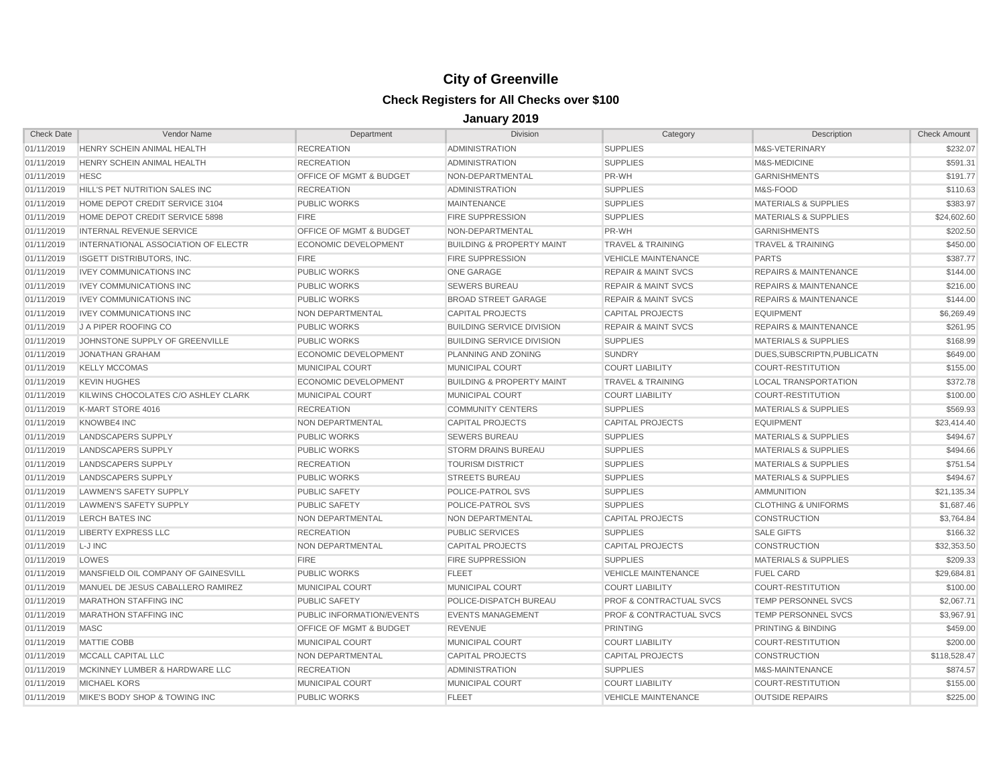| <b>Check Date</b> | Vendor Name                         | Department                         | <b>Division</b>                      | Category                           | Description                      | <b>Check Amount</b> |
|-------------------|-------------------------------------|------------------------------------|--------------------------------------|------------------------------------|----------------------------------|---------------------|
| 01/11/2019        | HENRY SCHEIN ANIMAL HEALTH          | <b>RECREATION</b>                  | <b>ADMINISTRATION</b>                | <b>SUPPLIES</b>                    | M&S-VETERINARY                   | \$232.07            |
| 01/11/2019        | HENRY SCHEIN ANIMAL HEALTH          | <b>RECREATION</b>                  | <b>ADMINISTRATION</b>                | <b>SUPPLIES</b>                    | M&S-MEDICINE                     | \$591.31            |
| 01/11/2019        | <b>HESC</b>                         | <b>OFFICE OF MGMT &amp; BUDGET</b> | NON-DEPARTMENTAL                     | PR-WH                              | <b>GARNISHMENTS</b>              | \$191.77            |
| 01/11/2019        | HILL'S PET NUTRITION SALES INC      | <b>RECREATION</b>                  | <b>ADMINISTRATION</b>                | <b>SUPPLIES</b>                    | M&S-FOOD                         | \$110.63            |
| 01/11/2019        | HOME DEPOT CREDIT SERVICE 3104      | <b>PUBLIC WORKS</b>                | <b>MAINTENANCE</b>                   | <b>SUPPLIES</b>                    | <b>MATERIALS &amp; SUPPLIES</b>  | \$383.97            |
| 01/11/2019        | HOME DEPOT CREDIT SERVICE 5898      | <b>FIRE</b>                        | <b>FIRE SUPPRESSION</b>              | <b>SUPPLIES</b>                    | <b>MATERIALS &amp; SUPPLIES</b>  | \$24,602.60         |
| 01/11/2019        | <b>INTERNAL REVENUE SERVICE</b>     | <b>OFFICE OF MGMT &amp; BUDGET</b> | NON-DEPARTMENTAL                     | PR-WH                              | <b>GARNISHMENTS</b>              | \$202.50            |
| 01/11/2019        | INTERNATIONAL ASSOCIATION OF ELECTR | ECONOMIC DEVELOPMENT               | <b>BUILDING &amp; PROPERTY MAINT</b> | TRAVEL & TRAINING                  | <b>TRAVEL &amp; TRAINING</b>     | \$450.00            |
| 01/11/2019        | <b>ISGETT DISTRIBUTORS, INC.</b>    | <b>FIRE</b>                        | <b>FIRE SUPPRESSION</b>              | <b>VEHICLE MAINTENANCE</b>         | <b>PARTS</b>                     | \$387.77            |
| 01/11/2019        | <b>IVEY COMMUNICATIONS INC</b>      | <b>PUBLIC WORKS</b>                | <b>ONE GARAGE</b>                    | <b>REPAIR &amp; MAINT SVCS</b>     | <b>REPAIRS &amp; MAINTENANCE</b> | \$144.00            |
| 01/11/2019        | <b>IVEY COMMUNICATIONS INC</b>      | <b>PUBLIC WORKS</b>                | <b>SEWERS BUREAU</b>                 | <b>REPAIR &amp; MAINT SVCS</b>     | <b>REPAIRS &amp; MAINTENANCE</b> | \$216.00            |
| 01/11/2019        | <b>IVEY COMMUNICATIONS INC</b>      | PUBLIC WORKS                       | <b>BROAD STREET GARAGE</b>           | <b>REPAIR &amp; MAINT SVCS</b>     | <b>REPAIRS &amp; MAINTENANCE</b> | \$144.00            |
| 01/11/2019        | <b>IVEY COMMUNICATIONS INC</b>      | NON DEPARTMENTAL                   | <b>CAPITAL PROJECTS</b>              | <b>CAPITAL PROJECTS</b>            | <b>EQUIPMENT</b>                 | \$6,269.49          |
| 01/11/2019        | J A PIPER ROOFING CO                | <b>PUBLIC WORKS</b>                | <b>BUILDING SERVICE DIVISION</b>     | <b>REPAIR &amp; MAINT SVCS</b>     | <b>REPAIRS &amp; MAINTENANCE</b> | \$261.95            |
| 01/11/2019        | JOHNSTONE SUPPLY OF GREENVILLE      | <b>PUBLIC WORKS</b>                | <b>BUILDING SERVICE DIVISION</b>     | <b>SUPPLIES</b>                    | <b>MATERIALS &amp; SUPPLIES</b>  | \$168.99            |
| 01/11/2019        | <b>JONATHAN GRAHAM</b>              | ECONOMIC DEVELOPMENT               | PLANNING AND ZONING                  | <b>SUNDRY</b>                      | DUES, SUBSCRIPTN, PUBLICATN      | \$649.00            |
| 01/11/2019        | <b>KELLY MCCOMAS</b>                | MUNICIPAL COURT                    | <b>MUNICIPAL COURT</b>               | <b>COURT LIABILITY</b>             | <b>COURT-RESTITUTION</b>         | \$155.00            |
| 01/11/2019        | <b>KEVIN HUGHES</b>                 | ECONOMIC DEVELOPMENT               | <b>BUILDING &amp; PROPERTY MAINT</b> | <b>TRAVEL &amp; TRAINING</b>       | <b>LOCAL TRANSPORTATION</b>      | \$372.78            |
| 01/11/2019        | KILWINS CHOCOLATES C/O ASHLEY CLARK | MUNICIPAL COURT                    | <b>MUNICIPAL COURT</b>               | <b>COURT LIABILITY</b>             | <b>COURT-RESTITUTION</b>         | \$100.00            |
| 01/11/2019        | K-MART STORE 4016                   | <b>RECREATION</b>                  | <b>COMMUNITY CENTERS</b>             | <b>SUPPLIES</b>                    | <b>MATERIALS &amp; SUPPLIES</b>  | \$569.93            |
| 01/11/2019        | <b>KNOWBE4 INC</b>                  | NON DEPARTMENTAL                   | <b>CAPITAL PROJECTS</b>              | <b>CAPITAL PROJECTS</b>            | <b>EQUIPMENT</b>                 | \$23,414.40         |
| 01/11/2019        | <b>LANDSCAPERS SUPPLY</b>           | PUBLIC WORKS                       | <b>SEWERS BUREAU</b>                 | <b>SUPPLIES</b>                    | <b>MATERIALS &amp; SUPPLIES</b>  | \$494.67            |
| 01/11/2019        | <b>LANDSCAPERS SUPPLY</b>           | <b>PUBLIC WORKS</b>                | <b>STORM DRAINS BUREAU</b>           | <b>SUPPLIES</b>                    | <b>MATERIALS &amp; SUPPLIES</b>  | \$494.66            |
| 01/11/2019        | <b>LANDSCAPERS SUPPLY</b>           | <b>RECREATION</b>                  | <b>TOURISM DISTRICT</b>              | <b>SUPPLIES</b>                    | <b>MATERIALS &amp; SUPPLIES</b>  | \$751.54            |
| 01/11/2019        | LANDSCAPERS SUPPLY                  | <b>PUBLIC WORKS</b>                | <b>STREETS BUREAU</b>                | <b>SUPPLIES</b>                    | <b>MATERIALS &amp; SUPPLIES</b>  | \$494.67            |
| 01/11/2019        | <b>LAWMEN'S SAFETY SUPPLY</b>       | <b>PUBLIC SAFETY</b>               | POLICE-PATROL SVS                    | <b>SUPPLIES</b>                    | <b>AMMUNITION</b>                | \$21,135.34         |
| 01/11/2019        | <b>LAWMEN'S SAFETY SUPPLY</b>       | PUBLIC SAFETY                      | POLICE-PATROL SVS                    | <b>SUPPLIES</b>                    | <b>CLOTHING &amp; UNIFORMS</b>   | \$1,687.46          |
| 01/11/2019        | <b>LERCH BATES INC</b>              | NON DEPARTMENTAL                   | NON DEPARTMENTAL                     | <b>CAPITAL PROJECTS</b>            | <b>CONSTRUCTION</b>              | \$3,764.84          |
| 01/11/2019        | <b>LIBERTY EXPRESS LLC</b>          | <b>RECREATION</b>                  | <b>PUBLIC SERVICES</b>               | <b>SUPPLIES</b>                    | <b>SALE GIFTS</b>                | \$166.32            |
| 01/11/2019        | L-J INC                             | NON DEPARTMENTAL                   | <b>CAPITAL PROJECTS</b>              | <b>CAPITAL PROJECTS</b>            | <b>CONSTRUCTION</b>              | \$32,353.50         |
| 01/11/2019        | LOWES                               | <b>FIRE</b>                        | <b>FIRE SUPPRESSION</b>              | <b>SUPPLIES</b>                    | <b>MATERIALS &amp; SUPPLIES</b>  | \$209.33            |
| 01/11/2019        | MANSFIELD OIL COMPANY OF GAINESVILL | <b>PUBLIC WORKS</b>                | <b>FLEET</b>                         | <b>VEHICLE MAINTENANCE</b>         | <b>FUEL CARD</b>                 | \$29,684.81         |
| 01/11/2019        | MANUEL DE JESUS CABALLERO RAMIREZ   | MUNICIPAL COURT                    | MUNICIPAL COURT                      | <b>COURT LIABILITY</b>             | <b>COURT-RESTITUTION</b>         | \$100.00            |
| 01/11/2019        | <b>MARATHON STAFFING INC</b>        | <b>PUBLIC SAFETY</b>               | POLICE-DISPATCH BUREAU               | <b>PROF &amp; CONTRACTUAL SVCS</b> | TEMP PERSONNEL SVCS              | \$2,067.71          |
| 01/11/2019        | <b>MARATHON STAFFING INC</b>        | PUBLIC INFORMATION/EVENTS          | <b>EVENTS MANAGEMENT</b>             | <b>PROF &amp; CONTRACTUAL SVCS</b> | <b>TEMP PERSONNEL SVCS</b>       | \$3,967.91          |
| 01/11/2019        | <b>MASC</b>                         | OFFICE OF MGMT & BUDGET            | <b>REVENUE</b>                       | <b>PRINTING</b>                    | PRINTING & BINDING               | \$459.00            |
| 01/11/2019        | <b>MATTIE COBB</b>                  | MUNICIPAL COURT                    | MUNICIPAL COURT                      | <b>COURT LIABILITY</b>             | <b>COURT-RESTITUTION</b>         | \$200.00            |
| 01/11/2019        | MCCALL CAPITAL LLC                  | NON DEPARTMENTAL                   | <b>CAPITAL PROJECTS</b>              | <b>CAPITAL PROJECTS</b>            | <b>CONSTRUCTION</b>              | \$118,528.47        |
| 01/11/2019        | MCKINNEY LUMBER & HARDWARE LLC      | <b>RECREATION</b>                  | <b>ADMINISTRATION</b>                | <b>SUPPLIES</b>                    | M&S-MAINTENANCE                  | \$874.57            |
| 01/11/2019        | <b>MICHAEL KORS</b>                 | MUNICIPAL COURT                    | MUNICIPAL COURT                      | <b>COURT LIABILITY</b>             | <b>COURT-RESTITUTION</b>         | \$155.00            |
| 01/11/2019        | MIKE'S BODY SHOP & TOWING INC       | <b>PUBLIC WORKS</b>                | <b>FLEET</b>                         | <b>VEHICLE MAINTENANCE</b>         | <b>OUTSIDE REPAIRS</b>           | \$225.00            |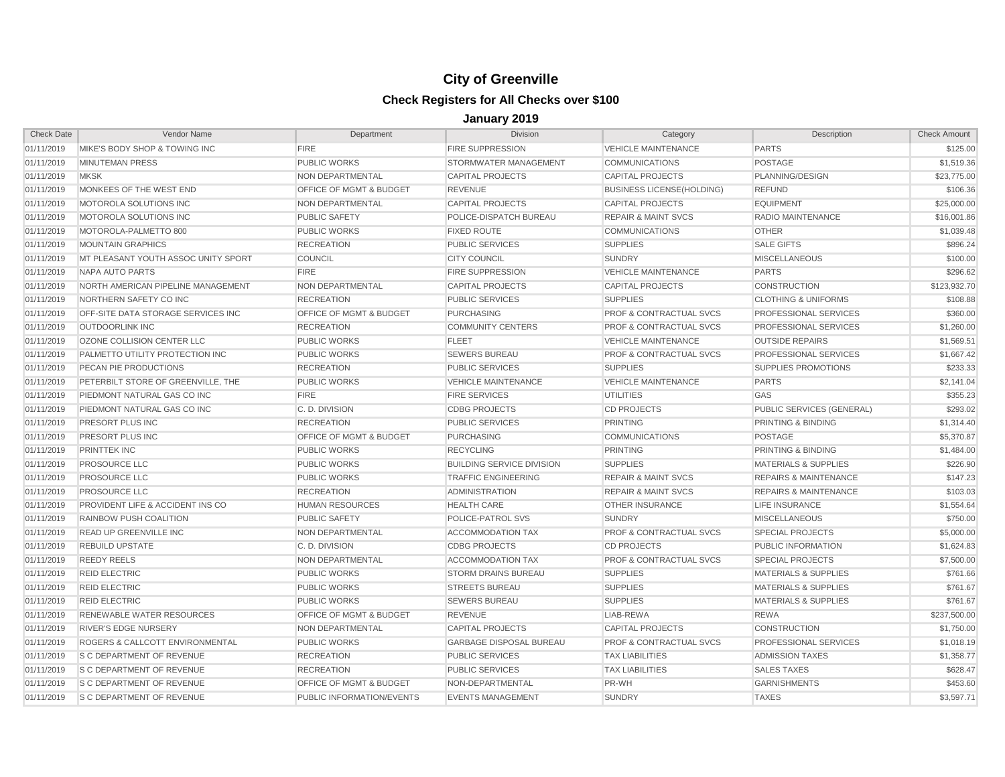| <b>Check Date</b> | Vendor Name                         | Department                         | <b>Division</b>                  | Category                           | Description                      | <b>Check Amount</b> |
|-------------------|-------------------------------------|------------------------------------|----------------------------------|------------------------------------|----------------------------------|---------------------|
| 01/11/2019        | MIKE'S BODY SHOP & TOWING INC       | <b>FIRE</b>                        | <b>FIRE SUPPRESSION</b>          | <b>VEHICLE MAINTENANCE</b>         | <b>PARTS</b>                     | \$125.00            |
| 01/11/2019        | <b>MINUTEMAN PRESS</b>              | <b>PUBLIC WORKS</b>                | STORMWATER MANAGEMENT            | <b>COMMUNICATIONS</b>              | <b>POSTAGE</b>                   | \$1.519.36          |
| 01/11/2019        | <b>MKSK</b>                         | NON DEPARTMENTAL                   | <b>CAPITAL PROJECTS</b>          | <b>CAPITAL PROJECTS</b>            | PLANNING/DESIGN                  | \$23,775.00         |
| 01/11/2019        | MONKEES OF THE WEST END             | OFFICE OF MGMT & BUDGET            | <b>REVENUE</b>                   | <b>BUSINESS LICENSE(HOLDING)</b>   | <b>REFUND</b>                    | \$106.36            |
| 01/11/2019        | MOTOROLA SOLUTIONS INC              | NON DEPARTMENTAL                   | <b>CAPITAL PROJECTS</b>          | <b>CAPITAL PROJECTS</b>            | <b>EQUIPMENT</b>                 | \$25,000.00         |
| 01/11/2019        | MOTOROLA SOLUTIONS INC              | <b>PUBLIC SAFETY</b>               | POLICE-DISPATCH BUREAU           | <b>REPAIR &amp; MAINT SVCS</b>     | <b>RADIO MAINTENANCE</b>         | \$16,001.86         |
| 01/11/2019        | MOTOROLA-PALMETTO 800               | <b>PUBLIC WORKS</b>                | <b>FIXED ROUTE</b>               | <b>COMMUNICATIONS</b>              | <b>OTHER</b>                     | \$1,039.48          |
| 01/11/2019        | <b>MOUNTAIN GRAPHICS</b>            | <b>RECREATION</b>                  | <b>PUBLIC SERVICES</b>           | <b>SUPPLIES</b>                    | <b>SALE GIFTS</b>                | \$896.24            |
| 01/11/2019        | MT PLEASANT YOUTH ASSOC UNITY SPORT | <b>COUNCIL</b>                     | <b>CITY COUNCIL</b>              | <b>SUNDRY</b>                      | <b>MISCELLANEOUS</b>             | \$100.00            |
| 01/11/2019        | NAPA AUTO PARTS                     | <b>FIRE</b>                        | <b>FIRE SUPPRESSION</b>          | <b>VEHICLE MAINTENANCE</b>         | <b>PARTS</b>                     | \$296.62            |
| 01/11/2019        | NORTH AMERICAN PIPELINE MANAGEMENT  | NON DEPARTMENTAL                   | <b>CAPITAL PROJECTS</b>          | <b>CAPITAL PROJECTS</b>            | <b>CONSTRUCTION</b>              | \$123,932.70        |
| 01/11/2019        | NORTHERN SAFETY CO INC              | <b>RECREATION</b>                  | <b>PUBLIC SERVICES</b>           | <b>SUPPLIES</b>                    | <b>CLOTHING &amp; UNIFORMS</b>   | \$108.88            |
| 01/11/2019        | OFF-SITE DATA STORAGE SERVICES INC  | <b>OFFICE OF MGMT &amp; BUDGET</b> | <b>PURCHASING</b>                | <b>PROF &amp; CONTRACTUAL SVCS</b> | PROFESSIONAL SERVICES            | \$360.00            |
| 01/11/2019        | <b>OUTDOORLINK INC</b>              | <b>RECREATION</b>                  | <b>COMMUNITY CENTERS</b>         | <b>PROF &amp; CONTRACTUAL SVCS</b> | PROFESSIONAL SERVICES            | \$1,260.00          |
| 01/11/2019        | OZONE COLLISION CENTER LLC          | <b>PUBLIC WORKS</b>                | <b>FLEET</b>                     | <b>VEHICLE MAINTENANCE</b>         | <b>OUTSIDE REPAIRS</b>           | \$1,569.51          |
| 01/11/2019        | PALMETTO UTILITY PROTECTION INC     | <b>PUBLIC WORKS</b>                | <b>SEWERS BUREAU</b>             | <b>PROF &amp; CONTRACTUAL SVCS</b> | PROFESSIONAL SERVICES            | \$1,667.42          |
| 01/11/2019        | PECAN PIE PRODUCTIONS               | <b>RECREATION</b>                  | <b>PUBLIC SERVICES</b>           | <b>SUPPLIES</b>                    | <b>SUPPLIES PROMOTIONS</b>       | \$233.33            |
| 01/11/2019        | PETERBILT STORE OF GREENVILLE. THE  | <b>PUBLIC WORKS</b>                | <b>VEHICLE MAINTENANCE</b>       | <b>VEHICLE MAINTENANCE</b>         | <b>PARTS</b>                     | \$2,141.04          |
| 01/11/2019        | PIEDMONT NATURAL GAS CO INC         | <b>FIRE</b>                        | <b>FIRE SERVICES</b>             | <b>UTILITIES</b>                   | GAS                              | \$355.23            |
| 01/11/2019        | PIEDMONT NATURAL GAS CO INC         | C. D. DIVISION                     | <b>CDBG PROJECTS</b>             | <b>CD PROJECTS</b>                 | PUBLIC SERVICES (GENERAL)        | \$293.02            |
| 01/11/2019        | PRESORT PLUS INC                    | <b>RECREATION</b>                  | <b>PUBLIC SERVICES</b>           | <b>PRINTING</b>                    | PRINTING & BINDING               | \$1,314.40          |
| 01/11/2019        | PRESORT PLUS INC                    | OFFICE OF MGMT & BUDGET            | PURCHASING                       | <b>COMMUNICATIONS</b>              | POSTAGE                          | \$5,370.87          |
| 01/11/2019        | PRINTTEK INC                        | <b>PUBLIC WORKS</b>                | <b>RECYCLING</b>                 | <b>PRINTING</b>                    | PRINTING & BINDING               | \$1,484.00          |
| 01/11/2019        | <b>PROSOURCE LLC</b>                | <b>PUBLIC WORKS</b>                | <b>BUILDING SERVICE DIVISION</b> | <b>SUPPLIES</b>                    | <b>MATERIALS &amp; SUPPLIES</b>  | \$226.90            |
| 01/11/2019        | PROSOURCE LLC                       | <b>PUBLIC WORKS</b>                | <b>TRAFFIC ENGINEERING</b>       | <b>REPAIR &amp; MAINT SVCS</b>     | <b>REPAIRS &amp; MAINTENANCE</b> | \$147.23            |
| 01/11/2019        | <b>PROSOURCE LLC</b>                | <b>RECREATION</b>                  | <b>ADMINISTRATION</b>            | <b>REPAIR &amp; MAINT SVCS</b>     | <b>REPAIRS &amp; MAINTENANCE</b> | \$103.03            |
| 01/11/2019        | PROVIDENT LIFE & ACCIDENT INS CO    | <b>HUMAN RESOURCES</b>             | <b>HEALTH CARE</b>               | <b>OTHER INSURANCE</b>             | LIFE INSURANCE                   | \$1,554.64          |
| 01/11/2019        | RAINBOW PUSH COALITION              | <b>PUBLIC SAFETY</b>               | POLICE-PATROL SVS                | <b>SUNDRY</b>                      | <b>MISCELLANEOUS</b>             | \$750.00            |
| 01/11/2019        | <b>READ UP GREENVILLE INC</b>       | NON DEPARTMENTAL                   | <b>ACCOMMODATION TAX</b>         | <b>PROF &amp; CONTRACTUAL SVCS</b> | <b>SPECIAL PROJECTS</b>          | \$5,000.00          |
| 01/11/2019        | <b>REBUILD UPSTATE</b>              | C. D. DIVISION                     | <b>CDBG PROJECTS</b>             | <b>CD PROJECTS</b>                 | PUBLIC INFORMATION               | \$1,624.83          |
| 01/11/2019        | <b>REEDY REELS</b>                  | NON DEPARTMENTAL                   | ACCOMMODATION TAX                | <b>PROF &amp; CONTRACTUAL SVCS</b> | <b>SPECIAL PROJECTS</b>          | \$7,500.00          |
| 01/11/2019        | <b>REID ELECTRIC</b>                | <b>PUBLIC WORKS</b>                | <b>STORM DRAINS BUREAU</b>       | <b>SUPPLIES</b>                    | <b>MATERIALS &amp; SUPPLIES</b>  | \$761.66            |
| 01/11/2019        | <b>REID ELECTRIC</b>                | <b>PUBLIC WORKS</b>                | <b>STREETS BUREAU</b>            | <b>SUPPLIES</b>                    | <b>MATERIALS &amp; SUPPLIES</b>  | \$761.67            |
| 01/11/2019        | <b>REID ELECTRIC</b>                | <b>PUBLIC WORKS</b>                | <b>SEWERS BUREAU</b>             | <b>SUPPLIES</b>                    | <b>MATERIALS &amp; SUPPLIES</b>  | \$761.67            |
| 01/11/2019        | RENEWABLE WATER RESOURCES           | <b>OFFICE OF MGMT &amp; BUDGET</b> | <b>REVENUE</b>                   | LIAB-REWA                          | <b>REWA</b>                      | \$237,500.00        |
| 01/11/2019        | <b>RIVER'S EDGE NURSERY</b>         | NON DEPARTMENTAL                   | <b>CAPITAL PROJECTS</b>          | <b>CAPITAL PROJECTS</b>            | <b>CONSTRUCTION</b>              | \$1,750.00          |
| 01/11/2019        | ROGERS & CALLCOTT ENVIRONMENTAL     | <b>PUBLIC WORKS</b>                | <b>GARBAGE DISPOSAL BUREAU</b>   | <b>PROF &amp; CONTRACTUAL SVCS</b> | PROFESSIONAL SERVICES            | \$1,018.19          |
| 01/11/2019        | <b>S C DEPARTMENT OF REVENUE</b>    | <b>RECREATION</b>                  | <b>PUBLIC SERVICES</b>           | <b>TAX LIABILITIES</b>             | <b>ADMISSION TAXES</b>           | \$1,358.77          |
| 01/11/2019        | S C DEPARTMENT OF REVENUE           | <b>RECREATION</b>                  | <b>PUBLIC SERVICES</b>           | <b>TAX LIABILITIES</b>             | <b>SALES TAXES</b>               | \$628.47            |
| 01/11/2019        | S C DEPARTMENT OF REVENUE           | <b>OFFICE OF MGMT &amp; BUDGET</b> | NON-DEPARTMENTAL                 | PR-WH                              | <b>GARNISHMENTS</b>              | \$453.60            |
| 01/11/2019        | S C DEPARTMENT OF REVENUE           | PUBLIC INFORMATION/EVENTS          | <b>EVENTS MANAGEMENT</b>         | <b>SUNDRY</b>                      | <b>TAXES</b>                     | \$3.597.71          |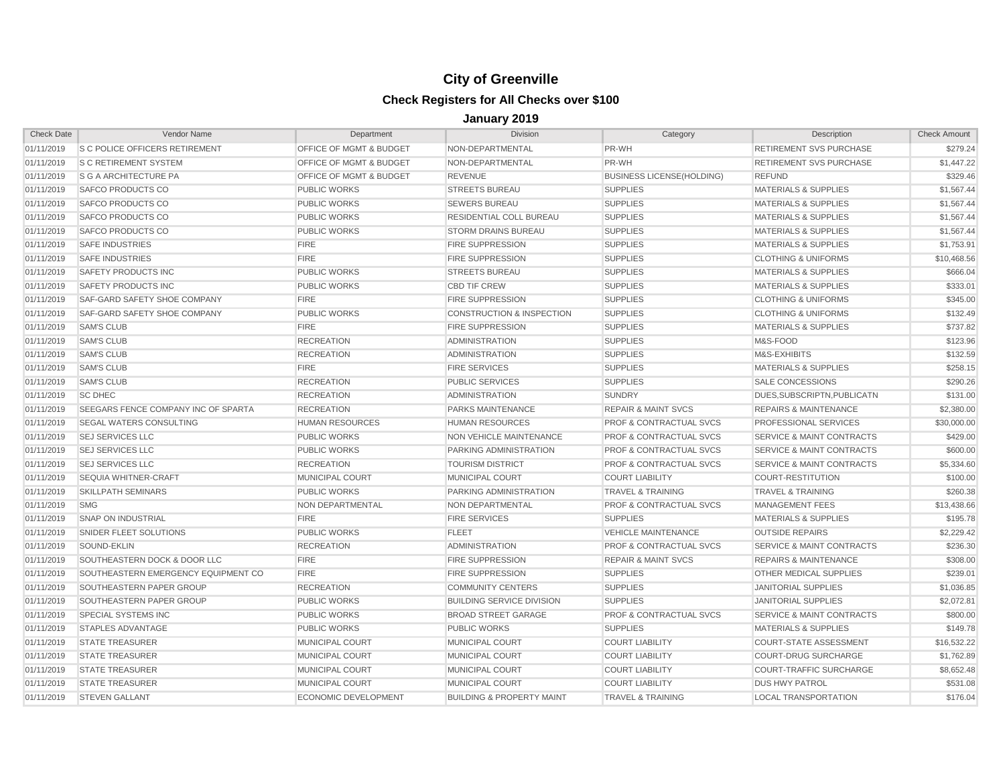| <b>Check Date</b> | Vendor Name                           | Department                         | <b>Division</b>                      | Category                           | <b>Description</b>                   | <b>Check Amount</b> |
|-------------------|---------------------------------------|------------------------------------|--------------------------------------|------------------------------------|--------------------------------------|---------------------|
| 01/11/2019        | <b>S C POLICE OFFICERS RETIREMENT</b> | <b>OFFICE OF MGMT &amp; BUDGET</b> | NON-DEPARTMENTAL                     | PR-WH                              | <b>RETIREMENT SVS PURCHASE</b>       | \$279.24            |
| 01/11/2019        | <b>S C RETIREMENT SYSTEM</b>          | <b>OFFICE OF MGMT &amp; BUDGET</b> | NON-DEPARTMENTAL                     | PR-WH                              | <b>RETIREMENT SVS PURCHASE</b>       | \$1,447.22          |
| 01/11/2019        | <b>S G A ARCHITECTURE PA</b>          | <b>OFFICE OF MGMT &amp; BUDGET</b> | <b>REVENUE</b>                       | <b>BUSINESS LICENSE(HOLDING)</b>   | <b>REFUND</b>                        | \$329.46            |
| 01/11/2019        | SAFCO PRODUCTS CO                     | <b>PUBLIC WORKS</b>                | <b>STREETS BUREAU</b>                | <b>SUPPLIES</b>                    | <b>MATERIALS &amp; SUPPLIES</b>      | \$1,567.44          |
| 01/11/2019        | SAFCO PRODUCTS CO                     | <b>PUBLIC WORKS</b>                | <b>SEWERS BUREAU</b>                 | <b>SUPPLIES</b>                    | <b>MATERIALS &amp; SUPPLIES</b>      | \$1,567.44          |
| 01/11/2019        | SAFCO PRODUCTS CO                     | <b>PUBLIC WORKS</b>                | RESIDENTIAL COLL BUREAU              | <b>SUPPLIES</b>                    | <b>MATERIALS &amp; SUPPLIES</b>      | \$1,567.44          |
| 01/11/2019        | SAFCO PRODUCTS CO                     | <b>PUBLIC WORKS</b>                | <b>STORM DRAINS BUREAU</b>           | <b>SUPPLIES</b>                    | <b>MATERIALS &amp; SUPPLIES</b>      | \$1,567.44          |
| 01/11/2019        | <b>SAFE INDUSTRIES</b>                | <b>FIRE</b>                        | <b>FIRE SUPPRESSION</b>              | <b>SUPPLIES</b>                    | <b>MATERIALS &amp; SUPPLIES</b>      | \$1,753.91          |
| 01/11/2019        | <b>SAFE INDUSTRIES</b>                | <b>FIRE</b>                        | <b>FIRE SUPPRESSION</b>              | <b>SUPPLIES</b>                    | <b>CLOTHING &amp; UNIFORMS</b>       | \$10,468.56         |
| 01/11/2019        | SAFETY PRODUCTS INC                   | <b>PUBLIC WORKS</b>                | <b>STREETS BUREAU</b>                | <b>SUPPLIES</b>                    | <b>MATERIALS &amp; SUPPLIES</b>      | \$666.04            |
| 01/11/2019        | <b>SAFETY PRODUCTS INC</b>            | <b>PUBLIC WORKS</b>                | <b>CBD TIF CREW</b>                  | <b>SUPPLIES</b>                    | <b>MATERIALS &amp; SUPPLIES</b>      | \$333.01            |
| 01/11/2019        | SAF-GARD SAFETY SHOE COMPANY          | <b>FIRE</b>                        | <b>FIRE SUPPRESSION</b>              | <b>SUPPLIES</b>                    | <b>CLOTHING &amp; UNIFORMS</b>       | \$345.00            |
| 01/11/2019        | SAF-GARD SAFETY SHOE COMPANY          | <b>PUBLIC WORKS</b>                | <b>CONSTRUCTION &amp; INSPECTION</b> | <b>SUPPLIES</b>                    | <b>CLOTHING &amp; UNIFORMS</b>       | \$132.49            |
| 01/11/2019        | <b>SAM'S CLUB</b>                     | <b>FIRE</b>                        | <b>FIRE SUPPRESSION</b>              | <b>SUPPLIES</b>                    | <b>MATERIALS &amp; SUPPLIES</b>      | \$737.82            |
| 01/11/2019        | <b>SAM'S CLUB</b>                     | <b>RECREATION</b>                  | <b>ADMINISTRATION</b>                | <b>SUPPLIES</b>                    | M&S-FOOD                             | \$123.96            |
| 01/11/2019        | <b>SAM'S CLUB</b>                     | <b>RECREATION</b>                  | <b>ADMINISTRATION</b>                | <b>SUPPLIES</b>                    | M&S-EXHIBITS                         | \$132.59            |
| 01/11/2019        | <b>SAM'S CLUB</b>                     | <b>FIRE</b>                        | <b>FIRE SERVICES</b>                 | <b>SUPPLIES</b>                    | <b>MATERIALS &amp; SUPPLIES</b>      | \$258.15            |
| 01/11/2019        | <b>SAM'S CLUB</b>                     | <b>RECREATION</b>                  | <b>PUBLIC SERVICES</b>               | <b>SUPPLIES</b>                    | <b>SALE CONCESSIONS</b>              | \$290.26            |
| 01/11/2019        | <b>SC DHEC</b>                        | <b>RECREATION</b>                  | <b>ADMINISTRATION</b>                | <b>SUNDRY</b>                      | DUES, SUBSCRIPTN, PUBLICATN          | \$131.00            |
| 01/11/2019        | SEEGARS FENCE COMPANY INC OF SPARTA   | <b>RECREATION</b>                  | <b>PARKS MAINTENANCE</b>             | <b>REPAIR &amp; MAINT SVCS</b>     | <b>REPAIRS &amp; MAINTENANCE</b>     | \$2,380.00          |
| 01/11/2019        | SEGAL WATERS CONSULTING               | <b>HUMAN RESOURCES</b>             | <b>HUMAN RESOURCES</b>               | <b>PROF &amp; CONTRACTUAL SVCS</b> | PROFESSIONAL SERVICES                | \$30,000.00         |
| 01/11/2019        | <b>SEJ SERVICES LLC</b>               | <b>PUBLIC WORKS</b>                | NON VEHICLE MAINTENANCE              | <b>PROF &amp; CONTRACTUAL SVCS</b> | <b>SERVICE &amp; MAINT CONTRACTS</b> | \$429.00            |
| 01/11/2019        | <b>SEJ SERVICES LLC</b>               | <b>PUBLIC WORKS</b>                | <b>PARKING ADMINISTRATION</b>        | <b>PROF &amp; CONTRACTUAL SVCS</b> | <b>SERVICE &amp; MAINT CONTRACTS</b> | \$600.00            |
| 01/11/2019        | <b>SEJ SERVICES LLC</b>               | <b>RECREATION</b>                  | <b>TOURISM DISTRICT</b>              | <b>PROF &amp; CONTRACTUAL SVCS</b> | <b>SERVICE &amp; MAINT CONTRACTS</b> | \$5,334.60          |
| 01/11/2019        | <b>SEQUIA WHITNER-CRAFT</b>           | MUNICIPAL COURT                    | MUNICIPAL COURT                      | <b>COURT LIABILITY</b>             | <b>COURT-RESTITUTION</b>             | \$100.00            |
| 01/11/2019        | <b>SKILLPATH SEMINARS</b>             | <b>PUBLIC WORKS</b>                | <b>PARKING ADMINISTRATION</b>        | <b>TRAVEL &amp; TRAINING</b>       | <b>TRAVEL &amp; TRAINING</b>         | \$260.38            |
| 01/11/2019        | <b>SMG</b>                            | NON DEPARTMENTAL                   | NON DEPARTMENTAL                     | <b>PROF &amp; CONTRACTUAL SVCS</b> | <b>MANAGEMENT FEES</b>               | \$13,438.66         |
| 01/11/2019        | <b>SNAP ON INDUSTRIAL</b>             | <b>FIRE</b>                        | <b>FIRE SERVICES</b>                 | <b>SUPPLIES</b>                    | <b>MATERIALS &amp; SUPPLIES</b>      | \$195.78            |
| 01/11/2019        | SNIDER FLEET SOLUTIONS                | <b>PUBLIC WORKS</b>                | <b>FLEET</b>                         | <b>VEHICLE MAINTENANCE</b>         | <b>OUTSIDE REPAIRS</b>               | \$2,229.42          |
| 01/11/2019        | SOUND-EKLIN                           | <b>RECREATION</b>                  | <b>ADMINISTRATION</b>                | <b>PROF &amp; CONTRACTUAL SVCS</b> | <b>SERVICE &amp; MAINT CONTRACTS</b> | \$236.30            |
| 01/11/2019        | SOUTHEASTERN DOCK & DOOR LLC          | <b>FIRE</b>                        | <b>FIRE SUPPRESSION</b>              | <b>REPAIR &amp; MAINT SVCS</b>     | <b>REPAIRS &amp; MAINTENANCE</b>     | \$308.00            |
| 01/11/2019        | SOUTHEASTERN EMERGENCY EQUIPMENT CO   | <b>FIRE</b>                        | <b>FIRE SUPPRESSION</b>              | <b>SUPPLIES</b>                    | <b>OTHER MEDICAL SUPPLIES</b>        | \$239.01            |
| 01/11/2019        | SOUTHEASTERN PAPER GROUP              | <b>RECREATION</b>                  | <b>COMMUNITY CENTERS</b>             | <b>SUPPLIES</b>                    | <b>JANITORIAL SUPPLIES</b>           | \$1,036.85          |
| 01/11/2019        | SOUTHEASTERN PAPER GROUP              | <b>PUBLIC WORKS</b>                | <b>BUILDING SERVICE DIVISION</b>     | <b>SUPPLIES</b>                    | <b>JANITORIAL SUPPLIES</b>           | \$2,072.81          |
| 01/11/2019        | SPECIAL SYSTEMS INC                   | <b>PUBLIC WORKS</b>                | <b>BROAD STREET GARAGE</b>           | <b>PROF &amp; CONTRACTUAL SVCS</b> | <b>SERVICE &amp; MAINT CONTRACTS</b> | \$800.00            |
| 01/11/2019        | <b>STAPLES ADVANTAGE</b>              | <b>PUBLIC WORKS</b>                | <b>PUBLIC WORKS</b>                  | <b>SUPPLIES</b>                    | <b>MATERIALS &amp; SUPPLIES</b>      | \$149.78            |
| 01/11/2019        | <b>STATE TREASURER</b>                | <b>MUNICIPAL COURT</b>             | MUNICIPAL COURT                      | <b>COURT LIABILITY</b>             | <b>COURT-STATE ASSESSMENT</b>        | \$16,532.22         |
| 01/11/2019        | <b>STATE TREASURER</b>                | <b>MUNICIPAL COURT</b>             | <b>MUNICIPAL COURT</b>               | <b>COURT LIABILITY</b>             | <b>COURT-DRUG SURCHARGE</b>          | \$1,762.89          |
| 01/11/2019        | <b>STATE TREASURER</b>                | MUNICIPAL COURT                    | MUNICIPAL COURT                      | <b>COURT LIABILITY</b>             | COURT-TRAFFIC SURCHARGE              | \$8,652.48          |
| 01/11/2019        | <b>STATE TREASURER</b>                | <b>MUNICIPAL COURT</b>             | MUNICIPAL COURT                      | <b>COURT LIABILITY</b>             | <b>DUS HWY PATROL</b>                | \$531.08            |
| 01/11/2019        | <b>STEVEN GALLANT</b>                 | <b>ECONOMIC DEVELOPMENT</b>        | <b>BUILDING &amp; PROPERTY MAINT</b> | <b>TRAVEL &amp; TRAINING</b>       | <b>LOCAL TRANSPORTATION</b>          | \$176.04            |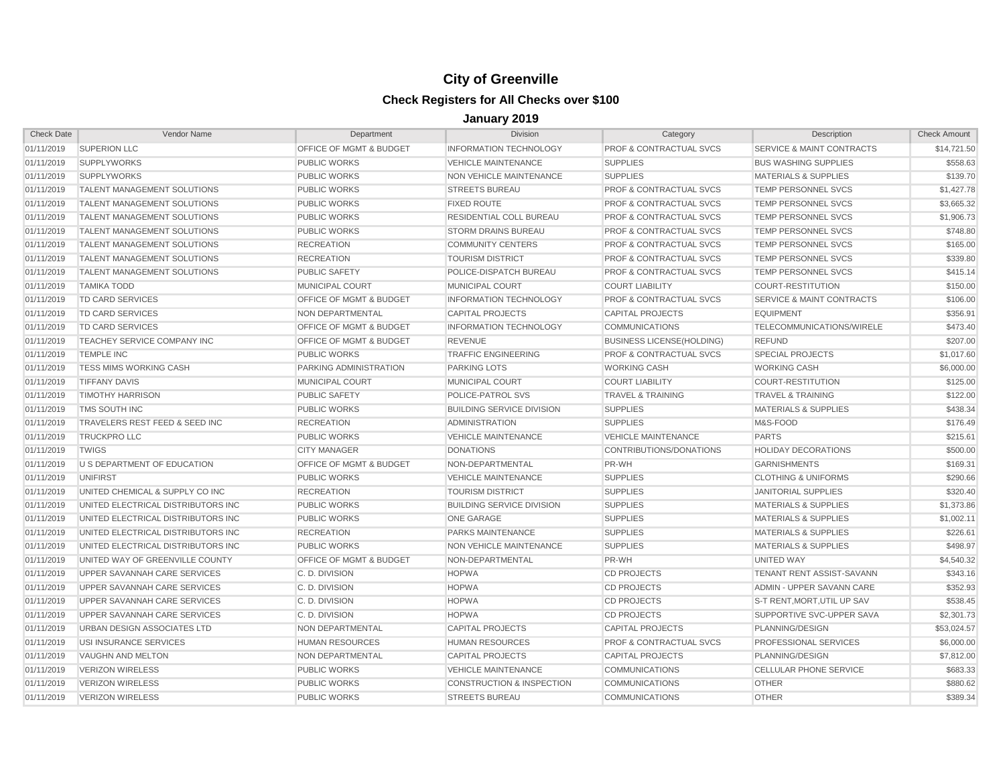| <b>Check Date</b> | Vendor Name                         | Department                         | <b>Division</b>                      | Category                           | Description                          | <b>Check Amount</b> |
|-------------------|-------------------------------------|------------------------------------|--------------------------------------|------------------------------------|--------------------------------------|---------------------|
| 01/11/2019        | <b>SUPERION LLC</b>                 | OFFICE OF MGMT & BUDGET            | <b>INFORMATION TECHNOLOGY</b>        | <b>PROF &amp; CONTRACTUAL SVCS</b> | SERVICE & MAINT CONTRACTS            | \$14,721.50         |
| 01/11/2019        | <b>SUPPLYWORKS</b>                  | <b>PUBLIC WORKS</b>                | <b>VEHICLE MAINTENANCE</b>           | <b>SUPPLIES</b>                    | <b>BUS WASHING SUPPLIES</b>          | \$558.63            |
| 01/11/2019        | <b>SUPPLYWORKS</b>                  | <b>PUBLIC WORKS</b>                | NON VEHICLE MAINTENANCE              | <b>SUPPLIES</b>                    | <b>MATERIALS &amp; SUPPLIES</b>      | \$139.70            |
| 01/11/2019        | TALENT MANAGEMENT SOLUTIONS         | <b>PUBLIC WORKS</b>                | <b>STREETS BUREAU</b>                | <b>PROF &amp; CONTRACTUAL SVCS</b> | <b>TEMP PERSONNEL SVCS</b>           | \$1,427.78          |
| 01/11/2019        | <b>TALENT MANAGEMENT SOLUTIONS</b>  | <b>PUBLIC WORKS</b>                | <b>FIXED ROUTE</b>                   | <b>PROF &amp; CONTRACTUAL SVCS</b> | <b>TEMP PERSONNEL SVCS</b>           | \$3,665.32          |
| 01/11/2019        | TALENT MANAGEMENT SOLUTIONS         | <b>PUBLIC WORKS</b>                | <b>RESIDENTIAL COLL BUREAU</b>       | <b>PROF &amp; CONTRACTUAL SVCS</b> | <b>TEMP PERSONNEL SVCS</b>           | \$1,906.73          |
| 01/11/2019        | <b>TALENT MANAGEMENT SOLUTIONS</b>  | <b>PUBLIC WORKS</b>                | <b>STORM DRAINS BUREAU</b>           | <b>PROF &amp; CONTRACTUAL SVCS</b> | <b>TEMP PERSONNEL SVCS</b>           | \$748.80            |
| 01/11/2019        | TALENT MANAGEMENT SOLUTIONS         | <b>RECREATION</b>                  | <b>COMMUNITY CENTERS</b>             | <b>PROF &amp; CONTRACTUAL SVCS</b> | <b>TEMP PERSONNEL SVCS</b>           | \$165.00            |
| 01/11/2019        | TALENT MANAGEMENT SOLUTIONS         | <b>RECREATION</b>                  | <b>TOURISM DISTRICT</b>              | <b>PROF &amp; CONTRACTUAL SVCS</b> | TEMP PERSONNEL SVCS                  | \$339.80            |
| 01/11/2019        | <b>TALENT MANAGEMENT SOLUTIONS</b>  | <b>PUBLIC SAFETY</b>               | POLICE-DISPATCH BUREAU               | <b>PROF &amp; CONTRACTUAL SVCS</b> | <b>TEMP PERSONNEL SVCS</b>           | \$415.14            |
| 01/11/2019        | <b>TAMIKA TODD</b>                  | <b>MUNICIPAL COURT</b>             | <b>MUNICIPAL COURT</b>               | <b>COURT LIABILITY</b>             | <b>COURT-RESTITUTION</b>             | \$150.00            |
| 01/11/2019        | TD CARD SERVICES                    | OFFICE OF MGMT & BUDGET            | <b>INFORMATION TECHNOLOGY</b>        | <b>PROF &amp; CONTRACTUAL SVCS</b> | <b>SERVICE &amp; MAINT CONTRACTS</b> | \$106.00            |
| 01/11/2019        | TD CARD SERVICES                    | NON DEPARTMENTAL                   | <b>CAPITAL PROJECTS</b>              | <b>CAPITAL PROJECTS</b>            | <b>EQUIPMENT</b>                     | \$356.91            |
| 01/11/2019        | <b>TD CARD SERVICES</b>             | <b>OFFICE OF MGMT &amp; BUDGET</b> | <b>INFORMATION TECHNOLOGY</b>        | <b>COMMUNICATIONS</b>              | TELECOMMUNICATIONS/WIRELE            | \$473.40            |
| 01/11/2019        | TEACHEY SERVICE COMPANY INC         | OFFICE OF MGMT & BUDGET            | <b>REVENUE</b>                       | <b>BUSINESS LICENSE(HOLDING)</b>   | <b>REFUND</b>                        | \$207.00            |
| 01/11/2019        | <b>TEMPLE INC</b>                   | <b>PUBLIC WORKS</b>                | <b>TRAFFIC ENGINEERING</b>           | <b>PROF &amp; CONTRACTUAL SVCS</b> | <b>SPECIAL PROJECTS</b>              | \$1,017.60          |
| 01/11/2019        | <b>TESS MIMS WORKING CASH</b>       | PARKING ADMINISTRATION             | <b>PARKING LOTS</b>                  | <b>WORKING CASH</b>                | <b>WORKING CASH</b>                  | \$6,000.00          |
| 01/11/2019        | <b>TIFFANY DAVIS</b>                | MUNICIPAL COURT                    | MUNICIPAL COURT                      | <b>COURT LIABILITY</b>             | <b>COURT-RESTITUTION</b>             | \$125.00            |
| 01/11/2019        | <b>TIMOTHY HARRISON</b>             | <b>PUBLIC SAFETY</b>               | POLICE-PATROL SVS                    | <b>TRAVEL &amp; TRAINING</b>       | <b>TRAVEL &amp; TRAINING</b>         | \$122.00            |
| 01/11/2019        | TMS SOUTH INC                       | <b>PUBLIC WORKS</b>                | <b>BUILDING SERVICE DIVISION</b>     | <b>SUPPLIES</b>                    | <b>MATERIALS &amp; SUPPLIES</b>      | \$438.34            |
| 01/11/2019        | TRAVELERS REST FEED & SEED INC      | <b>RECREATION</b>                  | <b>ADMINISTRATION</b>                | <b>SUPPLIES</b>                    | M&S-FOOD                             | \$176.49            |
| 01/11/2019        | <b>TRUCKPRO LLC</b>                 | <b>PUBLIC WORKS</b>                | <b>VEHICLE MAINTENANCE</b>           | <b>VEHICLE MAINTENANCE</b>         | <b>PARTS</b>                         | \$215.61            |
| 01/11/2019        | <b>TWIGS</b>                        | <b>CITY MANAGER</b>                | <b>DONATIONS</b>                     | CONTRIBUTIONS/DONATIONS            | <b>HOLIDAY DECORATIONS</b>           | \$500.00            |
| 01/11/2019        | U S DEPARTMENT OF EDUCATION         | <b>OFFICE OF MGMT &amp; BUDGET</b> | NON-DEPARTMENTAL                     | PR-WH                              | <b>GARNISHMENTS</b>                  | \$169.31            |
| 01/11/2019        | <b>UNIFIRST</b>                     | <b>PUBLIC WORKS</b>                | <b>VEHICLE MAINTENANCE</b>           | <b>SUPPLIES</b>                    | <b>CLOTHING &amp; UNIFORMS</b>       | \$290.66            |
| 01/11/2019        | UNITED CHEMICAL & SUPPLY CO INC     | <b>RECREATION</b>                  | <b>TOURISM DISTRICT</b>              | <b>SUPPLIES</b>                    | <b>JANITORIAL SUPPLIES</b>           | \$320.40            |
| 01/11/2019        | UNITED ELECTRICAL DISTRIBUTORS INC  | <b>PUBLIC WORKS</b>                | <b>BUILDING SERVICE DIVISION</b>     | <b>SUPPLIES</b>                    | <b>MATERIALS &amp; SUPPLIES</b>      | \$1,373.86          |
| 01/11/2019        | UNITED ELECTRICAL DISTRIBUTORS INC  | <b>PUBLIC WORKS</b>                | <b>ONE GARAGE</b>                    | <b>SUPPLIES</b>                    | MATERIALS & SUPPLIES                 | \$1,002.11          |
| 01/11/2019        | UNITED ELECTRICAL DISTRIBUTORS INC  | <b>RECREATION</b>                  | PARKS MAINTENANCE                    | <b>SUPPLIES</b>                    | <b>MATERIALS &amp; SUPPLIES</b>      | \$226.61            |
| 01/11/2019        | UNITED ELECTRICAL DISTRIBUTORS INC  | <b>PUBLIC WORKS</b>                | NON VEHICLE MAINTENANCE              | <b>SUPPLIES</b>                    | <b>MATERIALS &amp; SUPPLIES</b>      | \$498.97            |
| 01/11/2019        | UNITED WAY OF GREENVILLE COUNTY     | OFFICE OF MGMT & BUDGET            | NON-DEPARTMENTAL                     | PR-WH                              | UNITED WAY                           | \$4,540.32          |
| 01/11/2019        | <b>UPPER SAVANNAH CARE SERVICES</b> | C. D. DIVISION                     | <b>HOPWA</b>                         | <b>CD PROJECTS</b>                 | <b>TENANT RENT ASSIST-SAVANN</b>     | \$343.16            |
| 01/11/2019        | UPPER SAVANNAH CARE SERVICES        | C. D. DIVISION                     | <b>HOPWA</b>                         | <b>CD PROJECTS</b>                 | ADMIN - UPPER SAVANN CARE            | \$352.93            |
| 01/11/2019        | UPPER SAVANNAH CARE SERVICES        | C. D. DIVISION                     | <b>HOPWA</b>                         | <b>CD PROJECTS</b>                 | S-T RENT, MORT, UTIL UP SAV          | \$538.45            |
| 01/11/2019        | UPPER SAVANNAH CARE SERVICES        | C. D. DIVISION                     | <b>HOPWA</b>                         | <b>CD PROJECTS</b>                 | SUPPORTIVE SVC-UPPER SAVA            | \$2,301.73          |
| 01/11/2019        | URBAN DESIGN ASSOCIATES LTD         | NON DEPARTMENTAL                   | <b>CAPITAL PROJECTS</b>              | <b>CAPITAL PROJECTS</b>            | PLANNING/DESIGN                      | \$53,024.57         |
| 01/11/2019        | USI INSURANCE SERVICES              | <b>HUMAN RESOURCES</b>             | <b>HUMAN RESOURCES</b>               | <b>PROF &amp; CONTRACTUAL SVCS</b> | PROFESSIONAL SERVICES                | \$6,000.00          |
| 01/11/2019        | <b>VAUGHN AND MELTON</b>            | NON DEPARTMENTAL                   | <b>CAPITAL PROJECTS</b>              | <b>CAPITAL PROJECTS</b>            | PLANNING/DESIGN                      | \$7,812.00          |
| 01/11/2019        | <b>VERIZON WIRELESS</b>             | <b>PUBLIC WORKS</b>                | <b>VEHICLE MAINTENANCE</b>           | <b>COMMUNICATIONS</b>              | <b>CELLULAR PHONE SERVICE</b>        | \$683.33            |
| 01/11/2019        | <b>VERIZON WIRELESS</b>             | <b>PUBLIC WORKS</b>                | <b>CONSTRUCTION &amp; INSPECTION</b> | <b>COMMUNICATIONS</b>              | <b>OTHER</b>                         | \$880.62            |
| 01/11/2019        | <b>VERIZON WIRELESS</b>             | <b>PUBLIC WORKS</b>                | <b>STREETS BUREAU</b>                | <b>COMMUNICATIONS</b>              | <b>OTHER</b>                         | \$389.34            |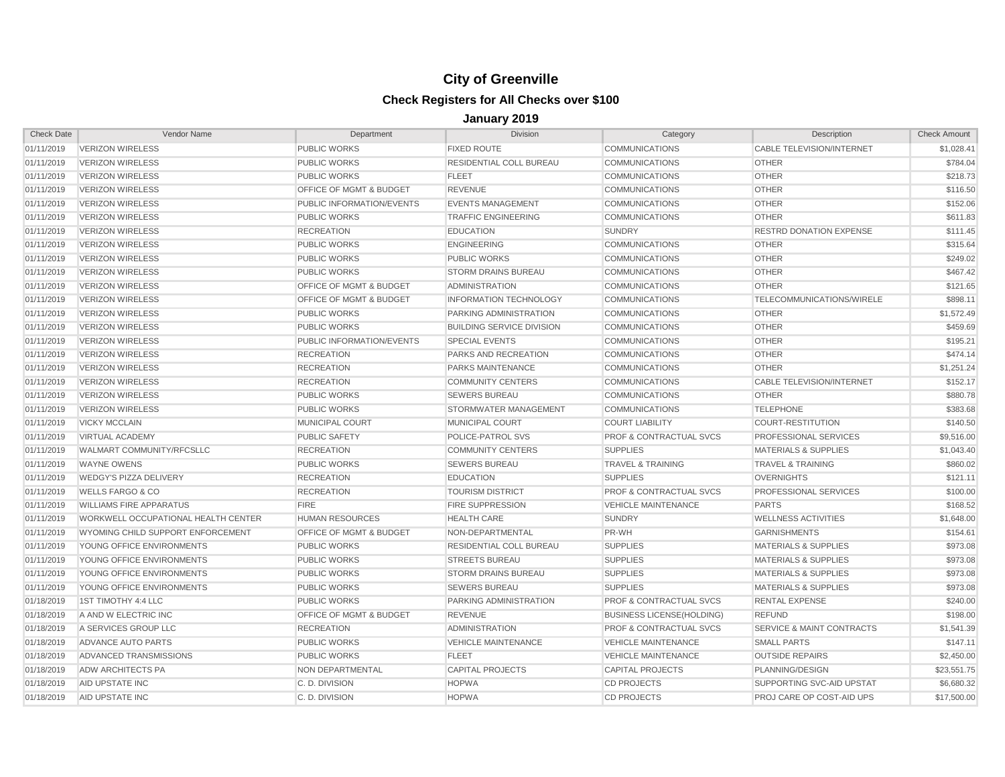| <b>Check Date</b> | Vendor Name                         | Department                         | <b>Division</b>                  | Category                           | Description                          | <b>Check Amount</b> |
|-------------------|-------------------------------------|------------------------------------|----------------------------------|------------------------------------|--------------------------------------|---------------------|
| 01/11/2019        | <b>VERIZON WIRELESS</b>             | <b>PUBLIC WORKS</b>                | <b>FIXED ROUTE</b>               | <b>COMMUNICATIONS</b>              | CABLE TELEVISION/INTERNET            | \$1,028.41          |
| 01/11/2019        | <b>VERIZON WIRELESS</b>             | <b>PUBLIC WORKS</b>                | <b>RESIDENTIAL COLL BUREAU</b>   | <b>COMMUNICATIONS</b>              | <b>OTHER</b>                         | \$784.04            |
| 01/11/2019        | <b>VERIZON WIRELESS</b>             | <b>PUBLIC WORKS</b>                | <b>FLEET</b>                     | <b>COMMUNICATIONS</b>              | <b>OTHER</b>                         | \$218.73            |
| 01/11/2019        | <b>VERIZON WIRELESS</b>             | OFFICE OF MGMT & BUDGET            | <b>REVENUE</b>                   | <b>COMMUNICATIONS</b>              | <b>OTHER</b>                         | \$116.50            |
| 01/11/2019        | <b>VERIZON WIRELESS</b>             | PUBLIC INFORMATION/EVENTS          | <b>EVENTS MANAGEMENT</b>         | <b>COMMUNICATIONS</b>              | <b>OTHER</b>                         | \$152.06            |
| 01/11/2019        | <b>VERIZON WIRELESS</b>             | <b>PUBLIC WORKS</b>                | <b>TRAFFIC ENGINEERING</b>       | <b>COMMUNICATIONS</b>              | <b>OTHER</b>                         | \$611.83            |
| 01/11/2019        | <b>VERIZON WIRELESS</b>             | <b>RECREATION</b>                  | <b>EDUCATION</b>                 | <b>SUNDRY</b>                      | <b>RESTRD DONATION EXPENSE</b>       | \$111.45            |
| 01/11/2019        | <b>VERIZON WIRELESS</b>             | <b>PUBLIC WORKS</b>                | <b>ENGINEERING</b>               | <b>COMMUNICATIONS</b>              | <b>OTHER</b>                         | \$315.64            |
| 01/11/2019        | <b>VERIZON WIRELESS</b>             | <b>PUBLIC WORKS</b>                | <b>PUBLIC WORKS</b>              | <b>COMMUNICATIONS</b>              | <b>OTHER</b>                         | \$249.02            |
| 01/11/2019        | <b>VERIZON WIRELESS</b>             | <b>PUBLIC WORKS</b>                | <b>STORM DRAINS BUREAU</b>       | <b>COMMUNICATIONS</b>              | <b>OTHER</b>                         | \$467.42            |
| 01/11/2019        | <b>VERIZON WIRELESS</b>             | OFFICE OF MGMT & BUDGET            | <b>ADMINISTRATION</b>            | <b>COMMUNICATIONS</b>              | <b>OTHER</b>                         | \$121.65            |
| 01/11/2019        | <b>VERIZON WIRELESS</b>             | <b>OFFICE OF MGMT &amp; BUDGET</b> | <b>INFORMATION TECHNOLOGY</b>    | <b>COMMUNICATIONS</b>              | TELECOMMUNICATIONS/WIRELE            | \$898.11            |
| 01/11/2019        | <b>VERIZON WIRELESS</b>             | <b>PUBLIC WORKS</b>                | PARKING ADMINISTRATION           | <b>COMMUNICATIONS</b>              | <b>OTHER</b>                         | \$1,572.49          |
| 01/11/2019        | <b>VERIZON WIRELESS</b>             | <b>PUBLIC WORKS</b>                | <b>BUILDING SERVICE DIVISION</b> | <b>COMMUNICATIONS</b>              | <b>OTHER</b>                         | \$459.69            |
| 01/11/2019        | <b>VERIZON WIRELESS</b>             | PUBLIC INFORMATION/EVENTS          | <b>SPECIAL EVENTS</b>            | <b>COMMUNICATIONS</b>              | <b>OTHER</b>                         | \$195.21            |
| 01/11/2019        | <b>VERIZON WIRELESS</b>             | <b>RECREATION</b>                  | PARKS AND RECREATION             | <b>COMMUNICATIONS</b>              | <b>OTHER</b>                         | \$474.14            |
| 01/11/2019        | <b>VERIZON WIRELESS</b>             | <b>RECREATION</b>                  | <b>PARKS MAINTENANCE</b>         | <b>COMMUNICATIONS</b>              | <b>OTHER</b>                         | \$1,251.24          |
| 01/11/2019        | <b>VERIZON WIRELESS</b>             | <b>RECREATION</b>                  | <b>COMMUNITY CENTERS</b>         | <b>COMMUNICATIONS</b>              | <b>CABLE TELEVISION/INTERNET</b>     | \$152.17            |
| 01/11/2019        | <b>VERIZON WIRELESS</b>             | <b>PUBLIC WORKS</b>                | <b>SEWERS BUREAU</b>             | <b>COMMUNICATIONS</b>              | <b>OTHER</b>                         | \$880.78            |
| 01/11/2019        | <b>VERIZON WIRELESS</b>             | <b>PUBLIC WORKS</b>                | STORMWATER MANAGEMENT            | <b>COMMUNICATIONS</b>              | <b>TELEPHONE</b>                     | \$383.68            |
| 01/11/2019        | <b>VICKY MCCLAIN</b>                | <b>MUNICIPAL COURT</b>             | <b>MUNICIPAL COURT</b>           | <b>COURT LIABILITY</b>             | <b>COURT-RESTITUTION</b>             | \$140.50            |
| 01/11/2019        | <b>VIRTUAL ACADEMY</b>              | <b>PUBLIC SAFETY</b>               | POLICE-PATROL SVS                | PROF & CONTRACTUAL SVCS            | PROFESSIONAL SERVICES                | \$9,516.00          |
| 01/11/2019        | WALMART COMMUNITY/RFCSLLC           | <b>RECREATION</b>                  | <b>COMMUNITY CENTERS</b>         | <b>SUPPLIES</b>                    | <b>MATERIALS &amp; SUPPLIES</b>      | \$1,043.40          |
| 01/11/2019        | <b>WAYNE OWENS</b>                  | <b>PUBLIC WORKS</b>                | <b>SEWERS BUREAU</b>             | <b>TRAVEL &amp; TRAINING</b>       | <b>TRAVEL &amp; TRAINING</b>         | \$860.02            |
| 01/11/2019        | <b>WEDGY'S PIZZA DELIVERY</b>       | <b>RECREATION</b>                  | <b>EDUCATION</b>                 | <b>SUPPLIES</b>                    | <b>OVERNIGHTS</b>                    | \$121.11            |
| 01/11/2019        | <b>WELLS FARGO &amp; CO</b>         | <b>RECREATION</b>                  | <b>TOURISM DISTRICT</b>          | <b>PROF &amp; CONTRACTUAL SVCS</b> | <b>PROFESSIONAL SERVICES</b>         | \$100.00            |
| 01/11/2019        | <b>WILLIAMS FIRE APPARATUS</b>      | <b>FIRE</b>                        | <b>FIRE SUPPRESSION</b>          | <b>VEHICLE MAINTENANCE</b>         | <b>PARTS</b>                         | \$168.52            |
| 01/11/2019        | WORKWELL OCCUPATIONAL HEALTH CENTER | <b>HUMAN RESOURCES</b>             | <b>HEALTH CARE</b>               | <b>SUNDRY</b>                      | <b>WELLNESS ACTIVITIES</b>           | \$1,648.00          |
| 01/11/2019        | WYOMING CHILD SUPPORT ENFORCEMENT   | OFFICE OF MGMT & BUDGET            | NON-DEPARTMENTAL                 | PR-WH                              | <b>GARNISHMENTS</b>                  | \$154.61            |
| 01/11/2019        | YOUNG OFFICE ENVIRONMENTS           | <b>PUBLIC WORKS</b>                | <b>RESIDENTIAL COLL BUREAU</b>   | <b>SUPPLIES</b>                    | <b>MATERIALS &amp; SUPPLIES</b>      | \$973.08            |
| 01/11/2019        | YOUNG OFFICE ENVIRONMENTS           | <b>PUBLIC WORKS</b>                | <b>STREETS BUREAU</b>            | <b>SUPPLIES</b>                    | <b>MATERIALS &amp; SUPPLIES</b>      | \$973.08            |
| 01/11/2019        | YOUNG OFFICE ENVIRONMENTS           | <b>PUBLIC WORKS</b>                | <b>STORM DRAINS BUREAU</b>       | <b>SUPPLIES</b>                    | <b>MATERIALS &amp; SUPPLIES</b>      | \$973.08            |
| 01/11/2019        | YOUNG OFFICE ENVIRONMENTS           | <b>PUBLIC WORKS</b>                | <b>SEWERS BUREAU</b>             | <b>SUPPLIES</b>                    | <b>MATERIALS &amp; SUPPLIES</b>      | \$973.08            |
| 01/18/2019        | 1ST TIMOTHY 4:4 LLC                 | <b>PUBLIC WORKS</b>                | PARKING ADMINISTRATION           | <b>PROF &amp; CONTRACTUAL SVCS</b> | <b>RENTAL EXPENSE</b>                | \$240.00            |
| 01/18/2019        | A AND W ELECTRIC INC                | OFFICE OF MGMT & BUDGET            | <b>REVENUE</b>                   | <b>BUSINESS LICENSE(HOLDING)</b>   | <b>REFUND</b>                        | \$198.00            |
| 01/18/2019        | A SERVICES GROUP LLC                | <b>RECREATION</b>                  | <b>ADMINISTRATION</b>            | <b>PROF &amp; CONTRACTUAL SVCS</b> | <b>SERVICE &amp; MAINT CONTRACTS</b> | \$1,541.39          |
| 01/18/2019        | ADVANCE AUTO PARTS                  | <b>PUBLIC WORKS</b>                | <b>VEHICLE MAINTENANCE</b>       | <b>VEHICLE MAINTENANCE</b>         | <b>SMALL PARTS</b>                   | \$147.11            |
| 01/18/2019        | ADVANCED TRANSMISSIONS              | <b>PUBLIC WORKS</b>                | <b>FLEET</b>                     | <b>VEHICLE MAINTENANCE</b>         | <b>OUTSIDE REPAIRS</b>               | \$2,450.00          |
| 01/18/2019        | <b>ADW ARCHITECTS PA</b>            | NON DEPARTMENTAL                   | <b>CAPITAL PROJECTS</b>          | <b>CAPITAL PROJECTS</b>            | PLANNING/DESIGN                      | \$23,551.75         |
| 01/18/2019        | AID UPSTATE INC                     | C. D. DIVISION                     | <b>HOPWA</b>                     | <b>CD PROJECTS</b>                 | SUPPORTING SVC-AID UPSTAT            | \$6.680.32          |
| 01/18/2019        | AID UPSTATE INC                     | C. D. DIVISION                     | <b>HOPWA</b>                     | <b>CD PROJECTS</b>                 | PROJ CARE OP COST-AID UPS            | \$17,500.00         |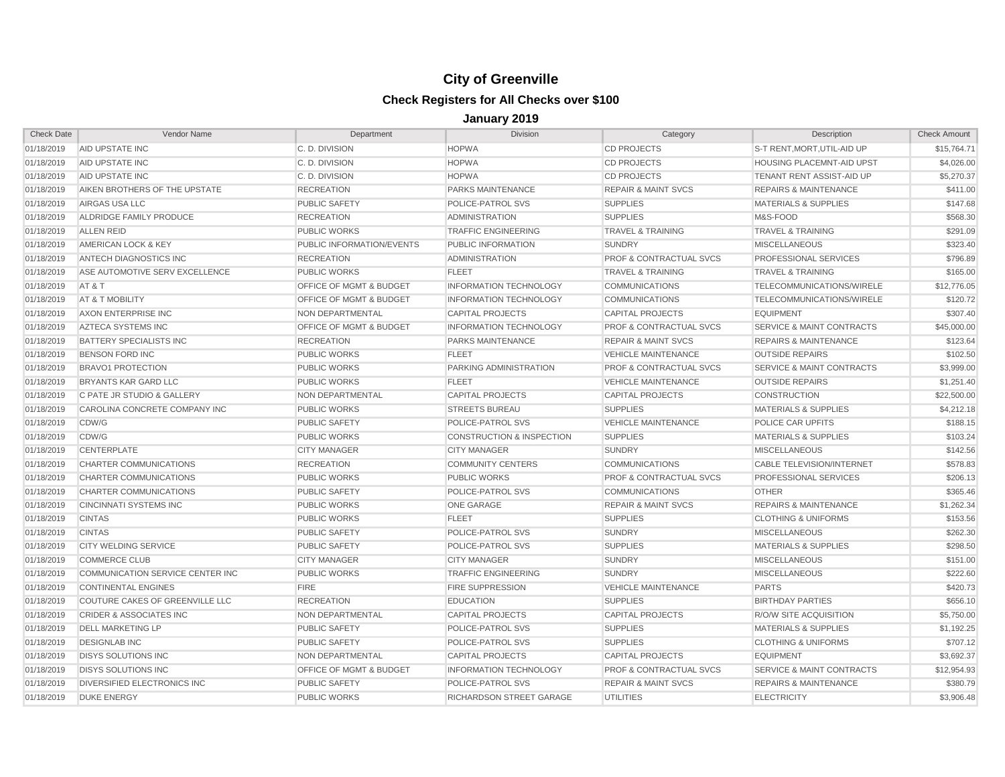| <b>Check Date</b> | Vendor Name                        | Department                         | <b>Division</b>                      | Category                           | Description                          | <b>Check Amount</b> |
|-------------------|------------------------------------|------------------------------------|--------------------------------------|------------------------------------|--------------------------------------|---------------------|
| 01/18/2019        | AID UPSTATE INC                    | C. D. DIVISION                     | <b>HOPWA</b>                         | <b>CD PROJECTS</b>                 | S-T RENT, MORT, UTIL-AID UP          | \$15,764.71         |
| 01/18/2019        | AID UPSTATE INC                    | C. D. DIVISION                     | <b>HOPWA</b>                         | <b>CD PROJECTS</b>                 | <b>HOUSING PLACEMNT-AID UPST</b>     | \$4,026.00          |
| 01/18/2019        | AID UPSTATE INC                    | C. D. DIVISION                     | <b>HOPWA</b>                         | <b>CD PROJECTS</b>                 | TENANT RENT ASSIST-AID UP            | \$5,270.37          |
| 01/18/2019        | AIKEN BROTHERS OF THE UPSTATE      | <b>RECREATION</b>                  | PARKS MAINTENANCE                    | <b>REPAIR &amp; MAINT SVCS</b>     | <b>REPAIRS &amp; MAINTENANCE</b>     | \$411.00            |
| 01/18/2019        | AIRGAS USA LLC                     | <b>PUBLIC SAFETY</b>               | POLICE-PATROL SVS                    | <b>SUPPLIES</b>                    | <b>MATERIALS &amp; SUPPLIES</b>      | \$147.68            |
| 01/18/2019        | ALDRIDGE FAMILY PRODUCE            | <b>RECREATION</b>                  | ADMINISTRATION                       | <b>SUPPLIES</b>                    | M&S-FOOD                             | \$568.30            |
| 01/18/2019        | <b>ALLEN REID</b>                  | <b>PUBLIC WORKS</b>                | <b>TRAFFIC ENGINEERING</b>           | <b>TRAVEL &amp; TRAINING</b>       | <b>TRAVEL &amp; TRAINING</b>         | \$291.09            |
| 01/18/2019        | AMERICAN LOCK & KEY                | PUBLIC INFORMATION/EVENTS          | PUBLIC INFORMATION                   | <b>SUNDRY</b>                      | <b>MISCELLANEOUS</b>                 | \$323.40            |
| 01/18/2019        | ANTECH DIAGNOSTICS INC             | <b>RECREATION</b>                  | ADMINISTRATION                       | <b>PROF &amp; CONTRACTUAL SVCS</b> | PROFESSIONAL SERVICES                | \$796.89            |
| 01/18/2019        | ASE AUTOMOTIVE SERV EXCELLENCE     | <b>PUBLIC WORKS</b>                | <b>FLEET</b>                         | <b>TRAVEL &amp; TRAINING</b>       | <b>TRAVEL &amp; TRAINING</b>         | \$165.00            |
| 01/18/2019        | AT&T                               | <b>OFFICE OF MGMT &amp; BUDGET</b> | <b>INFORMATION TECHNOLOGY</b>        | <b>COMMUNICATIONS</b>              | TELECOMMUNICATIONS/WIRELE            | \$12,776.05         |
| 01/18/2019        | AT & T MOBILITY                    | OFFICE OF MGMT & BUDGET            | <b>INFORMATION TECHNOLOGY</b>        | <b>COMMUNICATIONS</b>              | TELECOMMUNICATIONS/WIRELE            | \$120.72            |
| 01/18/2019        | AXON ENTERPRISE INC                | NON DEPARTMENTAL                   | <b>CAPITAL PROJECTS</b>              | <b>CAPITAL PROJECTS</b>            | <b>EQUIPMENT</b>                     | \$307.40            |
| 01/18/2019        | AZTECA SYSTEMS INC                 | <b>OFFICE OF MGMT &amp; BUDGET</b> | <b>INFORMATION TECHNOLOGY</b>        | <b>PROF &amp; CONTRACTUAL SVCS</b> | <b>SERVICE &amp; MAINT CONTRACTS</b> | \$45,000.00         |
| 01/18/2019        | BATTERY SPECIALISTS INC            | <b>RECREATION</b>                  | PARKS MAINTENANCE                    | <b>REPAIR &amp; MAINT SVCS</b>     | <b>REPAIRS &amp; MAINTENANCE</b>     | \$123.64            |
| 01/18/2019        | <b>BENSON FORD INC</b>             | <b>PUBLIC WORKS</b>                | <b>FLEET</b>                         | <b>VEHICLE MAINTENANCE</b>         | <b>OUTSIDE REPAIRS</b>               | \$102.50            |
| 01/18/2019        | <b>BRAVO1 PROTECTION</b>           | <b>PUBLIC WORKS</b>                | PARKING ADMINISTRATION               | <b>PROF &amp; CONTRACTUAL SVCS</b> | <b>SERVICE &amp; MAINT CONTRACTS</b> | \$3,999.00          |
| 01/18/2019        | BRYANTS KAR GARD LLC               | <b>PUBLIC WORKS</b>                | <b>FLEET</b>                         | <b>VEHICLE MAINTENANCE</b>         | <b>OUTSIDE REPAIRS</b>               | \$1,251.40          |
| 01/18/2019        | C PATE JR STUDIO & GALLERY         | NON DEPARTMENTAL                   | <b>CAPITAL PROJECTS</b>              | <b>CAPITAL PROJECTS</b>            | <b>CONSTRUCTION</b>                  | \$22,500.00         |
| 01/18/2019        | CAROLINA CONCRETE COMPANY INC      | <b>PUBLIC WORKS</b>                | <b>STREETS BUREAU</b>                | <b>SUPPLIES</b>                    | <b>MATERIALS &amp; SUPPLIES</b>      | \$4,212.18          |
| 01/18/2019        | CDW/G                              | <b>PUBLIC SAFETY</b>               | POLICE-PATROL SVS                    | <b>VEHICLE MAINTENANCE</b>         | POLICE CAR UPFITS                    | \$188.15            |
| 01/18/2019        | CDW/G                              | PUBLIC WORKS                       | <b>CONSTRUCTION &amp; INSPECTION</b> | <b>SUPPLIES</b>                    | <b>MATERIALS &amp; SUPPLIES</b>      | \$103.24            |
| 01/18/2019        | <b>CENTERPLATE</b>                 | <b>CITY MANAGER</b>                | <b>CITY MANAGER</b>                  | <b>SUNDRY</b>                      | <b>MISCELLANEOUS</b>                 | \$142.56            |
| 01/18/2019        | CHARTER COMMUNICATIONS             | <b>RECREATION</b>                  | <b>COMMUNITY CENTERS</b>             | <b>COMMUNICATIONS</b>              | CABLE TELEVISION/INTERNET            | \$578.83            |
| 01/18/2019        | CHARTER COMMUNICATIONS             | <b>PUBLIC WORKS</b>                | <b>PUBLIC WORKS</b>                  | PROF & CONTRACTUAL SVCS            | PROFESSIONAL SERVICES                | \$206.13            |
| 01/18/2019        | <b>CHARTER COMMUNICATIONS</b>      | <b>PUBLIC SAFETY</b>               | POLICE-PATROL SVS                    | <b>COMMUNICATIONS</b>              | <b>OTHER</b>                         | \$365.46            |
| 01/18/2019        | <b>CINCINNATI SYSTEMS INC</b>      | <b>PUBLIC WORKS</b>                | <b>ONE GARAGE</b>                    | <b>REPAIR &amp; MAINT SVCS</b>     | <b>REPAIRS &amp; MAINTENANCE</b>     | \$1,262.34          |
| 01/18/2019        | <b>CINTAS</b>                      | <b>PUBLIC WORKS</b>                | <b>FLEET</b>                         | <b>SUPPLIES</b>                    | <b>CLOTHING &amp; UNIFORMS</b>       | \$153.56            |
| 01/18/2019        | <b>CINTAS</b>                      | <b>PUBLIC SAFETY</b>               | POLICE-PATROL SVS                    | <b>SUNDRY</b>                      | <b>MISCELLANEOUS</b>                 | \$262.30            |
| 01/18/2019        | <b>CITY WELDING SERVICE</b>        | PUBLIC SAFETY                      | POLICE-PATROL SVS                    | <b>SUPPLIES</b>                    | <b>MATERIALS &amp; SUPPLIES</b>      | \$298.50            |
| 01/18/2019        | <b>COMMERCE CLUB</b>               | <b>CITY MANAGER</b>                | <b>CITY MANAGER</b>                  | <b>SUNDRY</b>                      | <b>MISCELLANEOUS</b>                 | \$151.00            |
| 01/18/2019        | COMMUNICATION SERVICE CENTER INC   | <b>PUBLIC WORKS</b>                | <b>TRAFFIC ENGINEERING</b>           | <b>SUNDRY</b>                      | <b>MISCELLANEOUS</b>                 | \$222.60            |
| 01/18/2019        | <b>CONTINENTAL ENGINES</b>         | <b>FIRE</b>                        | <b>FIRE SUPPRESSION</b>              | <b>VEHICLE MAINTENANCE</b>         | <b>PARTS</b>                         | \$420.73            |
| 01/18/2019        | COUTURE CAKES OF GREENVILLE LLC    | <b>RECREATION</b>                  | <b>EDUCATION</b>                     | <b>SUPPLIES</b>                    | <b>BIRTHDAY PARTIES</b>              | \$656.10            |
| 01/18/2019        | <b>CRIDER &amp; ASSOCIATES INC</b> | NON DEPARTMENTAL                   | <b>CAPITAL PROJECTS</b>              | <b>CAPITAL PROJECTS</b>            | <b>R/O/W SITE ACQUISITION</b>        | \$5,750.00          |
| 01/18/2019        | DELL MARKETING LP                  | PUBLIC SAFETY                      | POLICE-PATROL SVS                    | <b>SUPPLIES</b>                    | <b>MATERIALS &amp; SUPPLIES</b>      | \$1,192.25          |
| 01/18/2019        | <b>DESIGNLAB INC</b>               | <b>PUBLIC SAFETY</b>               | POLICE-PATROL SVS                    | <b>SUPPLIES</b>                    | <b>CLOTHING &amp; UNIFORMS</b>       | \$707.12            |
| 01/18/2019        | <b>DISYS SOLUTIONS INC</b>         | NON DEPARTMENTAL                   | <b>CAPITAL PROJECTS</b>              | <b>CAPITAL PROJECTS</b>            | <b>EQUIPMENT</b>                     | \$3,692.37          |
| 01/18/2019        | <b>DISYS SOLUTIONS INC</b>         | OFFICE OF MGMT & BUDGET            | <b>INFORMATION TECHNOLOGY</b>        | <b>PROF &amp; CONTRACTUAL SVCS</b> | SERVICE & MAINT CONTRACTS            | \$12,954.93         |
| 01/18/2019        | DIVERSIFIED ELECTRONICS INC        | <b>PUBLIC SAFETY</b>               | POLICE-PATROL SVS                    | <b>REPAIR &amp; MAINT SVCS</b>     | <b>REPAIRS &amp; MAINTENANCE</b>     | \$380.79            |
| 01/18/2019        | <b>DUKE ENERGY</b>                 | <b>PUBLIC WORKS</b>                | RICHARDSON STREET GARAGE             | <b>UTILITIES</b>                   | <b>ELECTRICITY</b>                   | \$3,906.48          |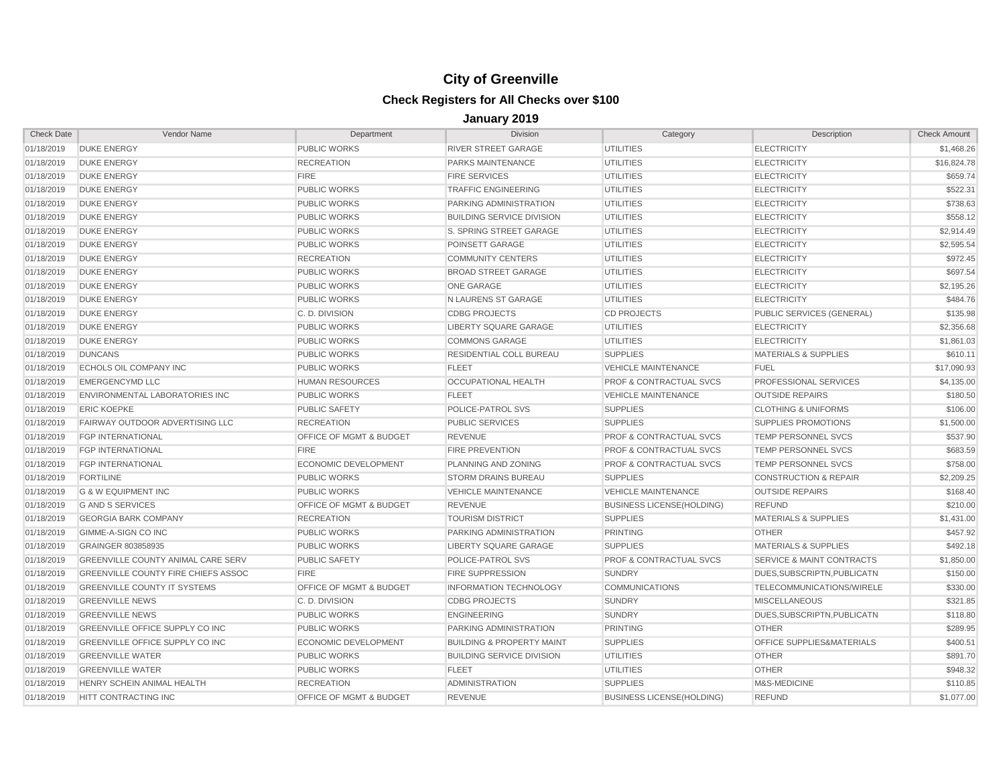| <b>Check Date</b> | Vendor Name                               | Department                         | <b>Division</b>                      | Category                           | Description                          | <b>Check Amount</b> |
|-------------------|-------------------------------------------|------------------------------------|--------------------------------------|------------------------------------|--------------------------------------|---------------------|
| 01/18/2019        | <b>DUKE ENERGY</b>                        | PUBLIC WORKS                       | <b>RIVER STREET GARAGE</b>           | <b>UTILITIES</b>                   | <b>ELECTRICITY</b>                   | \$1,468.26          |
| 01/18/2019        | <b>DUKE ENERGY</b>                        | <b>RECREATION</b>                  | PARKS MAINTENANCE                    | <b>UTILITIES</b>                   | <b>ELECTRICITY</b>                   | \$16,824.78         |
| 01/18/2019        | <b>DUKE ENERGY</b>                        | <b>FIRE</b>                        | <b>FIRE SERVICES</b>                 | <b>UTILITIES</b>                   | <b>ELECTRICITY</b>                   | \$659.74            |
| 01/18/2019        | <b>DUKE ENERGY</b>                        | PUBLIC WORKS                       | <b>TRAFFIC ENGINEERING</b>           | <b>UTILITIES</b>                   | <b>ELECTRICITY</b>                   | \$522.31            |
| 01/18/2019        | <b>DUKE ENERGY</b>                        | <b>PUBLIC WORKS</b>                | PARKING ADMINISTRATION               | <b>UTILITIES</b>                   | <b>ELECTRICITY</b>                   | \$738.63            |
| 01/18/2019        | <b>DUKE ENERGY</b>                        | <b>PUBLIC WORKS</b>                | <b>BUILDING SERVICE DIVISION</b>     | <b>UTILITIES</b>                   | <b>ELECTRICITY</b>                   | \$558.12            |
| 01/18/2019        | <b>DUKE ENERGY</b>                        | <b>PUBLIC WORKS</b>                | S. SPRING STREET GARAGE              | <b>UTILITIES</b>                   | <b>ELECTRICITY</b>                   | \$2,914.49          |
| 01/18/2019        | <b>DUKE ENERGY</b>                        | <b>PUBLIC WORKS</b>                | <b>POINSETT GARAGE</b>               | <b>UTILITIES</b>                   | <b>ELECTRICITY</b>                   | \$2,595.54          |
| 01/18/2019        | <b>DUKE ENERGY</b>                        | <b>RECREATION</b>                  | <b>COMMUNITY CENTERS</b>             | UTILITIES                          | <b>ELECTRICITY</b>                   | \$972.45            |
| 01/18/2019        | <b>DUKE ENERGY</b>                        | <b>PUBLIC WORKS</b>                | <b>BROAD STREET GARAGE</b>           | <b>UTILITIES</b>                   | <b>ELECTRICITY</b>                   | \$697.54            |
| 01/18/2019        | <b>DUKE ENERGY</b>                        | <b>PUBLIC WORKS</b>                | <b>ONE GARAGE</b>                    | <b>UTILITIES</b>                   | <b>ELECTRICITY</b>                   | \$2,195.26          |
| 01/18/2019        | <b>DUKE ENERGY</b>                        | <b>PUBLIC WORKS</b>                | N LAURENS ST GARAGE                  | <b>UTILITIES</b>                   | <b>ELECTRICITY</b>                   | \$484.76            |
| 01/18/2019        | <b>DUKE ENERGY</b>                        | C. D. DIVISION                     | <b>CDBG PROJECTS</b>                 | <b>CD PROJECTS</b>                 | PUBLIC SERVICES (GENERAL)            | \$135.98            |
| 01/18/2019        | <b>DUKE ENERGY</b>                        | <b>PUBLIC WORKS</b>                | LIBERTY SQUARE GARAGE                | <b>UTILITIES</b>                   | <b>ELECTRICITY</b>                   | \$2,356.68          |
| 01/18/2019        | <b>DUKE ENERGY</b>                        | <b>PUBLIC WORKS</b>                | <b>COMMONS GARAGE</b>                | <b>UTILITIES</b>                   | <b>ELECTRICITY</b>                   | \$1,861.03          |
| 01/18/2019        | <b>DUNCANS</b>                            | <b>PUBLIC WORKS</b>                | RESIDENTIAL COLL BUREAU              | <b>SUPPLIES</b>                    | <b>MATERIALS &amp; SUPPLIES</b>      | \$610.11            |
| 01/18/2019        | ECHOLS OIL COMPANY INC                    | <b>PUBLIC WORKS</b>                | <b>FLEET</b>                         | <b>VEHICLE MAINTENANCE</b>         | <b>FUEL</b>                          | \$17,090.93         |
| 01/18/2019        | <b>EMERGENCYMD LLC</b>                    | <b>HUMAN RESOURCES</b>             | <b>OCCUPATIONAL HEALTH</b>           | PROF & CONTRACTUAL SVCS            | PROFESSIONAL SERVICES                | \$4,135.00          |
| 01/18/2019        | ENVIRONMENTAL LABORATORIES INC            | <b>PUBLIC WORKS</b>                | <b>FLEET</b>                         | <b>VEHICLE MAINTENANCE</b>         | <b>OUTSIDE REPAIRS</b>               | \$180.50            |
| 01/18/2019        | <b>ERIC KOEPKE</b>                        | <b>PUBLIC SAFETY</b>               | POLICE-PATROL SVS                    | <b>SUPPLIES</b>                    | <b>CLOTHING &amp; UNIFORMS</b>       | \$106.00            |
| 01/18/2019        | FAIRWAY OUTDOOR ADVERTISING LLC           | <b>RECREATION</b>                  | <b>PUBLIC SERVICES</b>               | <b>SUPPLIES</b>                    | <b>SUPPLIES PROMOTIONS</b>           | \$1,500.00          |
| 01/18/2019        | <b>FGP INTERNATIONAL</b>                  | <b>OFFICE OF MGMT &amp; BUDGET</b> | <b>REVENUE</b>                       | <b>PROF &amp; CONTRACTUAL SVCS</b> | <b>TEMP PERSONNEL SVCS</b>           | \$537.90            |
| 01/18/2019        | <b>FGP INTERNATIONAL</b>                  | <b>FIRE</b>                        | FIRE PREVENTION                      | <b>PROF &amp; CONTRACTUAL SVCS</b> | TEMP PERSONNEL SVCS                  | \$683.59            |
| 01/18/2019        | <b>FGP INTERNATIONAL</b>                  | <b>ECONOMIC DEVELOPMENT</b>        | PLANNING AND ZONING                  | <b>PROF &amp; CONTRACTUAL SVCS</b> | TEMP PERSONNEL SVCS                  | \$758.00            |
| 01/18/2019        | <b>FORTILINE</b>                          | <b>PUBLIC WORKS</b>                | <b>STORM DRAINS BUREAU</b>           | <b>SUPPLIES</b>                    | <b>CONSTRUCTION &amp; REPAIR</b>     | \$2,209.25          |
| 01/18/2019        | <b>G &amp; W EQUIPMENT INC</b>            | <b>PUBLIC WORKS</b>                | <b>VEHICLE MAINTENANCE</b>           | <b>VEHICLE MAINTENANCE</b>         | <b>OUTSIDE REPAIRS</b>               | \$168.40            |
| 01/18/2019        | <b>G AND S SERVICES</b>                   | <b>OFFICE OF MGMT &amp; BUDGET</b> | <b>REVENUE</b>                       | <b>BUSINESS LICENSE(HOLDING)</b>   | <b>REFUND</b>                        | \$210.00            |
| 01/18/2019        | <b>GEORGIA BARK COMPANY</b>               | <b>RECREATION</b>                  | <b>TOURISM DISTRICT</b>              | <b>SUPPLIES</b>                    | <b>MATERIALS &amp; SUPPLIES</b>      | \$1,431.00          |
| 01/18/2019        | <b>GIMME-A-SIGN CO INC</b>                | <b>PUBLIC WORKS</b>                | <b>PARKING ADMINISTRATION</b>        | <b>PRINTING</b>                    | <b>OTHER</b>                         | \$457.92            |
| 01/18/2019        | GRAINGER 803858935                        | <b>PUBLIC WORKS</b>                | LIBERTY SQUARE GARAGE                | <b>SUPPLIES</b>                    | <b>MATERIALS &amp; SUPPLIES</b>      | \$492.18            |
| 01/18/2019        | <b>GREENVILLE COUNTY ANIMAL CARE SERV</b> | <b>PUBLIC SAFETY</b>               | POLICE-PATROL SVS                    | <b>PROF &amp; CONTRACTUAL SVCS</b> | <b>SERVICE &amp; MAINT CONTRACTS</b> | \$1,850.00          |
| 01/18/2019        | GREENVILLE COUNTY FIRE CHIEFS ASSOC       | <b>FIRE</b>                        | FIRE SUPPRESSION                     | <b>SUNDRY</b>                      | DUES, SUBSCRIPTN, PUBLICATN          | \$150.00            |
| 01/18/2019        | <b>GREENVILLE COUNTY IT SYSTEMS</b>       | <b>OFFICE OF MGMT &amp; BUDGET</b> | <b>INFORMATION TECHNOLOGY</b>        | <b>COMMUNICATIONS</b>              | TELECOMMUNICATIONS/WIRELE            | \$330.00            |
| 01/18/2019        | <b>GREENVILLE NEWS</b>                    | C. D. DIVISION                     | <b>CDBG PROJECTS</b>                 | <b>SUNDRY</b>                      | <b>MISCELLANEOUS</b>                 | \$321.85            |
| 01/18/2019        | <b>GREENVILLE NEWS</b>                    | <b>PUBLIC WORKS</b>                | <b>ENGINEERING</b>                   | <b>SUNDRY</b>                      | DUES, SUBSCRIPTN, PUBLICATN          | \$118.80            |
| 01/18/2019        | <b>GREENVILLE OFFICE SUPPLY CO INC</b>    | <b>PUBLIC WORKS</b>                | PARKING ADMINISTRATION               | <b>PRINTING</b>                    | <b>OTHER</b>                         | \$289.95            |
| 01/18/2019        | GREENVILLE OFFICE SUPPLY CO INC           | <b>ECONOMIC DEVELOPMENT</b>        | <b>BUILDING &amp; PROPERTY MAINT</b> | <b>SUPPLIES</b>                    | OFFICE SUPPLIES&MATERIALS            | \$400.51            |
| 01/18/2019        | <b>GREENVILLE WATER</b>                   | <b>PUBLIC WORKS</b>                | <b>BUILDING SERVICE DIVISION</b>     | <b>UTILITIES</b>                   | <b>OTHER</b>                         | \$891.70            |
| 01/18/2019        | <b>GREENVILLE WATER</b>                   | <b>PUBLIC WORKS</b>                | <b>FLEET</b>                         | <b>UTILITIES</b>                   | <b>OTHER</b>                         | \$948.32            |
| 01/18/2019        | HENRY SCHEIN ANIMAL HEALTH                | <b>RECREATION</b>                  | <b>ADMINISTRATION</b>                | <b>SUPPLIES</b>                    | M&S-MEDICINE                         | \$110.85            |
| 01/18/2019        | <b>HITT CONTRACTING INC</b>               | OFFICE OF MGMT & BUDGET            | <b>REVENUE</b>                       | <b>BUSINESS LICENSE(HOLDING)</b>   | <b>REFUND</b>                        | \$1,077.00          |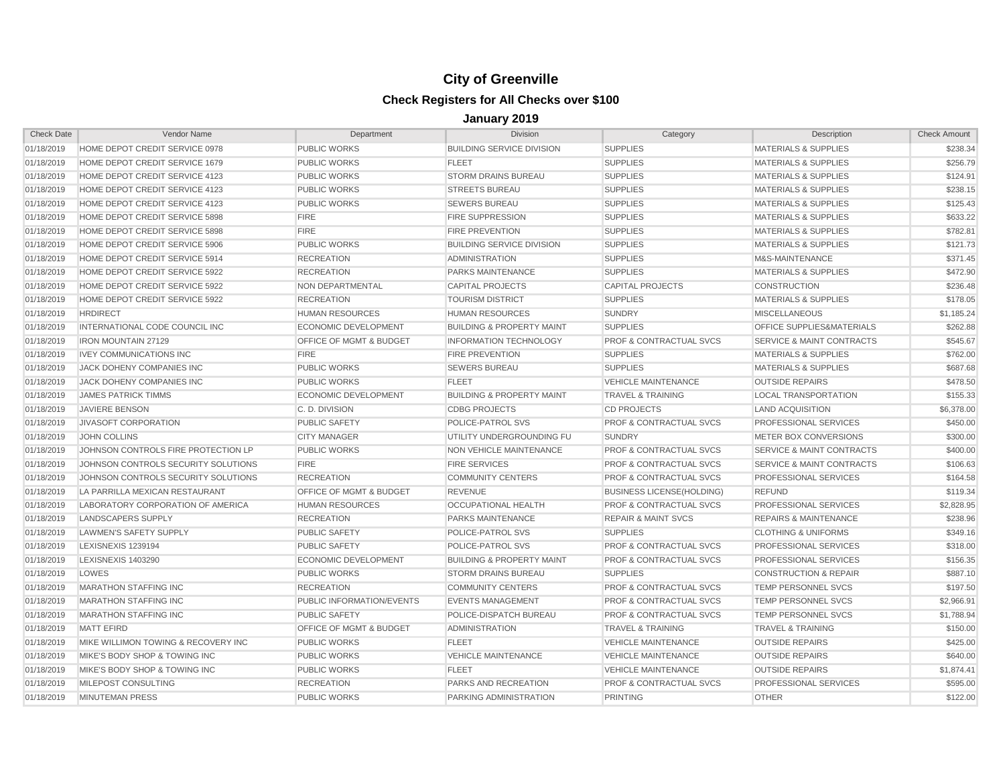| <b>Check Date</b> | Vendor Name                         | Department                         | Division                             | Category                           | Description                          | <b>Check Amount</b> |
|-------------------|-------------------------------------|------------------------------------|--------------------------------------|------------------------------------|--------------------------------------|---------------------|
| 01/18/2019        | HOME DEPOT CREDIT SERVICE 0978      | PUBLIC WORKS                       | <b>BUILDING SERVICE DIVISION</b>     | <b>SUPPLIES</b>                    | <b>MATERIALS &amp; SUPPLIES</b>      | \$238.34            |
| 01/18/2019        | HOME DEPOT CREDIT SERVICE 1679      | <b>PUBLIC WORKS</b>                | <b>FLEET</b>                         | <b>SUPPLIES</b>                    | <b>MATERIALS &amp; SUPPLIES</b>      | \$256.79            |
| 01/18/2019        | HOME DEPOT CREDIT SERVICE 4123      | <b>PUBLIC WORKS</b>                | <b>STORM DRAINS BUREAU</b>           | <b>SUPPLIES</b>                    | <b>MATERIALS &amp; SUPPLIES</b>      | \$124.91            |
| 01/18/2019        | HOME DEPOT CREDIT SERVICE 4123      | <b>PUBLIC WORKS</b>                | <b>STREETS BUREAU</b>                | <b>SUPPLIES</b>                    | <b>MATERIALS &amp; SUPPLIES</b>      | \$238.15            |
| 01/18/2019        | HOME DEPOT CREDIT SERVICE 4123      | <b>PUBLIC WORKS</b>                | <b>SEWERS BUREAU</b>                 | <b>SUPPLIES</b>                    | <b>MATERIALS &amp; SUPPLIES</b>      | \$125.43            |
| 01/18/2019        | HOME DEPOT CREDIT SERVICE 5898      | <b>FIRE</b>                        | <b>FIRE SUPPRESSION</b>              | <b>SUPPLIES</b>                    | MATERIALS & SUPPLIES                 | \$633.22            |
| 01/18/2019        | HOME DEPOT CREDIT SERVICE 5898      | <b>FIRE</b>                        | <b>FIRE PREVENTION</b>               | <b>SUPPLIES</b>                    | <b>MATERIALS &amp; SUPPLIES</b>      | \$782.81            |
| 01/18/2019        | HOME DEPOT CREDIT SERVICE 5906      | <b>PUBLIC WORKS</b>                | <b>BUILDING SERVICE DIVISION</b>     | <b>SUPPLIES</b>                    | <b>MATERIALS &amp; SUPPLIES</b>      | \$121.73            |
| 01/18/2019        | HOME DEPOT CREDIT SERVICE 5914      | <b>RECREATION</b>                  | <b>ADMINISTRATION</b>                | <b>SUPPLIES</b>                    | M&S-MAINTENANCE                      | \$371.45            |
| 01/18/2019        | HOME DEPOT CREDIT SERVICE 5922      | <b>RECREATION</b>                  | PARKS MAINTENANCE                    | <b>SUPPLIES</b>                    | <b>MATERIALS &amp; SUPPLIES</b>      | \$472.90            |
| 01/18/2019        | HOME DEPOT CREDIT SERVICE 5922      | <b>NON DEPARTMENTAL</b>            | <b>CAPITAL PROJECTS</b>              | <b>CAPITAL PROJECTS</b>            | <b>CONSTRUCTION</b>                  | \$236.48            |
| 01/18/2019        | HOME DEPOT CREDIT SERVICE 5922      | <b>RECREATION</b>                  | <b>TOURISM DISTRICT</b>              | <b>SUPPLIES</b>                    | <b>MATERIALS &amp; SUPPLIES</b>      | \$178.05            |
| 01/18/2019        | <b>HRDIRECT</b>                     | <b>HUMAN RESOURCES</b>             | <b>HUMAN RESOURCES</b>               | <b>SUNDRY</b>                      | <b>MISCELLANEOUS</b>                 | \$1,185.24          |
| 01/18/2019        | INTERNATIONAL CODE COUNCIL INC      | <b>ECONOMIC DEVELOPMENT</b>        | <b>BUILDING &amp; PROPERTY MAINT</b> | <b>SUPPLIES</b>                    | OFFICE SUPPLIES&MATERIALS            | \$262.88            |
| 01/18/2019        | <b>IRON MOUNTAIN 27129</b>          | OFFICE OF MGMT & BUDGET            | <b>INFORMATION TECHNOLOGY</b>        | <b>PROF &amp; CONTRACTUAL SVCS</b> | SERVICE & MAINT CONTRACTS            | \$545.67            |
| 01/18/2019        | <b>IVEY COMMUNICATIONS INC</b>      | <b>FIRE</b>                        | <b>FIRE PREVENTION</b>               | <b>SUPPLIES</b>                    | <b>MATERIALS &amp; SUPPLIES</b>      | \$762.00            |
| 01/18/2019        | JACK DOHENY COMPANIES INC           | <b>PUBLIC WORKS</b>                | <b>SEWERS BUREAU</b>                 | <b>SUPPLIES</b>                    | <b>MATERIALS &amp; SUPPLIES</b>      | \$687.68            |
| 01/18/2019        | JACK DOHENY COMPANIES INC           | <b>PUBLIC WORKS</b>                | <b>FLEET</b>                         | VEHICLE MAINTENANCE                | <b>OUTSIDE REPAIRS</b>               | \$478.50            |
| 01/18/2019        | <b>JAMES PATRICK TIMMS</b>          | <b>ECONOMIC DEVELOPMENT</b>        | <b>BUILDING &amp; PROPERTY MAINT</b> | <b>TRAVEL &amp; TRAINING</b>       | <b>LOCAL TRANSPORTATION</b>          | \$155.33            |
| 01/18/2019        | <b>JAVIERE BENSON</b>               | C. D. DIVISION                     | <b>CDBG PROJECTS</b>                 | <b>CD PROJECTS</b>                 | <b>LAND ACQUISITION</b>              | \$6,378.00          |
| 01/18/2019        | <b>JIVASOFT CORPORATION</b>         | <b>PUBLIC SAFETY</b>               | POLICE-PATROL SVS                    | <b>PROF &amp; CONTRACTUAL SVCS</b> | PROFESSIONAL SERVICES                | \$450.00            |
| 01/18/2019        | <b>JOHN COLLINS</b>                 | <b>CITY MANAGER</b>                | UTILITY UNDERGROUNDING FU            | SUNDRY                             | METER BOX CONVERSIONS                | \$300.00            |
| 01/18/2019        | JOHNSON CONTROLS FIRE PROTECTION LP | PUBLIC WORKS                       | NON VEHICLE MAINTENANCE              | <b>PROF &amp; CONTRACTUAL SVCS</b> | <b>SERVICE &amp; MAINT CONTRACTS</b> | \$400.00            |
| 01/18/2019        | JOHNSON CONTROLS SECURITY SOLUTIONS | <b>FIRE</b>                        | <b>FIRE SERVICES</b>                 | <b>PROF &amp; CONTRACTUAL SVCS</b> | SERVICE & MAINT CONTRACTS            | \$106.63            |
| 01/18/2019        | JOHNSON CONTROLS SECURITY SOLUTIONS | <b>RECREATION</b>                  | <b>COMMUNITY CENTERS</b>             | <b>PROF &amp; CONTRACTUAL SVCS</b> | PROFESSIONAL SERVICES                | \$164.58            |
| 01/18/2019        | LA PARRILLA MEXICAN RESTAURANT      | <b>OFFICE OF MGMT &amp; BUDGET</b> | <b>REVENUE</b>                       | <b>BUSINESS LICENSE(HOLDING)</b>   | <b>REFUND</b>                        | \$119.34            |
| 01/18/2019        | LABORATORY CORPORATION OF AMERICA   | <b>HUMAN RESOURCES</b>             | OCCUPATIONAL HEALTH                  | <b>PROF &amp; CONTRACTUAL SVCS</b> | PROFESSIONAL SERVICES                | \$2,828.95          |
| 01/18/2019        | <b>LANDSCAPERS SUPPLY</b>           | <b>RECREATION</b>                  | PARKS MAINTENANCE                    | <b>REPAIR &amp; MAINT SVCS</b>     | <b>REPAIRS &amp; MAINTENANCE</b>     | \$238.96            |
| 01/18/2019        | <b>LAWMEN'S SAFETY SUPPLY</b>       | <b>PUBLIC SAFETY</b>               | POLICE-PATROL SVS                    | <b>SUPPLIES</b>                    | <b>CLOTHING &amp; UNIFORMS</b>       | \$349.16            |
| 01/18/2019        | LEXISNEXIS 1239194                  | <b>PUBLIC SAFETY</b>               | POLICE-PATROL SVS                    | <b>PROF &amp; CONTRACTUAL SVCS</b> | PROFESSIONAL SERVICES                | \$318.00            |
| 01/18/2019        | <b>LEXISNEXIS 1403290</b>           | <b>ECONOMIC DEVELOPMENT</b>        | <b>BUILDING &amp; PROPERTY MAINT</b> | <b>PROF &amp; CONTRACTUAL SVCS</b> | PROFESSIONAL SERVICES                | \$156.35            |
| 01/18/2019        | LOWES                               | <b>PUBLIC WORKS</b>                | <b>STORM DRAINS BUREAU</b>           | <b>SUPPLIES</b>                    | <b>CONSTRUCTION &amp; REPAIR</b>     | \$887.10            |
| 01/18/2019        | <b>MARATHON STAFFING INC</b>        | <b>RECREATION</b>                  | <b>COMMUNITY CENTERS</b>             | <b>PROF &amp; CONTRACTUAL SVCS</b> | TEMP PERSONNEL SVCS                  | \$197.50            |
| 01/18/2019        | <b>MARATHON STAFFING INC</b>        | PUBLIC INFORMATION/EVENTS          | <b>EVENTS MANAGEMENT</b>             | <b>PROF &amp; CONTRACTUAL SVCS</b> | <b>TEMP PERSONNEL SVCS</b>           | \$2,966.91          |
| 01/18/2019        | <b>MARATHON STAFFING INC</b>        | <b>PUBLIC SAFETY</b>               | POLICE-DISPATCH BUREAU               | <b>PROF &amp; CONTRACTUAL SVCS</b> | <b>TEMP PERSONNEL SVCS</b>           | \$1,788.94          |
| 01/18/2019        | <b>MATT EFIRD</b>                   | OFFICE OF MGMT & BUDGET            | <b>ADMINISTRATION</b>                | <b>TRAVEL &amp; TRAINING</b>       | <b>TRAVEL &amp; TRAINING</b>         | \$150.00            |
| 01/18/2019        | MIKE WILLIMON TOWING & RECOVERY INC | <b>PUBLIC WORKS</b>                | <b>FLEET</b>                         | <b>VEHICLE MAINTENANCE</b>         | <b>OUTSIDE REPAIRS</b>               | \$425.00            |
| 01/18/2019        | MIKE'S BODY SHOP & TOWING INC       | <b>PUBLIC WORKS</b>                | <b>VEHICLE MAINTENANCE</b>           | <b>VEHICLE MAINTENANCE</b>         | <b>OUTSIDE REPAIRS</b>               | \$640.00            |
| 01/18/2019        | MIKE'S BODY SHOP & TOWING INC       | PUBLIC WORKS                       | <b>FLEET</b>                         | <b>VEHICLE MAINTENANCE</b>         | <b>OUTSIDE REPAIRS</b>               | \$1,874.41          |
| 01/18/2019        | MILEPOST CONSULTING                 | <b>RECREATION</b>                  | PARKS AND RECREATION                 | <b>PROF &amp; CONTRACTUAL SVCS</b> | PROFESSIONAL SERVICES                | \$595.00            |
| 01/18/2019        | <b>MINUTEMAN PRESS</b>              | <b>PUBLIC WORKS</b>                | PARKING ADMINISTRATION               | <b>PRINTING</b>                    | <b>OTHER</b>                         | \$122.00            |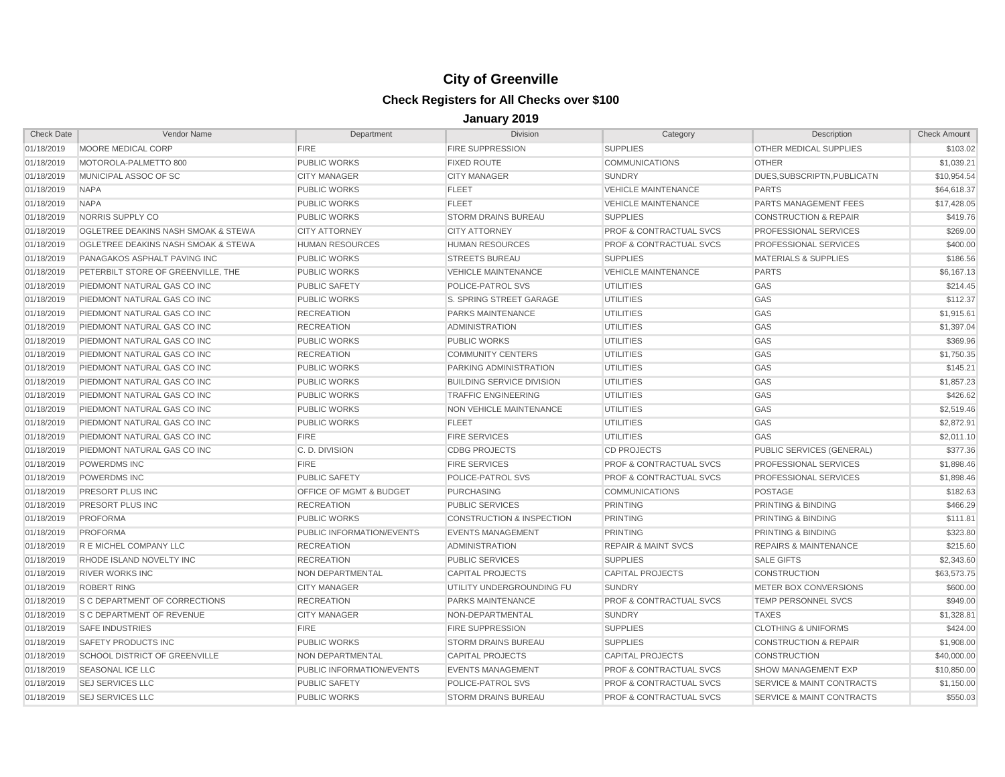| <b>Check Date</b> | <b>Vendor Name</b>                  | Department                | <b>Division</b>                      | Category                           | Description                          | <b>Check Amount</b> |
|-------------------|-------------------------------------|---------------------------|--------------------------------------|------------------------------------|--------------------------------------|---------------------|
| 01/18/2019        | MOORE MEDICAL CORP                  | <b>FIRE</b>               | <b>FIRE SUPPRESSION</b>              | <b>SUPPLIES</b>                    | OTHER MEDICAL SUPPLIES               | \$103.02            |
| 01/18/2019        | MOTOROLA-PALMETTO 800               | <b>PUBLIC WORKS</b>       | <b>FIXED ROUTE</b>                   | <b>COMMUNICATIONS</b>              | <b>OTHER</b>                         | \$1.039.21          |
| 01/18/2019        | MUNICIPAL ASSOC OF SC               | <b>CITY MANAGER</b>       | <b>CITY MANAGER</b>                  | <b>SUNDRY</b>                      | DUES, SUBSCRIPTN, PUBLICATN          | \$10,954.54         |
| 01/18/2019        | <b>NAPA</b>                         | <b>PUBLIC WORKS</b>       | <b>FLEET</b>                         | <b>VEHICLE MAINTENANCE</b>         | <b>PARTS</b>                         | \$64,618.37         |
| 01/18/2019        | <b>NAPA</b>                         | <b>PUBLIC WORKS</b>       | <b>FLEET</b>                         | <b>VEHICLE MAINTENANCE</b>         | <b>PARTS MANAGEMENT FEES</b>         | \$17,428.05         |
| 01/18/2019        | NORRIS SUPPLY CO                    | <b>PUBLIC WORKS</b>       | <b>STORM DRAINS BUREAU</b>           | <b>SUPPLIES</b>                    | <b>CONSTRUCTION &amp; REPAIR</b>     | \$419.76            |
| 01/18/2019        | OGLETREE DEAKINS NASH SMOAK & STEWA | <b>CITY ATTORNEY</b>      | <b>CITY ATTORNEY</b>                 | <b>PROF &amp; CONTRACTUAL SVCS</b> | PROFESSIONAL SERVICES                | \$269.00            |
| 01/18/2019        | OGLETREE DEAKINS NASH SMOAK & STEWA | <b>HUMAN RESOURCES</b>    | <b>HUMAN RESOURCES</b>               | <b>PROF &amp; CONTRACTUAL SVCS</b> | PROFESSIONAL SERVICES                | \$400.00            |
| 01/18/2019        | PANAGAKOS ASPHALT PAVING INC        | <b>PUBLIC WORKS</b>       | <b>STREETS BUREAU</b>                | <b>SUPPLIES</b>                    | <b>MATERIALS &amp; SUPPLIES</b>      | \$186.56            |
| 01/18/2019        | PETERBILT STORE OF GREENVILLE. THE  | <b>PUBLIC WORKS</b>       | <b>VEHICLE MAINTENANCE</b>           | <b>VEHICLE MAINTENANCE</b>         | <b>PARTS</b>                         | \$6,167.13          |
| 01/18/2019        | PIEDMONT NATURAL GAS CO INC         | <b>PUBLIC SAFETY</b>      | POLICE-PATROL SVS                    | <b>UTILITIES</b>                   | GAS                                  | \$214.45            |
| 01/18/2019        | PIEDMONT NATURAL GAS CO INC         | <b>PUBLIC WORKS</b>       | S. SPRING STREET GARAGE              | <b>UTILITIES</b>                   | GAS                                  | \$112.37            |
| 01/18/2019        | PIEDMONT NATURAL GAS CO INC         | <b>RECREATION</b>         | <b>PARKS MAINTENANCE</b>             | <b>UTILITIES</b>                   | GAS                                  | \$1,915.61          |
| 01/18/2019        | PIEDMONT NATURAL GAS CO INC         | <b>RECREATION</b>         | <b>ADMINISTRATION</b>                | <b>UTILITIES</b>                   | GAS                                  | \$1,397.04          |
| 01/18/2019        | PIEDMONT NATURAL GAS CO INC         | <b>PUBLIC WORKS</b>       | <b>PUBLIC WORKS</b>                  | <b>UTILITIES</b>                   | GAS                                  | \$369.96            |
| 01/18/2019        | PIEDMONT NATURAL GAS CO INC         | <b>RECREATION</b>         | <b>COMMUNITY CENTERS</b>             | <b>UTILITIES</b>                   | GAS                                  | \$1,750.35          |
| 01/18/2019        | PIEDMONT NATURAL GAS CO INC         | <b>PUBLIC WORKS</b>       | PARKING ADMINISTRATION               | <b>UTILITIES</b>                   | GAS                                  | \$145.21            |
| 01/18/2019        | PIEDMONT NATURAL GAS CO INC         | PUBLIC WORKS              | <b>BUILDING SERVICE DIVISION</b>     | <b>UTILITIES</b>                   | <b>GAS</b>                           | \$1,857.23          |
| 01/18/2019        | PIEDMONT NATURAL GAS CO INC         | <b>PUBLIC WORKS</b>       | <b>TRAFFIC ENGINEERING</b>           | <b>UTILITIES</b>                   | GAS                                  | \$426.62            |
| 01/18/2019        | PIEDMONT NATURAL GAS CO INC         | <b>PUBLIC WORKS</b>       | NON VEHICLE MAINTENANCE              | <b>UTILITIES</b>                   | GAS                                  | \$2,519.46          |
| 01/18/2019        | PIEDMONT NATURAL GAS CO INC         | <b>PUBLIC WORKS</b>       | <b>FLEET</b>                         | <b>UTILITIES</b>                   | GAS                                  | \$2,872.91          |
| 01/18/2019        | PIEDMONT NATURAL GAS CO INC         | <b>FIRE</b>               | <b>FIRE SERVICES</b>                 | <b>UTILITIES</b>                   | GAS                                  | \$2,011.10          |
| 01/18/2019        | PIEDMONT NATURAL GAS CO INC         | C. D. DIVISION            | <b>CDBG PROJECTS</b>                 | <b>CD PROJECTS</b>                 | PUBLIC SERVICES (GENERAL)            | \$377.36            |
| 01/18/2019        | <b>POWERDMS INC</b>                 | <b>FIRE</b>               | <b>FIRE SERVICES</b>                 | <b>PROF &amp; CONTRACTUAL SVCS</b> | <b>PROFESSIONAL SERVICES</b>         | \$1,898.46          |
| 01/18/2019        | <b>POWERDMS INC</b>                 | <b>PUBLIC SAFETY</b>      | POLICE-PATROL SVS                    | <b>PROF &amp; CONTRACTUAL SVCS</b> | PROFESSIONAL SERVICES                | \$1.898.46          |
| 01/18/2019        | PRESORT PLUS INC                    | OFFICE OF MGMT & BUDGET   | PURCHASING                           | <b>COMMUNICATIONS</b>              | <b>POSTAGE</b>                       | \$182.63            |
| 01/18/2019        | <b>PRESORT PLUS INC</b>             | <b>RECREATION</b>         | <b>PUBLIC SERVICES</b>               | <b>PRINTING</b>                    | PRINTING & BINDING                   | \$466.29            |
| 01/18/2019        | <b>PROFORMA</b>                     | <b>PUBLIC WORKS</b>       | <b>CONSTRUCTION &amp; INSPECTION</b> | <b>PRINTING</b>                    | PRINTING & BINDING                   | \$111.81            |
| 01/18/2019        | <b>PROFORMA</b>                     | PUBLIC INFORMATION/EVENTS | <b>EVENTS MANAGEMENT</b>             | <b>PRINTING</b>                    | <b>PRINTING &amp; BINDING</b>        | \$323.80            |
| 01/18/2019        | R E MICHEL COMPANY LLC              | <b>RECREATION</b>         | <b>ADMINISTRATION</b>                | <b>REPAIR &amp; MAINT SVCS</b>     | <b>REPAIRS &amp; MAINTENANCE</b>     | \$215.60            |
| 01/18/2019        | RHODE ISLAND NOVELTY INC            | <b>RECREATION</b>         | <b>PUBLIC SERVICES</b>               | <b>SUPPLIES</b>                    | <b>SALE GIFTS</b>                    | \$2,343.60          |
| 01/18/2019        | <b>RIVER WORKS INC</b>              | <b>NON DEPARTMENTAL</b>   | <b>CAPITAL PROJECTS</b>              | <b>CAPITAL PROJECTS</b>            | <b>CONSTRUCTION</b>                  | \$63,573,75         |
| 01/18/2019        | <b>ROBERT RING</b>                  | <b>CITY MANAGER</b>       | UTILITY UNDERGROUNDING FU            | <b>SUNDRY</b>                      | METER BOX CONVERSIONS                | \$600.00            |
| 01/18/2019        | S C DEPARTMENT OF CORRECTIONS       | <b>RECREATION</b>         | PARKS MAINTENANCE                    | <b>PROF &amp; CONTRACTUAL SVCS</b> | <b>TEMP PERSONNEL SVCS</b>           | \$949.00            |
| 01/18/2019        | S C DEPARTMENT OF REVENUE           | <b>CITY MANAGER</b>       | NON-DEPARTMENTAL                     | <b>SUNDRY</b>                      | <b>TAXES</b>                         | \$1,328.81          |
| 01/18/2019        | <b>SAFE INDUSTRIES</b>              | <b>FIRE</b>               | <b>FIRE SUPPRESSION</b>              | <b>SUPPLIES</b>                    | <b>CLOTHING &amp; UNIFORMS</b>       | \$424.00            |
| 01/18/2019        | <b>SAFETY PRODUCTS INC</b>          | <b>PUBLIC WORKS</b>       | <b>STORM DRAINS BUREAU</b>           | <b>SUPPLIES</b>                    | <b>CONSTRUCTION &amp; REPAIR</b>     | \$1,908.00          |
| 01/18/2019        | SCHOOL DISTRICT OF GREENVILLE       | NON DEPARTMENTAL          | <b>CAPITAL PROJECTS</b>              | <b>CAPITAL PROJECTS</b>            | <b>CONSTRUCTION</b>                  | \$40,000.00         |
| 01/18/2019        | <b>SEASONAL ICE LLC</b>             | PUBLIC INFORMATION/EVENTS | <b>EVENTS MANAGEMENT</b>             | <b>PROF &amp; CONTRACTUAL SVCS</b> | SHOW MANAGEMENT EXP                  | \$10,850.00         |
| 01/18/2019        | <b>SEJ SERVICES LLC</b>             | <b>PUBLIC SAFETY</b>      | <b>POLICE-PATROL SVS</b>             | <b>PROF &amp; CONTRACTUAL SVCS</b> | <b>SERVICE &amp; MAINT CONTRACTS</b> | \$1,150.00          |
| 01/18/2019        | <b>SEJ SERVICES LLC</b>             | <b>PUBLIC WORKS</b>       | <b>STORM DRAINS BUREAU</b>           | <b>PROF &amp; CONTRACTUAL SVCS</b> | <b>SERVICE &amp; MAINT CONTRACTS</b> | \$550.03            |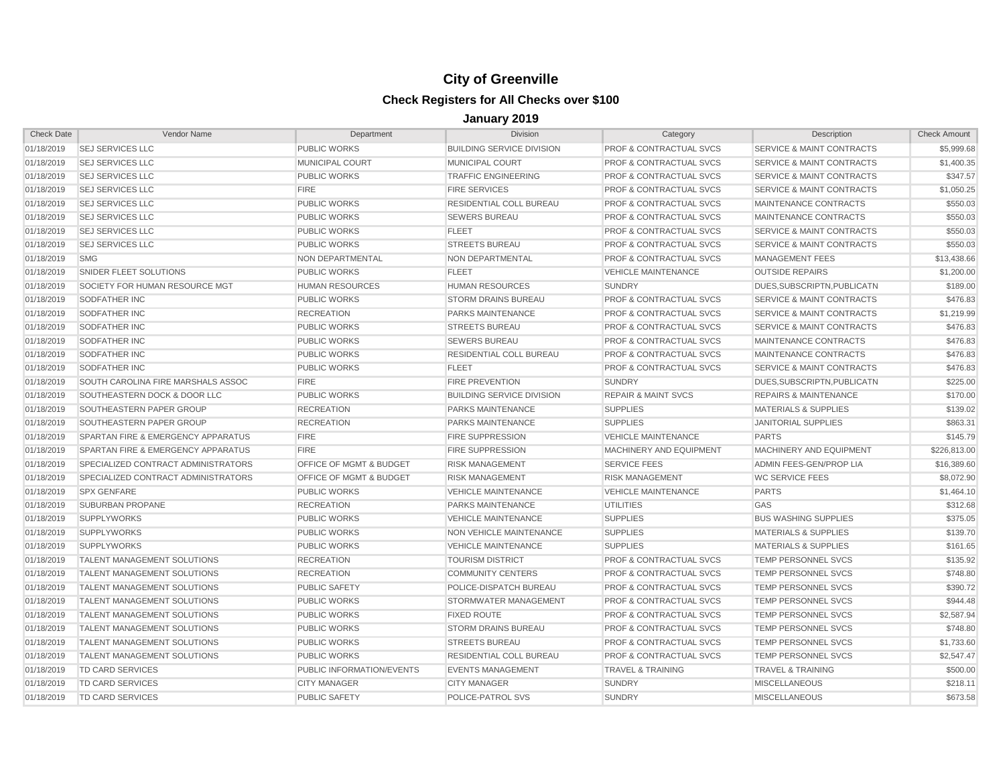| <b>Check Date</b> | Vendor Name                         | Department                | <b>Division</b>                  | Category                           | Description                          | <b>Check Amount</b> |
|-------------------|-------------------------------------|---------------------------|----------------------------------|------------------------------------|--------------------------------------|---------------------|
| 01/18/2019        | <b>SEJ SERVICES LLC</b>             | <b>PUBLIC WORKS</b>       | <b>BUILDING SERVICE DIVISION</b> | <b>PROF &amp; CONTRACTUAL SVCS</b> | SERVICE & MAINT CONTRACTS            | \$5,999.68          |
| 01/18/2019        | <b>SEJ SERVICES LLC</b>             | <b>MUNICIPAL COURT</b>    | <b>MUNICIPAL COURT</b>           | <b>PROF &amp; CONTRACTUAL SVCS</b> | <b>SERVICE &amp; MAINT CONTRACTS</b> | \$1,400.35          |
| 01/18/2019        | <b>SEJ SERVICES LLC</b>             | PUBLIC WORKS              | <b>TRAFFIC ENGINEERING</b>       | <b>PROF &amp; CONTRACTUAL SVCS</b> | <b>SERVICE &amp; MAINT CONTRACTS</b> | \$347.57            |
| 01/18/2019        | <b>SEJ SERVICES LLC</b>             | <b>FIRE</b>               | <b>FIRE SERVICES</b>             | <b>PROF &amp; CONTRACTUAL SVCS</b> | <b>SERVICE &amp; MAINT CONTRACTS</b> | \$1,050.25          |
| 01/18/2019        | <b>SEJ SERVICES LLC</b>             | <b>PUBLIC WORKS</b>       | RESIDENTIAL COLL BUREAU          | <b>PROF &amp; CONTRACTUAL SVCS</b> | <b>MAINTENANCE CONTRACTS</b>         | \$550.03            |
| 01/18/2019        | <b>SEJ SERVICES LLC</b>             | <b>PUBLIC WORKS</b>       | <b>SEWERS BUREAU</b>             | <b>PROF &amp; CONTRACTUAL SVCS</b> | MAINTENANCE CONTRACTS                | \$550.03            |
| 01/18/2019        | <b>SEJ SERVICES LLC</b>             | <b>PUBLIC WORKS</b>       | <b>FLEET</b>                     | <b>PROF &amp; CONTRACTUAL SVCS</b> | <b>SERVICE &amp; MAINT CONTRACTS</b> | \$550.03            |
| 01/18/2019        | <b>SEJ SERVICES LLC</b>             | <b>PUBLIC WORKS</b>       | <b>STREETS BUREAU</b>            | <b>PROF &amp; CONTRACTUAL SVCS</b> | <b>SERVICE &amp; MAINT CONTRACTS</b> | \$550.03            |
| 01/18/2019        | <b>SMG</b>                          | NON DEPARTMENTAL          | NON DEPARTMENTAL                 | <b>PROF &amp; CONTRACTUAL SVCS</b> | <b>MANAGEMENT FEES</b>               | \$13,438.66         |
| 01/18/2019        | SNIDER FLEET SOLUTIONS              | <b>PUBLIC WORKS</b>       | <b>FLEET</b>                     | <b>VEHICLE MAINTENANCE</b>         | <b>OUTSIDE REPAIRS</b>               | \$1,200.00          |
| 01/18/2019        | SOCIETY FOR HUMAN RESOURCE MGT      | <b>HUMAN RESOURCES</b>    | <b>HUMAN RESOURCES</b>           | <b>SUNDRY</b>                      | DUES.SUBSCRIPTN.PUBLICATN            | \$189.00            |
| 01/18/2019        | SODFATHER INC                       | <b>PUBLIC WORKS</b>       | <b>STORM DRAINS BUREAU</b>       | <b>PROF &amp; CONTRACTUAL SVCS</b> | <b>SERVICE &amp; MAINT CONTRACTS</b> | \$476.83            |
| 01/18/2019        | SODFATHER INC                       | <b>RECREATION</b>         | <b>PARKS MAINTENANCE</b>         | <b>PROF &amp; CONTRACTUAL SVCS</b> | <b>SERVICE &amp; MAINT CONTRACTS</b> | \$1,219.99          |
| 01/18/2019        | SODFATHER INC                       | PUBLIC WORKS              | <b>STREETS BUREAU</b>            | <b>PROF &amp; CONTRACTUAL SVCS</b> | <b>SERVICE &amp; MAINT CONTRACTS</b> | \$476.83            |
| 01/18/2019        | <b>SODFATHER INC</b>                | <b>PUBLIC WORKS</b>       | <b>SEWERS BUREAU</b>             | <b>PROF &amp; CONTRACTUAL SVCS</b> | MAINTENANCE CONTRACTS                | \$476.83            |
| 01/18/2019        | <b>SODFATHER INC</b>                | PUBLIC WORKS              | <b>RESIDENTIAL COLL BUREAU</b>   | <b>PROF &amp; CONTRACTUAL SVCS</b> | MAINTENANCE CONTRACTS                | \$476.83            |
| 01/18/2019        | <b>SODFATHER INC</b>                | <b>PUBLIC WORKS</b>       | <b>FLEET</b>                     | <b>PROF &amp; CONTRACTUAL SVCS</b> | <b>SERVICE &amp; MAINT CONTRACTS</b> | \$476.83            |
| 01/18/2019        | SOUTH CAROLINA FIRE MARSHALS ASSOC  | <b>FIRE</b>               | <b>FIRE PREVENTION</b>           | <b>SUNDRY</b>                      | DUES.SUBSCRIPTN.PUBLICATN            | \$225.00            |
| 01/18/2019        | SOUTHEASTERN DOCK & DOOR LLC        | PUBLIC WORKS              | <b>BUILDING SERVICE DIVISION</b> | <b>REPAIR &amp; MAINT SVCS</b>     | <b>REPAIRS &amp; MAINTENANCE</b>     | \$170.00            |
| 01/18/2019        | SOUTHEASTERN PAPER GROUP            | <b>RECREATION</b>         | <b>PARKS MAINTENANCE</b>         | <b>SUPPLIES</b>                    | <b>MATERIALS &amp; SUPPLIES</b>      | \$139.02            |
| 01/18/2019        | SOUTHEASTERN PAPER GROUP            | <b>RECREATION</b>         | PARKS MAINTENANCE                | <b>SUPPLIES</b>                    | <b>JANITORIAL SUPPLIES</b>           | \$863.31            |
| 01/18/2019        | SPARTAN FIRE & EMERGENCY APPARATUS  | <b>FIRE</b>               | <b>FIRE SUPPRESSION</b>          | <b>VEHICLE MAINTENANCE</b>         | <b>PARTS</b>                         | \$145.79            |
| 01/18/2019        | SPARTAN FIRE & EMERGENCY APPARATUS  | <b>FIRE</b>               | <b>FIRE SUPPRESSION</b>          | MACHINERY AND EQUIPMENT            | MACHINERY AND EQUIPMENT              | \$226,813,00        |
| 01/18/2019        | SPECIALIZED CONTRACT ADMINISTRATORS | OFFICE OF MGMT & BUDGET   | <b>RISK MANAGEMENT</b>           | <b>SERVICE FEES</b>                | ADMIN FEES-GEN/PROP LIA              | \$16,389.60         |
| 01/18/2019        | SPECIALIZED CONTRACT ADMINISTRATORS | OFFICE OF MGMT & BUDGET   | <b>RISK MANAGEMENT</b>           | <b>RISK MANAGEMENT</b>             | <b>WC SERVICE FEES</b>               | \$8,072.90          |
| 01/18/2019        | <b>SPX GENFARE</b>                  | <b>PUBLIC WORKS</b>       | <b>VEHICLE MAINTENANCE</b>       | <b>VEHICLE MAINTENANCE</b>         | <b>PARTS</b>                         | \$1,464.10          |
| 01/18/2019        | <b>SUBURBAN PROPANE</b>             | <b>RECREATION</b>         | <b>PARKS MAINTENANCE</b>         | <b>UTILITIES</b>                   | GAS                                  | \$312.68            |
| 01/18/2019        | <b>SUPPLYWORKS</b>                  | <b>PUBLIC WORKS</b>       | <b>VEHICLE MAINTENANCE</b>       | <b>SUPPLIES</b>                    | <b>BUS WASHING SUPPLIES</b>          | \$375.05            |
| 01/18/2019        | <b>SUPPLYWORKS</b>                  | <b>PUBLIC WORKS</b>       | NON VEHICLE MAINTENANCE          | <b>SUPPLIES</b>                    | <b>MATERIALS &amp; SUPPLIES</b>      | \$139.70            |
| 01/18/2019        | <b>SUPPLYWORKS</b>                  | <b>PUBLIC WORKS</b>       | <b>VEHICLE MAINTENANCE</b>       | <b>SUPPLIES</b>                    | <b>MATERIALS &amp; SUPPLIES</b>      | \$161.65            |
| 01/18/2019        | TALENT MANAGEMENT SOLUTIONS         | <b>RECREATION</b>         | <b>TOURISM DISTRICT</b>          | <b>PROF &amp; CONTRACTUAL SVCS</b> | TEMP PERSONNEL SVCS                  | \$135.92            |
| 01/18/2019        | TALENT MANAGEMENT SOLUTIONS         | <b>RECREATION</b>         | <b>COMMUNITY CENTERS</b>         | <b>PROF &amp; CONTRACTUAL SVCS</b> | <b>TEMP PERSONNEL SVCS</b>           | \$748.80            |
| 01/18/2019        | TALENT MANAGEMENT SOLUTIONS         | <b>PUBLIC SAFETY</b>      | POLICE-DISPATCH BUREAU           | <b>PROF &amp; CONTRACTUAL SVCS</b> | <b>TEMP PERSONNEL SVCS</b>           | \$390.72            |
| 01/18/2019        | TALENT MANAGEMENT SOLUTIONS         | <b>PUBLIC WORKS</b>       | STORMWATER MANAGEMENT            | <b>PROF &amp; CONTRACTUAL SVCS</b> | <b>TEMP PERSONNEL SVCS</b>           | \$944.48            |
| 01/18/2019        | TALENT MANAGEMENT SOLUTIONS         | <b>PUBLIC WORKS</b>       | <b>FIXED ROUTE</b>               | <b>PROF &amp; CONTRACTUAL SVCS</b> | TEMP PERSONNEL SVCS                  | \$2,587.94          |
| 01/18/2019        | TALENT MANAGEMENT SOLUTIONS         | <b>PUBLIC WORKS</b>       | <b>STORM DRAINS BUREAU</b>       | <b>PROF &amp; CONTRACTUAL SVCS</b> | <b>TEMP PERSONNEL SVCS</b>           | \$748.80            |
| 01/18/2019        | TALENT MANAGEMENT SOLUTIONS         | PUBLIC WORKS              | <b>STREETS BUREAU</b>            | <b>PROF &amp; CONTRACTUAL SVCS</b> | <b>TEMP PERSONNEL SVCS</b>           | \$1,733.60          |
| 01/18/2019        | TALENT MANAGEMENT SOLUTIONS         | <b>PUBLIC WORKS</b>       | RESIDENTIAL COLL BUREAU          | PROF & CONTRACTUAL SVCS            | TEMP PERSONNEL SVCS                  | \$2,547.47          |
| 01/18/2019        | <b>TD CARD SERVICES</b>             | PUBLIC INFORMATION/EVENTS | <b>EVENTS MANAGEMENT</b>         | <b>TRAVEL &amp; TRAINING</b>       | <b>TRAVEL &amp; TRAINING</b>         | \$500.00            |
| 01/18/2019        | <b>TD CARD SERVICES</b>             | <b>CITY MANAGER</b>       | <b>CITY MANAGER</b>              | <b>SUNDRY</b>                      | <b>MISCELLANEOUS</b>                 | \$218.11            |
| 01/18/2019        | TD CARD SERVICES                    | <b>PUBLIC SAFETY</b>      | POLICE-PATROL SVS                | <b>SUNDRY</b>                      | <b>MISCELLANEOUS</b>                 | \$673.58            |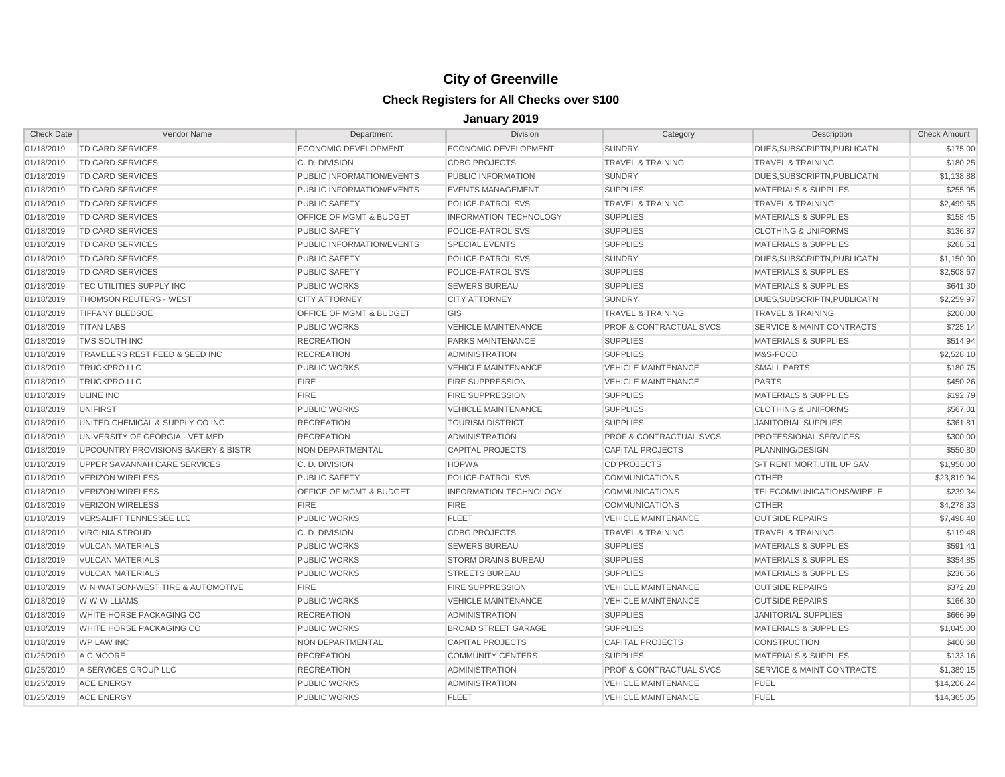| <b>Check Date</b> | Vendor Name                                    | Department                  | <b>Division</b>               | Category                           | Description                          | <b>Check Amount</b> |
|-------------------|------------------------------------------------|-----------------------------|-------------------------------|------------------------------------|--------------------------------------|---------------------|
| 01/18/2019        | TD CARD SERVICES                               | <b>ECONOMIC DEVELOPMENT</b> | ECONOMIC DEVELOPMENT          | <b>SUNDRY</b>                      | DUES, SUBSCRIPTN, PUBLICATN          | \$175.00            |
| 01/18/2019        | TD CARD SERVICES                               | C. D. DIVISION              | <b>CDBG PROJECTS</b>          | <b>TRAVEL &amp; TRAINING</b>       | <b>TRAVEL &amp; TRAINING</b>         | \$180.25            |
| 01/18/2019        | <b>TD CARD SERVICES</b>                        | PUBLIC INFORMATION/EVENTS   | PUBLIC INFORMATION            | <b>SUNDRY</b>                      | DUES.SUBSCRIPTN.PUBLICATN            | \$1,138.88          |
| 01/18/2019        | TD CARD SERVICES                               | PUBLIC INFORMATION/EVENTS   | <b>EVENTS MANAGEMENT</b>      | <b>SUPPLIES</b>                    | <b>MATERIALS &amp; SUPPLIES</b>      | \$255.95            |
| 01/18/2019        | TD CARD SERVICES                               | <b>PUBLIC SAFETY</b>        | POLICE-PATROL SVS             | <b>TRAVEL &amp; TRAINING</b>       | <b>TRAVEL &amp; TRAINING</b>         | \$2,499.55          |
| 01/18/2019        | TD CARD SERVICES                               | OFFICE OF MGMT & BUDGET     | <b>INFORMATION TECHNOLOGY</b> | <b>SUPPLIES</b>                    | <b>MATERIALS &amp; SUPPLIES</b>      | \$158.45            |
| 01/18/2019        | TD CARD SERVICES                               | <b>PUBLIC SAFETY</b>        | POLICE-PATROL SVS             | <b>SUPPLIES</b>                    | <b>CLOTHING &amp; UNIFORMS</b>       | \$136.87            |
| 01/18/2019        | <b>TD CARD SERVICES</b>                        | PUBLIC INFORMATION/EVENTS   | <b>SPECIAL EVENTS</b>         | <b>SUPPLIES</b>                    | <b>MATERIALS &amp; SUPPLIES</b>      | \$268.51            |
| 01/18/2019        | TD CARD SERVICES                               | <b>PUBLIC SAFETY</b>        | POLICE-PATROL SVS             | <b>SUNDRY</b>                      | DUES, SUBSCRIPTN, PUBLICATN          | \$1,150.00          |
| 01/18/2019        | <b>TD CARD SERVICES</b>                        | <b>PUBLIC SAFETY</b>        | POLICE-PATROL SVS             | <b>SUPPLIES</b>                    | <b>MATERIALS &amp; SUPPLIES</b>      | \$2,508.67          |
| 01/18/2019        | TEC UTILITIES SUPPLY INC                       | <b>PUBLIC WORKS</b>         | <b>SEWERS BUREAU</b>          | <b>SUPPLIES</b>                    | <b>MATERIALS &amp; SUPPLIES</b>      | \$641.30            |
| 01/18/2019        | <b>THOMSON REUTERS - WEST</b>                  | <b>CITY ATTORNEY</b>        | <b>CITY ATTORNEY</b>          | <b>SUNDRY</b>                      | DUES.SUBSCRIPTN.PUBLICATN            | \$2,259.97          |
| 01/18/2019        | <b>TIFFANY BLEDSOE</b>                         | OFFICE OF MGMT & BUDGET     | GIS                           | <b>TRAVEL &amp; TRAINING</b>       | <b>TRAVEL &amp; TRAINING</b>         | \$200.00            |
| 01/18/2019        | <b>TITAN LABS</b>                              | <b>PUBLIC WORKS</b>         | <b>VEHICLE MAINTENANCE</b>    | <b>PROF &amp; CONTRACTUAL SVCS</b> | <b>SERVICE &amp; MAINT CONTRACTS</b> | \$725.14            |
| 01/18/2019        | TMS SOUTH INC                                  | <b>RECREATION</b>           | PARKS MAINTENANCE             | <b>SUPPLIES</b>                    | <b>MATERIALS &amp; SUPPLIES</b>      | \$514.94            |
| 01/18/2019        | TRAVELERS REST FEED & SEED INC                 | <b>RECREATION</b>           | <b>ADMINISTRATION</b>         | <b>SUPPLIES</b>                    | M&S-FOOD                             | \$2,528.10          |
| 01/18/2019        | <b>TRUCKPRO LLC</b>                            | <b>PUBLIC WORKS</b>         | <b>VEHICLE MAINTENANCE</b>    | <b>VEHICLE MAINTENANCE</b>         | <b>SMALL PARTS</b>                   | \$180.75            |
| 01/18/2019        | <b>TRUCKPRO LLC</b>                            | <b>FIRE</b>                 | <b>FIRE SUPPRESSION</b>       | <b>VEHICLE MAINTENANCE</b>         | <b>PARTS</b>                         | \$450.26            |
| 01/18/2019        | <b>ULINE INC</b>                               | <b>FIRE</b>                 | <b>FIRE SUPPRESSION</b>       | <b>SUPPLIES</b>                    | <b>MATERIALS &amp; SUPPLIES</b>      | \$192.79            |
| 01/18/2019        | <b>UNIFIRST</b>                                | <b>PUBLIC WORKS</b>         | <b>VEHICLE MAINTENANCE</b>    | <b>SUPPLIES</b>                    | <b>CLOTHING &amp; UNIFORMS</b>       | \$567.01            |
| 01/18/2019        | UNITED CHEMICAL & SUPPLY CO INC                | <b>RECREATION</b>           | <b>TOURISM DISTRICT</b>       | <b>SUPPLIES</b>                    | <b>JANITORIAL SUPPLIES</b>           | \$361.81            |
| 01/18/2019        | UNIVERSITY OF GEORGIA - VET MED                | <b>RECREATION</b>           | <b>ADMINISTRATION</b>         | <b>PROF &amp; CONTRACTUAL SVCS</b> | PROFESSIONAL SERVICES                | \$300.00            |
| 01/18/2019        | <b>UPCOUNTRY PROVISIONS BAKERY &amp; BISTR</b> | NON DEPARTMENTAL            | <b>CAPITAL PROJECTS</b>       | <b>CAPITAL PROJECTS</b>            | PLANNING/DESIGN                      | \$550.80            |
| 01/18/2019        | UPPER SAVANNAH CARE SERVICES                   | C. D. DIVISION              | <b>HOPWA</b>                  | <b>CD PROJECTS</b>                 | S-T RENT, MORT, UTIL UP SAV          | \$1,950.00          |
| 01/18/2019        | <b>VERIZON WIRELESS</b>                        | <b>PUBLIC SAFETY</b>        | POLICE-PATROL SVS             | <b>COMMUNICATIONS</b>              | <b>OTHER</b>                         | \$23,819.94         |
| 01/18/2019        | <b>VERIZON WIRELESS</b>                        | OFFICE OF MGMT & BUDGET     | <b>INFORMATION TECHNOLOGY</b> | <b>COMMUNICATIONS</b>              | TELECOMMUNICATIONS/WIRELE            | \$239.34            |
| 01/18/2019        | <b>VERIZON WIRELESS</b>                        | <b>FIRE</b>                 | <b>FIRE</b>                   | <b>COMMUNICATIONS</b>              | <b>OTHER</b>                         | \$4,278.33          |
| 01/18/2019        | VERSALIFT TENNESSEE LLC                        | <b>PUBLIC WORKS</b>         | <b>FLEET</b>                  | <b>VEHICLE MAINTENANCE</b>         | <b>OUTSIDE REPAIRS</b>               | \$7,498.48          |
| 01/18/2019        | <b>VIRGINIA STROUD</b>                         | C. D. DIVISION              | <b>CDBG PROJECTS</b>          | <b>TRAVEL &amp; TRAINING</b>       | <b>TRAVEL &amp; TRAINING</b>         | \$119.48            |
| 01/18/2019        | <b>VULCAN MATERIALS</b>                        | <b>PUBLIC WORKS</b>         | <b>SEWERS BUREAU</b>          | <b>SUPPLIES</b>                    | <b>MATERIALS &amp; SUPPLIES</b>      | \$591.41            |
| 01/18/2019        | <b>VULCAN MATERIALS</b>                        | <b>PUBLIC WORKS</b>         | <b>STORM DRAINS BUREAU</b>    | <b>SUPPLIES</b>                    | <b>MATERIALS &amp; SUPPLIES</b>      | \$354.85            |
| 01/18/2019        | <b>VULCAN MATERIALS</b>                        | <b>PUBLIC WORKS</b>         | <b>STREETS BUREAU</b>         | <b>SUPPLIES</b>                    | <b>MATERIALS &amp; SUPPLIES</b>      | \$236.56            |
| 01/18/2019        | W N WATSON-WEST TIRE & AUTOMOTIVE              | <b>FIRE</b>                 | <b>FIRE SUPPRESSION</b>       | <b>VEHICLE MAINTENANCE</b>         | <b>OUTSIDE REPAIRS</b>               | \$372.28            |
| 01/18/2019        | W W WILLIAMS                                   | <b>PUBLIC WORKS</b>         | <b>VEHICLE MAINTENANCE</b>    | <b>VEHICLE MAINTENANCE</b>         | <b>OUTSIDE REPAIRS</b>               | \$166.30            |
| 01/18/2019        | WHITE HORSE PACKAGING CO                       | <b>RECREATION</b>           | <b>ADMINISTRATION</b>         | <b>SUPPLIES</b>                    | <b>JANITORIAL SUPPLIES</b>           | \$666.99            |
| 01/18/2019        | WHITE HORSE PACKAGING CO                       | <b>PUBLIC WORKS</b>         | <b>BROAD STREET GARAGE</b>    | <b>SUPPLIES</b>                    | <b>MATERIALS &amp; SUPPLIES</b>      | \$1,045.00          |
| 01/18/2019        | <b>WP LAW INC</b>                              | NON DEPARTMENTAL            | <b>CAPITAL PROJECTS</b>       | <b>CAPITAL PROJECTS</b>            | <b>CONSTRUCTION</b>                  | \$400.68            |
| 01/25/2019        | A C MOORE                                      | <b>RECREATION</b>           | <b>COMMUNITY CENTERS</b>      | <b>SUPPLIES</b>                    | <b>MATERIALS &amp; SUPPLIES</b>      | \$133.16            |
| 01/25/2019        | A SERVICES GROUP LLC                           | <b>RECREATION</b>           | <b>ADMINISTRATION</b>         | <b>PROF &amp; CONTRACTUAL SVCS</b> | <b>SERVICE &amp; MAINT CONTRACTS</b> | \$1,389.15          |
| 01/25/2019        | <b>ACE ENERGY</b>                              | <b>PUBLIC WORKS</b>         | <b>ADMINISTRATION</b>         | <b>VEHICLE MAINTENANCE</b>         | <b>FUEL</b>                          | \$14,206.24         |
| 01/25/2019        | <b>ACE ENERGY</b>                              | <b>PUBLIC WORKS</b>         | <b>FLEET</b>                  | <b>VEHICLE MAINTENANCE</b>         | <b>FUEL</b>                          | \$14,365.05         |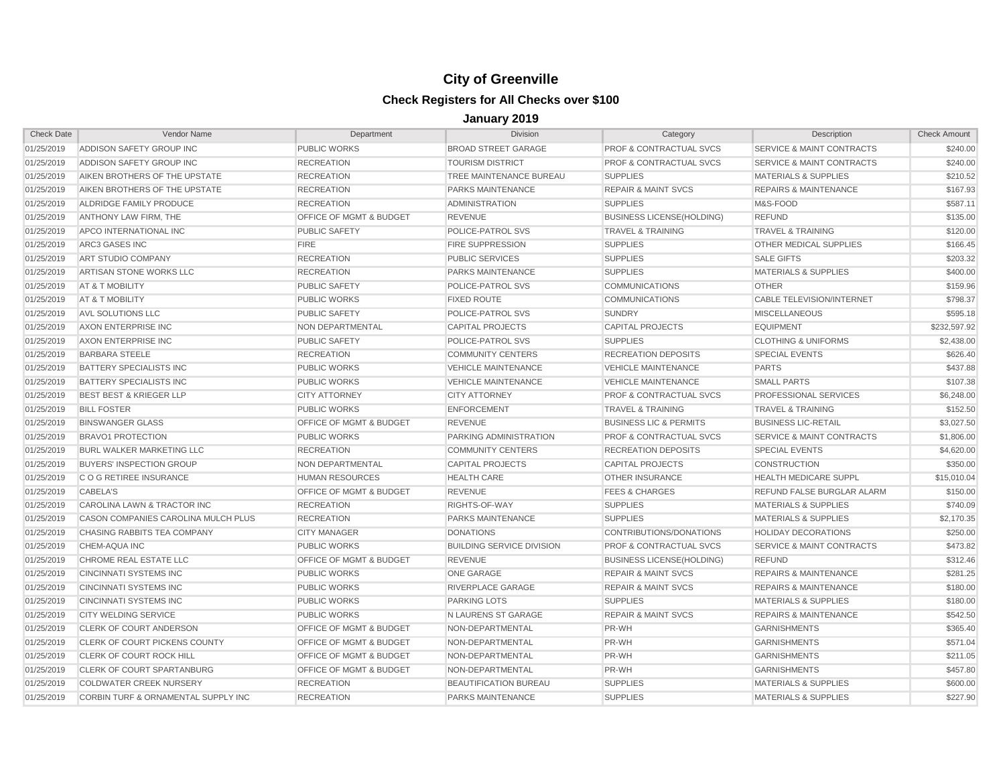| <b>Check Date</b> | Vendor Name                         | Department                         | <b>Division</b>                  | Category                           | Description                          | <b>Check Amount</b> |
|-------------------|-------------------------------------|------------------------------------|----------------------------------|------------------------------------|--------------------------------------|---------------------|
| 01/25/2019        | ADDISON SAFETY GROUP INC            | <b>PUBLIC WORKS</b>                | <b>BROAD STREET GARAGE</b>       | <b>PROF &amp; CONTRACTUAL SVCS</b> | <b>SERVICE &amp; MAINT CONTRACTS</b> | \$240.00            |
| 01/25/2019        | ADDISON SAFETY GROUP INC            | <b>RECREATION</b>                  | <b>TOURISM DISTRICT</b>          | <b>PROF &amp; CONTRACTUAL SVCS</b> | <b>SERVICE &amp; MAINT CONTRACTS</b> | \$240.00            |
| 01/25/2019        | AIKEN BROTHERS OF THE UPSTATE       | <b>RECREATION</b>                  | TREE MAINTENANCE BUREAU          | <b>SUPPLIES</b>                    | <b>MATERIALS &amp; SUPPLIES</b>      | \$210.52            |
| 01/25/2019        | AIKEN BROTHERS OF THE UPSTATE       | <b>RECREATION</b>                  | <b>PARKS MAINTENANCE</b>         | <b>REPAIR &amp; MAINT SVCS</b>     | <b>REPAIRS &amp; MAINTENANCE</b>     | \$167.93            |
| 01/25/2019        | ALDRIDGE FAMILY PRODUCE             | <b>RECREATION</b>                  | <b>ADMINISTRATION</b>            | <b>SUPPLIES</b>                    | M&S-FOOD                             | \$587.11            |
| 01/25/2019        | ANTHONY LAW FIRM, THE               | OFFICE OF MGMT & BUDGET            | <b>REVENUE</b>                   | <b>BUSINESS LICENSE(HOLDING)</b>   | <b>REFUND</b>                        | \$135.00            |
| 01/25/2019        | APCO INTERNATIONAL INC              | <b>PUBLIC SAFETY</b>               | POLICE-PATROL SVS                | <b>TRAVEL &amp; TRAINING</b>       | <b>TRAVEL &amp; TRAINING</b>         | \$120.00            |
| 01/25/2019        | <b>ARC3 GASES INC</b>               | <b>FIRE</b>                        | <b>FIRE SUPPRESSION</b>          | <b>SUPPLIES</b>                    | <b>OTHER MEDICAL SUPPLIES</b>        | \$166.45            |
| 01/25/2019        | ART STUDIO COMPANY                  | <b>RECREATION</b>                  | <b>PUBLIC SERVICES</b>           | <b>SUPPLIES</b>                    | <b>SALE GIFTS</b>                    | \$203.32            |
| 01/25/2019        | ARTISAN STONE WORKS LLC             | <b>RECREATION</b>                  | <b>PARKS MAINTENANCE</b>         | <b>SUPPLIES</b>                    | <b>MATERIALS &amp; SUPPLIES</b>      | \$400.00            |
| 01/25/2019        | AT & T MOBILITY                     | <b>PUBLIC SAFETY</b>               | POLICE-PATROL SVS                | <b>COMMUNICATIONS</b>              | <b>OTHER</b>                         | \$159.96            |
| 01/25/2019        | AT & T MOBILITY                     | <b>PUBLIC WORKS</b>                | <b>FIXED ROUTE</b>               | <b>COMMUNICATIONS</b>              | CABLE TELEVISION/INTERNET            | \$798.37            |
| 01/25/2019        | AVL SOLUTIONS LLC                   | <b>PUBLIC SAFETY</b>               | POLICE-PATROL SVS                | <b>SUNDRY</b>                      | <b>MISCELLANEOUS</b>                 | \$595.18            |
| 01/25/2019        | AXON ENTERPRISE INC                 | NON DEPARTMENTAL                   | <b>CAPITAL PROJECTS</b>          | <b>CAPITAL PROJECTS</b>            | <b>EQUIPMENT</b>                     | \$232.597.92        |
| 01/25/2019        | AXON ENTERPRISE INC                 | <b>PUBLIC SAFETY</b>               | POLICE-PATROL SVS                | <b>SUPPLIES</b>                    | <b>CLOTHING &amp; UNIFORMS</b>       | \$2,438.00          |
| 01/25/2019        | <b>BARBARA STEELE</b>               | <b>RECREATION</b>                  | <b>COMMUNITY CENTERS</b>         | <b>RECREATION DEPOSITS</b>         | <b>SPECIAL EVENTS</b>                | \$626.40            |
| 01/25/2019        | BATTERY SPECIALISTS INC             | <b>PUBLIC WORKS</b>                | <b>VEHICLE MAINTENANCE</b>       | <b>VEHICLE MAINTENANCE</b>         | <b>PARTS</b>                         | \$437.88            |
| 01/25/2019        | BATTERY SPECIALISTS INC             | <b>PUBLIC WORKS</b>                | <b>VEHICLE MAINTENANCE</b>       | <b>VEHICLE MAINTENANCE</b>         | <b>SMALL PARTS</b>                   | \$107.38            |
| 01/25/2019        | <b>BEST BEST &amp; KRIEGER LLP</b>  | <b>CITY ATTORNEY</b>               | <b>CITY ATTORNEY</b>             | <b>PROF &amp; CONTRACTUAL SVCS</b> | PROFESSIONAL SERVICES                | \$6,248.00          |
| 01/25/2019        | <b>BILL FOSTER</b>                  | <b>PUBLIC WORKS</b>                | <b>ENFORCEMENT</b>               | <b>TRAVEL &amp; TRAINING</b>       | <b>TRAVEL &amp; TRAINING</b>         | \$152.50            |
| 01/25/2019        | <b>BINSWANGER GLASS</b>             | <b>OFFICE OF MGMT &amp; BUDGET</b> | <b>REVENUE</b>                   | <b>BUSINESS LIC &amp; PERMITS</b>  | <b>BUSINESS LIC-RETAIL</b>           | \$3,027.50          |
| 01/25/2019        | <b>BRAVO1 PROTECTION</b>            | <b>PUBLIC WORKS</b>                | PARKING ADMINISTRATION           | <b>PROF &amp; CONTRACTUAL SVCS</b> | <b>SERVICE &amp; MAINT CONTRACTS</b> | \$1,806.00          |
| 01/25/2019        | <b>BURL WALKER MARKETING LLC</b>    | <b>RECREATION</b>                  | <b>COMMUNITY CENTERS</b>         | <b>RECREATION DEPOSITS</b>         | <b>SPECIAL EVENTS</b>                | \$4,620.00          |
| 01/25/2019        | <b>BUYERS' INSPECTION GROUP</b>     | NON DEPARTMENTAL                   | <b>CAPITAL PROJECTS</b>          | <b>CAPITAL PROJECTS</b>            | <b>CONSTRUCTION</b>                  | \$350.00            |
| 01/25/2019        | C O G RETIREE INSURANCE             | <b>HUMAN RESOURCES</b>             | <b>HEALTH CARE</b>               | <b>OTHER INSURANCE</b>             | <b>HEALTH MEDICARE SUPPL</b>         | \$15,010.04         |
| 01/25/2019        | <b>CABELA'S</b>                     | OFFICE OF MGMT & BUDGET            | <b>REVENUE</b>                   | <b>FEES &amp; CHARGES</b>          | REFUND FALSE BURGLAR ALARM           | \$150.00            |
| 01/25/2019        | CAROLINA LAWN & TRACTOR INC         | <b>RECREATION</b>                  | RIGHTS-OF-WAY                    | <b>SUPPLIES</b>                    | <b>MATERIALS &amp; SUPPLIES</b>      | \$740.09            |
| 01/25/2019        | CASON COMPANIES CAROLINA MULCH PLUS | <b>RECREATION</b>                  | <b>PARKS MAINTENANCE</b>         | <b>SUPPLIES</b>                    | <b>MATERIALS &amp; SUPPLIES</b>      | \$2,170.35          |
| 01/25/2019        | CHASING RABBITS TEA COMPANY         | <b>CITY MANAGER</b>                | <b>DONATIONS</b>                 | CONTRIBUTIONS/DONATIONS            | <b>HOLIDAY DECORATIONS</b>           | \$250.00            |
| 01/25/2019        | CHEM-AQUA INC                       | <b>PUBLIC WORKS</b>                | <b>BUILDING SERVICE DIVISION</b> | <b>PROF &amp; CONTRACTUAL SVCS</b> | <b>SERVICE &amp; MAINT CONTRACTS</b> | \$473.82            |
| 01/25/2019        | CHROME REAL ESTATE LLC              | OFFICE OF MGMT & BUDGET            | <b>REVENUE</b>                   | <b>BUSINESS LICENSE(HOLDING)</b>   | <b>REFUND</b>                        | \$312.46            |
| 01/25/2019        | <b>CINCINNATI SYSTEMS INC</b>       | <b>PUBLIC WORKS</b>                | ONE GARAGE                       | <b>REPAIR &amp; MAINT SVCS</b>     | <b>REPAIRS &amp; MAINTENANCE</b>     | \$281.25            |
| 01/25/2019        | <b>CINCINNATI SYSTEMS INC</b>       | <b>PUBLIC WORKS</b>                | RIVERPLACE GARAGE                | <b>REPAIR &amp; MAINT SVCS</b>     | <b>REPAIRS &amp; MAINTENANCE</b>     | \$180.00            |
| 01/25/2019        | <b>CINCINNATI SYSTEMS INC</b>       | <b>PUBLIC WORKS</b>                | <b>PARKING LOTS</b>              | <b>SUPPLIES</b>                    | <b>MATERIALS &amp; SUPPLIES</b>      | \$180.00            |
| 01/25/2019        | <b>CITY WELDING SERVICE</b>         | <b>PUBLIC WORKS</b>                | <b>N LAURENS ST GARAGE</b>       | <b>REPAIR &amp; MAINT SVCS</b>     | <b>REPAIRS &amp; MAINTENANCE</b>     | \$542.50            |
| 01/25/2019        | <b>CLERK OF COURT ANDERSON</b>      | OFFICE OF MGMT & BUDGET            | NON-DEPARTMENTAL                 | PR-WH                              | <b>GARNISHMENTS</b>                  | \$365.40            |
| 01/25/2019        | CLERK OF COURT PICKENS COUNTY       | <b>OFFICE OF MGMT &amp; BUDGET</b> | NON-DEPARTMENTAL                 | PR-WH                              | <b>GARNISHMENTS</b>                  | \$571.04            |
| 01/25/2019        | CLERK OF COURT ROCK HILL            | <b>OFFICE OF MGMT &amp; BUDGET</b> | NON-DEPARTMENTAL                 | PR-WH                              | <b>GARNISHMENTS</b>                  | \$211.05            |
| 01/25/2019        | CLERK OF COURT SPARTANBURG          | OFFICE OF MGMT & BUDGET            | NON-DEPARTMENTAL                 | PR-WH                              | <b>GARNISHMENTS</b>                  | \$457.80            |
| 01/25/2019        | <b>COLDWATER CREEK NURSERY</b>      | <b>RECREATION</b>                  | BEAUTIFICATION BUREAU            | <b>SUPPLIES</b>                    | <b>MATERIALS &amp; SUPPLIES</b>      | \$600.00            |
| 01/25/2019        | CORBIN TURF & ORNAMENTAL SUPPLY INC | <b>RECREATION</b>                  | <b>PARKS MAINTENANCE</b>         | <b>SUPPLIES</b>                    | <b>MATERIALS &amp; SUPPLIES</b>      | \$227.90            |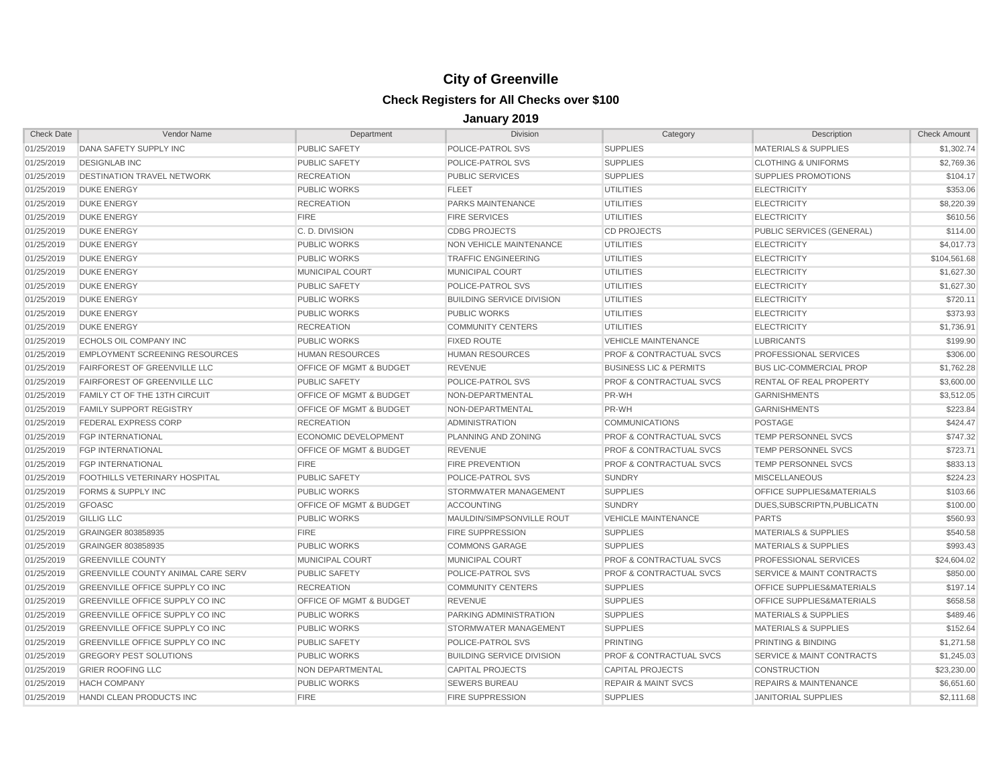| <b>Check Date</b> | Vendor Name                               | Department                         | <b>Division</b>                  | Category                           | Description                          | <b>Check Amount</b> |
|-------------------|-------------------------------------------|------------------------------------|----------------------------------|------------------------------------|--------------------------------------|---------------------|
| 01/25/2019        | DANA SAFETY SUPPLY INC                    | PUBLIC SAFETY                      | POLICE-PATROL SVS                | <b>SUPPLIES</b>                    | <b>MATERIALS &amp; SUPPLIES</b>      | \$1,302.74          |
| 01/25/2019        | <b>DESIGNLAB INC</b>                      | <b>PUBLIC SAFETY</b>               | POLICE-PATROL SVS                | <b>SUPPLIES</b>                    | <b>CLOTHING &amp; UNIFORMS</b>       | \$2,769.36          |
| 01/25/2019        | <b>DESTINATION TRAVEL NETWORK</b>         | <b>RECREATION</b>                  | <b>PUBLIC SERVICES</b>           | <b>SUPPLIES</b>                    | <b>SUPPLIES PROMOTIONS</b>           | \$104.17            |
| 01/25/2019        | <b>DUKE ENERGY</b>                        | PUBLIC WORKS                       | <b>FLEET</b>                     | <b>UTILITIES</b>                   | <b>ELECTRICITY</b>                   | \$353.06            |
| 01/25/2019        | <b>DUKE ENERGY</b>                        | <b>RECREATION</b>                  | PARKS MAINTENANCE                | <b>UTILITIES</b>                   | <b>ELECTRICITY</b>                   | \$8,220.39          |
| 01/25/2019        | <b>DUKE ENERGY</b>                        | <b>FIRE</b>                        | <b>FIRE SERVICES</b>             | <b>UTILITIES</b>                   | <b>ELECTRICITY</b>                   | \$610.56            |
| 01/25/2019        | <b>DUKE ENERGY</b>                        | C. D. DIVISION                     | <b>CDBG PROJECTS</b>             | <b>CD PROJECTS</b>                 | PUBLIC SERVICES (GENERAL)            | \$114.00            |
| 01/25/2019        | <b>DUKE ENERGY</b>                        | <b>PUBLIC WORKS</b>                | NON VEHICLE MAINTENANCE          | <b>UTILITIES</b>                   | <b>ELECTRICITY</b>                   | \$4,017.73          |
| 01/25/2019        | <b>DUKE ENERGY</b>                        | PUBLIC WORKS                       | <b>TRAFFIC ENGINEERING</b>       | <b>UTILITIES</b>                   | <b>ELECTRICITY</b>                   | \$104,561.68        |
| 01/25/2019        | <b>DUKE ENERGY</b>                        | <b>MUNICIPAL COURT</b>             | MUNICIPAL COURT                  | <b>UTILITIES</b>                   | <b>ELECTRICITY</b>                   | \$1,627.30          |
| 01/25/2019        | <b>DUKE ENERGY</b>                        | <b>PUBLIC SAFETY</b>               | POLICE-PATROL SVS                | <b>UTILITIES</b>                   | <b>ELECTRICITY</b>                   | \$1,627.30          |
| 01/25/2019        | <b>DUKE ENERGY</b>                        | <b>PUBLIC WORKS</b>                | <b>BUILDING SERVICE DIVISION</b> | <b>UTILITIES</b>                   | <b>ELECTRICITY</b>                   | \$720.11            |
| 01/25/2019        | <b>DUKE ENERGY</b>                        | <b>PUBLIC WORKS</b>                | <b>PUBLIC WORKS</b>              | <b>UTILITIES</b>                   | <b>ELECTRICITY</b>                   | \$373.93            |
| 01/25/2019        | <b>DUKE ENERGY</b>                        | <b>RECREATION</b>                  | <b>COMMUNITY CENTERS</b>         | <b>UTILITIES</b>                   | <b>ELECTRICITY</b>                   | \$1,736.91          |
| 01/25/2019        | <b>ECHOLS OIL COMPANY INC</b>             | PUBLIC WORKS                       | <b>FIXED ROUTE</b>               | <b>VEHICLE MAINTENANCE</b>         | <b>LUBRICANTS</b>                    | \$199.90            |
| 01/25/2019        | <b>EMPLOYMENT SCREENING RESOURCES</b>     | <b>HUMAN RESOURCES</b>             | <b>HUMAN RESOURCES</b>           | <b>PROF &amp; CONTRACTUAL SVCS</b> | PROFESSIONAL SERVICES                | \$306.00            |
| 01/25/2019        | <b>FAIRFOREST OF GREENVILLE LLC</b>       | OFFICE OF MGMT & BUDGET            | <b>REVENUE</b>                   | <b>BUSINESS LIC &amp; PERMITS</b>  | <b>BUS LIC-COMMERCIAL PROP</b>       | \$1,762.28          |
| 01/25/2019        | <b>FAIRFOREST OF GREENVILLE LLC</b>       | PUBLIC SAFETY                      | POLICE-PATROL SVS                | <b>PROF &amp; CONTRACTUAL SVCS</b> | RENTAL OF REAL PROPERTY              | \$3,600.00          |
| 01/25/2019        | <b>FAMILY CT OF THE 13TH CIRCUIT</b>      | <b>OFFICE OF MGMT &amp; BUDGET</b> | NON-DEPARTMENTAL                 | PR-WH                              | <b>GARNISHMENTS</b>                  | \$3,512.05          |
| 01/25/2019        | <b>FAMILY SUPPORT REGISTRY</b>            | <b>OFFICE OF MGMT &amp; BUDGET</b> | NON-DEPARTMENTAL                 | PR-WH                              | <b>GARNISHMENTS</b>                  | \$223.84            |
| 01/25/2019        | FEDERAL EXPRESS CORP                      | <b>RECREATION</b>                  | <b>ADMINISTRATION</b>            | <b>COMMUNICATIONS</b>              | <b>POSTAGE</b>                       | \$424.47            |
| 01/25/2019        | <b>FGP INTERNATIONAL</b>                  | ECONOMIC DEVELOPMENT               | PLANNING AND ZONING              | <b>PROF &amp; CONTRACTUAL SVCS</b> | <b>TEMP PERSONNEL SVCS</b>           | \$747.32            |
| 01/25/2019        | <b>FGP INTERNATIONAL</b>                  | OFFICE OF MGMT & BUDGET            | <b>REVENUE</b>                   | <b>PROF &amp; CONTRACTUAL SVCS</b> | TEMP PERSONNEL SVCS                  | \$723.71            |
| 01/25/2019        | <b>FGP INTERNATIONAL</b>                  | <b>FIRE</b>                        | <b>FIRE PREVENTION</b>           | <b>PROF &amp; CONTRACTUAL SVCS</b> | TEMP PERSONNEL SVCS                  | \$833.13            |
| 01/25/2019        | FOOTHILLS VETERINARY HOSPITAL             | <b>PUBLIC SAFETY</b>               | POLICE-PATROL SVS                | <b>SUNDRY</b>                      | <b>MISCELLANEOUS</b>                 | \$224.23            |
| 01/25/2019        | <b>FORMS &amp; SUPPLY INC</b>             | <b>PUBLIC WORKS</b>                | STORMWATER MANAGEMENT            | <b>SUPPLIES</b>                    | OFFICE SUPPLIES&MATERIALS            | \$103.66            |
| 01/25/2019        | <b>GFOASC</b>                             | <b>OFFICE OF MGMT &amp; BUDGET</b> | <b>ACCOUNTING</b>                | <b>SUNDRY</b>                      | DUES.SUBSCRIPTN.PUBLICATN            | \$100.00            |
| 01/25/2019        | <b>GILLIG LLC</b>                         | <b>PUBLIC WORKS</b>                | MAULDIN/SIMPSONVILLE ROUT        | <b>VEHICLE MAINTENANCE</b>         | <b>PARTS</b>                         | \$560.93            |
| 01/25/2019        | GRAINGER 803858935                        | <b>FIRE</b>                        | <b>FIRE SUPPRESSION</b>          | <b>SUPPLIES</b>                    | <b>MATERIALS &amp; SUPPLIES</b>      | \$540.58            |
| 01/25/2019        | GRAINGER 803858935                        | PUBLIC WORKS                       | <b>COMMONS GARAGE</b>            | <b>SUPPLIES</b>                    | <b>MATERIALS &amp; SUPPLIES</b>      | \$993.43            |
| 01/25/2019        | <b>GREENVILLE COUNTY</b>                  | <b>MUNICIPAL COURT</b>             | <b>MUNICIPAL COURT</b>           | <b>PROF &amp; CONTRACTUAL SVCS</b> | PROFESSIONAL SERVICES                | \$24,604.02         |
| 01/25/2019        | <b>GREENVILLE COUNTY ANIMAL CARE SERV</b> | PUBLIC SAFETY                      | POLICE-PATROL SVS                | <b>PROF &amp; CONTRACTUAL SVCS</b> | <b>SERVICE &amp; MAINT CONTRACTS</b> | \$850.00            |
| 01/25/2019        | GREENVILLE OFFICE SUPPLY CO INC           | <b>RECREATION</b>                  | <b>COMMUNITY CENTERS</b>         | <b>SUPPLIES</b>                    | OFFICE SUPPLIES&MATERIALS            | \$197.14            |
| 01/25/2019        | GREENVILLE OFFICE SUPPLY CO INC           | <b>OFFICE OF MGMT &amp; BUDGET</b> | <b>REVENUE</b>                   | <b>SUPPLIES</b>                    | <b>OFFICE SUPPLIES&amp;MATERIALS</b> | \$658.58            |
| 01/25/2019        | GREENVILLE OFFICE SUPPLY CO INC           | <b>PUBLIC WORKS</b>                | PARKING ADMINISTRATION           | <b>SUPPLIES</b>                    | <b>MATERIALS &amp; SUPPLIES</b>      | \$489.46            |
| 01/25/2019        | <b>GREENVILLE OFFICE SUPPLY CO INC</b>    | <b>PUBLIC WORKS</b>                | STORMWATER MANAGEMENT            | <b>SUPPLIES</b>                    | <b>MATERIALS &amp; SUPPLIES</b>      | \$152.64            |
| 01/25/2019        | <b>GREENVILLE OFFICE SUPPLY CO INC</b>    | <b>PUBLIC SAFETY</b>               | POLICE-PATROL SVS                | <b>PRINTING</b>                    | PRINTING & BINDING                   | \$1,271.58          |
| 01/25/2019        | <b>GREGORY PEST SOLUTIONS</b>             | <b>PUBLIC WORKS</b>                | <b>BUILDING SERVICE DIVISION</b> | <b>PROF &amp; CONTRACTUAL SVCS</b> | <b>SERVICE &amp; MAINT CONTRACTS</b> | \$1,245.03          |
| 01/25/2019        | <b>GRIER ROOFING LLC</b>                  | NON DEPARTMENTAL                   | <b>CAPITAL PROJECTS</b>          | <b>CAPITAL PROJECTS</b>            | <b>CONSTRUCTION</b>                  | \$23,230.00         |
| 01/25/2019        | <b>HACH COMPANY</b>                       | <b>PUBLIC WORKS</b>                | <b>SEWERS BUREAU</b>             | <b>REPAIR &amp; MAINT SVCS</b>     | <b>REPAIRS &amp; MAINTENANCE</b>     | \$6,651.60          |
| 01/25/2019        | <b>HANDI CLEAN PRODUCTS INC</b>           | <b>FIRE</b>                        | <b>FIRE SUPPRESSION</b>          | <b>SUPPLIES</b>                    | <b>JANITORIAL SUPPLIES</b>           | \$2,111.68          |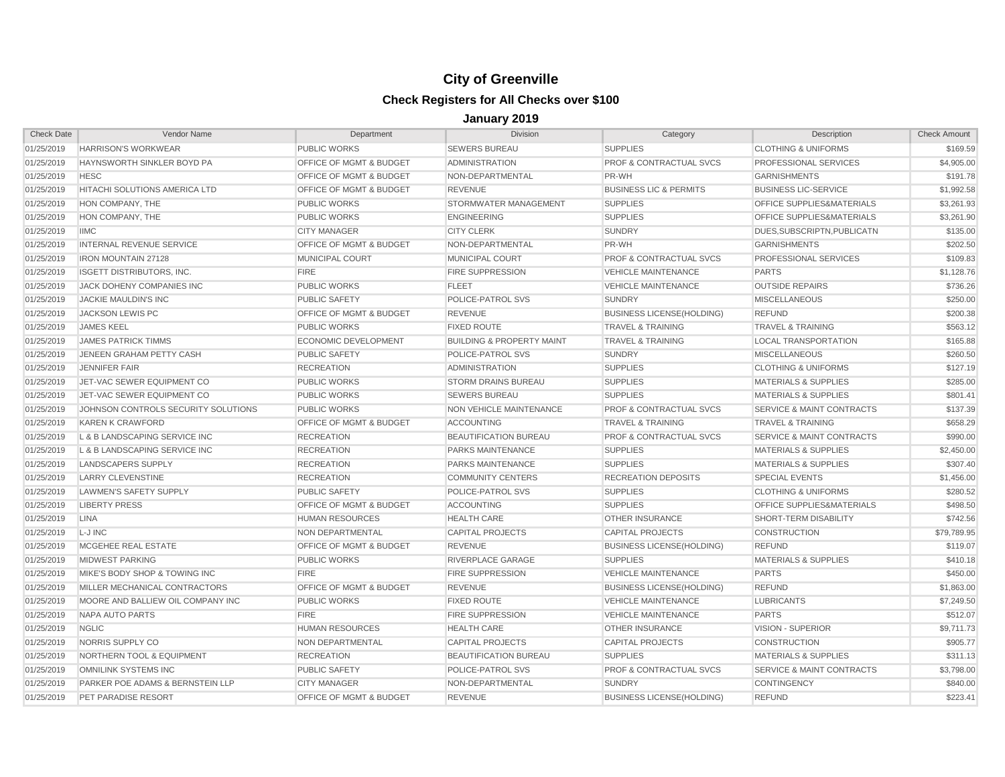| <b>Check Date</b> | Vendor Name                         | Department                         | <b>Division</b>                      | Category                           | Description                          | <b>Check Amount</b> |
|-------------------|-------------------------------------|------------------------------------|--------------------------------------|------------------------------------|--------------------------------------|---------------------|
| 01/25/2019        | <b>HARRISON'S WORKWEAR</b>          | PUBLIC WORKS                       | <b>SEWERS BUREAU</b>                 | <b>SUPPLIES</b>                    | <b>CLOTHING &amp; UNIFORMS</b>       | \$169.59            |
| 01/25/2019        | HAYNSWORTH SINKLER BOYD PA          | <b>OFFICE OF MGMT &amp; BUDGET</b> | <b>ADMINISTRATION</b>                | <b>PROF &amp; CONTRACTUAL SVCS</b> | PROFESSIONAL SERVICES                | \$4,905.00          |
| 01/25/2019        | <b>HESC</b>                         | <b>OFFICE OF MGMT &amp; BUDGET</b> | NON-DEPARTMENTAL                     | PR-WH                              | <b>GARNISHMENTS</b>                  | \$191.78            |
| 01/25/2019        | HITACHI SOLUTIONS AMERICA LTD       | <b>OFFICE OF MGMT &amp; BUDGET</b> | <b>REVENUE</b>                       | <b>BUSINESS LIC &amp; PERMITS</b>  | <b>BUSINESS LIC-SERVICE</b>          | \$1,992.58          |
| 01/25/2019        | HON COMPANY, THE                    | <b>PUBLIC WORKS</b>                | STORMWATER MANAGEMENT                | <b>SUPPLIES</b>                    | OFFICE SUPPLIES&MATERIALS            | \$3,261.93          |
| 01/25/2019        | HON COMPANY, THE                    | <b>PUBLIC WORKS</b>                | <b>ENGINEERING</b>                   | <b>SUPPLIES</b>                    | OFFICE SUPPLIES&MATERIALS            | \$3,261.90          |
| 01/25/2019        | <b>IIMC</b>                         | <b>CITY MANAGER</b>                | <b>CITY CLERK</b>                    | <b>SUNDRY</b>                      | DUES.SUBSCRIPTN.PUBLICATN            | \$135.00            |
| 01/25/2019        | INTERNAL REVENUE SERVICE            | OFFICE OF MGMT & BUDGET            | NON-DEPARTMENTAL                     | PR-WH                              | <b>GARNISHMENTS</b>                  | \$202.50            |
| 01/25/2019        | <b>IRON MOUNTAIN 27128</b>          | <b>MUNICIPAL COURT</b>             | MUNICIPAL COURT                      | <b>PROF &amp; CONTRACTUAL SVCS</b> | PROFESSIONAL SERVICES                | \$109.83            |
| 01/25/2019        | <b>ISGETT DISTRIBUTORS, INC.</b>    | <b>FIRE</b>                        | <b>FIRE SUPPRESSION</b>              | <b>VEHICLE MAINTENANCE</b>         | <b>PARTS</b>                         | \$1,128.76          |
| 01/25/2019        | JACK DOHENY COMPANIES INC           | <b>PUBLIC WORKS</b>                | <b>FLEET</b>                         | <b>VEHICLE MAINTENANCE</b>         | <b>OUTSIDE REPAIRS</b>               | \$736.26            |
| 01/25/2019        | JACKIE MAULDIN'S INC                | PUBLIC SAFETY                      | POLICE-PATROL SVS                    | <b>SUNDRY</b>                      | <b>MISCELLANEOUS</b>                 | \$250.00            |
| 01/25/2019        | <b>JACKSON LEWIS PC</b>             | <b>OFFICE OF MGMT &amp; BUDGET</b> | <b>REVENUE</b>                       | <b>BUSINESS LICENSE(HOLDING)</b>   | <b>REFUND</b>                        | \$200.38            |
| 01/25/2019        | <b>JAMES KEEL</b>                   | <b>PUBLIC WORKS</b>                | <b>FIXED ROUTE</b>                   | <b>TRAVEL &amp; TRAINING</b>       | <b>TRAVEL &amp; TRAINING</b>         | \$563.12            |
| 01/25/2019        | <b>JAMES PATRICK TIMMS</b>          | <b>ECONOMIC DEVELOPMENT</b>        | <b>BUILDING &amp; PROPERTY MAINT</b> | <b>TRAVEL &amp; TRAINING</b>       | <b>LOCAL TRANSPORTATION</b>          | \$165.88            |
| 01/25/2019        | JENEEN GRAHAM PETTY CASH            | <b>PUBLIC SAFETY</b>               | POLICE-PATROL SVS                    | <b>SUNDRY</b>                      | <b>MISCELLANEOUS</b>                 | \$260.50            |
| 01/25/2019        | <b>JENNIFER FAIR</b>                | <b>RECREATION</b>                  | ADMINISTRATION                       | <b>SUPPLIES</b>                    | <b>CLOTHING &amp; UNIFORMS</b>       | \$127.19            |
| 01/25/2019        | JET-VAC SEWER EQUIPMENT CO          | PUBLIC WORKS                       | <b>STORM DRAINS BUREAU</b>           | <b>SUPPLIES</b>                    | <b>MATERIALS &amp; SUPPLIES</b>      | \$285.00            |
| 01/25/2019        | JET-VAC SEWER EQUIPMENT CO          | <b>PUBLIC WORKS</b>                | <b>SEWERS BUREAU</b>                 | <b>SUPPLIES</b>                    | <b>MATERIALS &amp; SUPPLIES</b>      | \$801.41            |
| 01/25/2019        | JOHNSON CONTROLS SECURITY SOLUTIONS | <b>PUBLIC WORKS</b>                | NON VEHICLE MAINTENANCE              | <b>PROF &amp; CONTRACTUAL SVCS</b> | <b>SERVICE &amp; MAINT CONTRACTS</b> | \$137.39            |
| 01/25/2019        | <b>KAREN K CRAWFORD</b>             | OFFICE OF MGMT & BUDGET            | <b>ACCOUNTING</b>                    | <b>TRAVEL &amp; TRAINING</b>       | <b>TRAVEL &amp; TRAINING</b>         | \$658.29            |
| 01/25/2019        | L & B LANDSCAPING SERVICE INC       | <b>RECREATION</b>                  | <b>BEAUTIFICATION BUREAU</b>         | <b>PROF &amp; CONTRACTUAL SVCS</b> | SERVICE & MAINT CONTRACTS            | \$990.00            |
| 01/25/2019        | L & B LANDSCAPING SERVICE INC       | <b>RECREATION</b>                  | PARKS MAINTENANCE                    | <b>SUPPLIES</b>                    | <b>MATERIALS &amp; SUPPLIES</b>      | \$2,450.00          |
| 01/25/2019        | <b>LANDSCAPERS SUPPLY</b>           | <b>RECREATION</b>                  | <b>PARKS MAINTENANCE</b>             | <b>SUPPLIES</b>                    | <b>MATERIALS &amp; SUPPLIES</b>      | \$307.40            |
| 01/25/2019        | <b>LARRY CLEVENSTINE</b>            | <b>RECREATION</b>                  | <b>COMMUNITY CENTERS</b>             | <b>RECREATION DEPOSITS</b>         | <b>SPECIAL EVENTS</b>                | \$1,456.00          |
| 01/25/2019        | <b>LAWMEN'S SAFETY SUPPLY</b>       | PUBLIC SAFETY                      | POLICE-PATROL SVS                    | <b>SUPPLIES</b>                    | <b>CLOTHING &amp; UNIFORMS</b>       | \$280.52            |
| 01/25/2019        | <b>LIBERTY PRESS</b>                | <b>OFFICE OF MGMT &amp; BUDGET</b> | <b>ACCOUNTING</b>                    | <b>SUPPLIES</b>                    | OFFICE SUPPLIES&MATERIALS            | \$498.50            |
| 01/25/2019        | <b>LINA</b>                         | <b>HUMAN RESOURCES</b>             | <b>HEALTH CARE</b>                   | <b>OTHER INSURANCE</b>             | SHORT-TERM DISABILITY                | \$742.56            |
| 01/25/2019        | L-J INC                             | NON DEPARTMENTAL                   | <b>CAPITAL PROJECTS</b>              | CAPITAL PROJECTS                   | <b>CONSTRUCTION</b>                  | \$79,789.95         |
| 01/25/2019        | MCGEHEE REAL ESTATE                 | <b>OFFICE OF MGMT &amp; BUDGET</b> | <b>REVENUE</b>                       | <b>BUSINESS LICENSE (HOLDING)</b>  | <b>REFUND</b>                        | \$119.07            |
| 01/25/2019        | <b>MIDWEST PARKING</b>              | <b>PUBLIC WORKS</b>                | <b>RIVERPLACE GARAGE</b>             | <b>SUPPLIES</b>                    | <b>MATERIALS &amp; SUPPLIES</b>      | \$410.18            |
| 01/25/2019        | MIKE'S BODY SHOP & TOWING INC       | <b>FIRE</b>                        | <b>FIRE SUPPRESSION</b>              | <b>VEHICLE MAINTENANCE</b>         | <b>PARTS</b>                         | \$450.00            |
| 01/25/2019        | MILLER MECHANICAL CONTRACTORS       | OFFICE OF MGMT & BUDGET            | <b>REVENUE</b>                       | <b>BUSINESS LICENSE(HOLDING)</b>   | <b>REFUND</b>                        | \$1,863.00          |
| 01/25/2019        | MOORE AND BALLIEW OIL COMPANY INC   | PUBLIC WORKS                       | <b>FIXED ROUTE</b>                   | <b>VEHICLE MAINTENANCE</b>         | <b>LUBRICANTS</b>                    | \$7,249.50          |
| 01/25/2019        | NAPA AUTO PARTS                     | <b>FIRE</b>                        | FIRE SUPPRESSION                     | <b>VEHICLE MAINTENANCE</b>         | <b>PARTS</b>                         | \$512.07            |
| 01/25/2019        | <b>NGLIC</b>                        | <b>HUMAN RESOURCES</b>             | <b>HEALTH CARE</b>                   | <b>OTHER INSURANCE</b>             | <b>VISION - SUPERIOR</b>             | \$9,711.73          |
| 01/25/2019        | NORRIS SUPPLY CO                    | NON DEPARTMENTAL                   | <b>CAPITAL PROJECTS</b>              | <b>CAPITAL PROJECTS</b>            | <b>CONSTRUCTION</b>                  | \$905.77            |
| 01/25/2019        | NORTHERN TOOL & EQUIPMENT           | <b>RECREATION</b>                  | <b>BEAUTIFICATION BUREAU</b>         | <b>SUPPLIES</b>                    | <b>MATERIALS &amp; SUPPLIES</b>      | \$311.13            |
| 01/25/2019        | OMNILINK SYSTEMS INC                | <b>PUBLIC SAFETY</b>               | POLICE-PATROL SVS                    | <b>PROF &amp; CONTRACTUAL SVCS</b> | SERVICE & MAINT CONTRACTS            | \$3,798.00          |
| 01/25/2019        | PARKER POE ADAMS & BERNSTEIN LLP    | <b>CITY MANAGER</b>                | NON-DEPARTMENTAL                     | <b>SUNDRY</b>                      | <b>CONTINGENCY</b>                   | \$840.00            |
| 01/25/2019        | PET PARADISE RESORT                 | OFFICE OF MGMT & BUDGET            | <b>REVENUE</b>                       | <b>BUSINESS LICENSE(HOLDING)</b>   | <b>REFUND</b>                        | \$223.41            |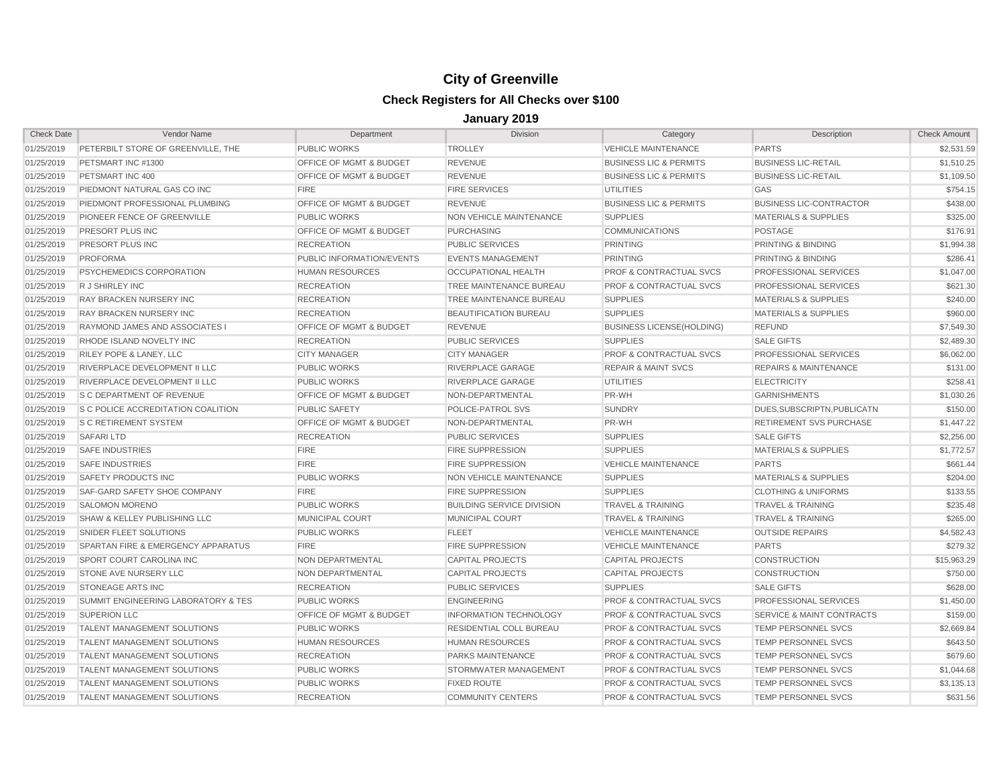| <b>Check Date</b> | Vendor Name                           | Department                         | <b>Division</b>                  | Category                           | Description                          | <b>Check Amount</b> |
|-------------------|---------------------------------------|------------------------------------|----------------------------------|------------------------------------|--------------------------------------|---------------------|
| 01/25/2019        | PETERBILT STORE OF GREENVILLE, THE    | <b>PUBLIC WORKS</b>                | <b>TROLLEY</b>                   | <b>VEHICLE MAINTENANCE</b>         | <b>PARTS</b>                         | \$2,531.59          |
| 01/25/2019        | PETSMART INC #1300                    | <b>OFFICE OF MGMT &amp; BUDGET</b> | <b>REVENUE</b>                   | <b>BUSINESS LIC &amp; PERMITS</b>  | <b>BUSINESS LIC-RETAIL</b>           | \$1.510.25          |
| 01/25/2019        | PETSMART INC 400                      | <b>OFFICE OF MGMT &amp; BUDGET</b> | <b>REVENUE</b>                   | <b>BUSINESS LIC &amp; PERMITS</b>  | <b>BUSINESS LIC-RETAIL</b>           | \$1,109.50          |
| 01/25/2019        | PIEDMONT NATURAL GAS CO INC           | <b>FIRE</b>                        | <b>FIRE SERVICES</b>             | <b>UTILITIES</b>                   | <b>GAS</b>                           | \$754.15            |
| 01/25/2019        | PIEDMONT PROFESSIONAL PLUMBING        | OFFICE OF MGMT & BUDGET            | <b>REVENUE</b>                   | <b>BUSINESS LIC &amp; PERMITS</b>  | <b>BUSINESS LIC-CONTRACTOR</b>       | \$438.00            |
| 01/25/2019        | PIONEER FENCE OF GREENVILLE           | <b>PUBLIC WORKS</b>                | NON VEHICLE MAINTENANCE          | <b>SUPPLIES</b>                    | <b>MATERIALS &amp; SUPPLIES</b>      | \$325.00            |
| 01/25/2019        | PRESORT PLUS INC                      | <b>OFFICE OF MGMT &amp; BUDGET</b> | <b>PURCHASING</b>                | <b>COMMUNICATIONS</b>              | POSTAGE                              | \$176.91            |
| 01/25/2019        | PRESORT PLUS INC                      | <b>RECREATION</b>                  | <b>PUBLIC SERVICES</b>           | <b>PRINTING</b>                    | PRINTING & BINDING                   | \$1,994.38          |
| 01/25/2019        | <b>PROFORMA</b>                       | PUBLIC INFORMATION/EVENTS          | <b>EVENTS MANAGEMENT</b>         | <b>PRINTING</b>                    | PRINTING & BINDING                   | \$286.41            |
| 01/25/2019        | PSYCHEMEDICS CORPORATION              | <b>HUMAN RESOURCES</b>             | <b>OCCUPATIONAL HEALTH</b>       | <b>PROF &amp; CONTRACTUAL SVCS</b> | PROFESSIONAL SERVICES                | \$1,047.00          |
| 01/25/2019        | R J SHIRLEY INC                       | <b>RECREATION</b>                  | TREE MAINTENANCE BUREAU          | <b>PROF &amp; CONTRACTUAL SVCS</b> | PROFESSIONAL SERVICES                | \$621.30            |
| 01/25/2019        | RAY BRACKEN NURSERY INC               | <b>RECREATION</b>                  | TREE MAINTENANCE BUREAU          | <b>SUPPLIES</b>                    | <b>MATERIALS &amp; SUPPLIES</b>      | \$240.00            |
| 01/25/2019        | RAY BRACKEN NURSERY INC               | <b>RECREATION</b>                  | <b>BEAUTIFICATION BUREAU</b>     | <b>SUPPLIES</b>                    | <b>MATERIALS &amp; SUPPLIES</b>      | \$960.00            |
| 01/25/2019        | <b>RAYMOND JAMES AND ASSOCIATES I</b> | <b>OFFICE OF MGMT &amp; BUDGET</b> | <b>REVENUE</b>                   | <b>BUSINESS LICENSE(HOLDING)</b>   | <b>REFUND</b>                        | \$7,549.30          |
| 01/25/2019        | RHODE ISLAND NOVELTY INC              | <b>RECREATION</b>                  | <b>PUBLIC SERVICES</b>           | <b>SUPPLIES</b>                    | <b>SALE GIFTS</b>                    | \$2,489.30          |
| 01/25/2019        | RILEY POPE & LANEY, LLC               | <b>CITY MANAGER</b>                | <b>CITY MANAGER</b>              | <b>PROF &amp; CONTRACTUAL SVCS</b> | PROFESSIONAL SERVICES                | \$6,062.00          |
| 01/25/2019        | RIVERPLACE DEVELOPMENT II LLC         | <b>PUBLIC WORKS</b>                | RIVERPLACE GARAGE                | <b>REPAIR &amp; MAINT SVCS</b>     | <b>REPAIRS &amp; MAINTENANCE</b>     | \$131.00            |
| 01/25/2019        | RIVERPLACE DEVELOPMENT II LLC         | <b>PUBLIC WORKS</b>                | <b>RIVERPLACE GARAGE</b>         | <b>UTILITIES</b>                   | <b>ELECTRICITY</b>                   | \$258.41            |
| 01/25/2019        | S C DEPARTMENT OF REVENUE             | OFFICE OF MGMT & BUDGET            | NON-DEPARTMENTAL                 | PR-WH                              | <b>GARNISHMENTS</b>                  | \$1,030.26          |
| 01/25/2019        | S C POLICE ACCREDITATION COALITION    | <b>PUBLIC SAFETY</b>               | POLICE-PATROL SVS                | <b>SUNDRY</b>                      | DUES.SUBSCRIPTN.PUBLICATN            | \$150.00            |
| 01/25/2019        | <b>S C RETIREMENT SYSTEM</b>          | OFFICE OF MGMT & BUDGET            | NON-DEPARTMENTAL                 | PR-WH                              | <b>RETIREMENT SVS PURCHASE</b>       | \$1,447.22          |
| 01/25/2019        | <b>SAFARILTD</b>                      | <b>RECREATION</b>                  | <b>PUBLIC SERVICES</b>           | <b>SUPPLIES</b>                    | <b>SALE GIFTS</b>                    | \$2,256.00          |
| 01/25/2019        | <b>SAFE INDUSTRIES</b>                | <b>FIRE</b>                        | <b>FIRE SUPPRESSION</b>          | <b>SUPPLIES</b>                    | <b>MATERIALS &amp; SUPPLIES</b>      | \$1,772.57          |
| 01/25/2019        | <b>SAFE INDUSTRIES</b>                | <b>FIRE</b>                        | <b>FIRE SUPPRESSION</b>          | <b>VEHICLE MAINTENANCE</b>         | <b>PARTS</b>                         | \$661.44            |
| 01/25/2019        | <b>SAFETY PRODUCTS INC</b>            | <b>PUBLIC WORKS</b>                | NON VEHICLE MAINTENANCE          | <b>SUPPLIES</b>                    | <b>MATERIALS &amp; SUPPLIES</b>      | \$204.00            |
| 01/25/2019        | SAF-GARD SAFETY SHOE COMPANY          | <b>FIRE</b>                        | <b>FIRE SUPPRESSION</b>          | <b>SUPPLIES</b>                    | <b>CLOTHING &amp; UNIFORMS</b>       | \$133.55            |
| 01/25/2019        | <b>SALOMON MORENO</b>                 | <b>PUBLIC WORKS</b>                | <b>BUILDING SERVICE DIVISION</b> | <b>TRAVEL &amp; TRAINING</b>       | <b>TRAVEL &amp; TRAINING</b>         | \$235.48            |
| 01/25/2019        | SHAW & KELLEY PUBLISHING LLC          | <b>MUNICIPAL COURT</b>             | <b>MUNICIPAL COURT</b>           | <b>TRAVEL &amp; TRAINING</b>       | <b>TRAVEL &amp; TRAINING</b>         | \$265.00            |
| 01/25/2019        | SNIDER FLEET SOLUTIONS                | <b>PUBLIC WORKS</b>                | <b>FLEET</b>                     | <b>VEHICLE MAINTENANCE</b>         | <b>OUTSIDE REPAIRS</b>               | \$4,582.43          |
| 01/25/2019        | SPARTAN FIRE & EMERGENCY APPARATUS    | <b>FIRE</b>                        | <b>FIRE SUPPRESSION</b>          | <b>VEHICLE MAINTENANCE</b>         | <b>PARTS</b>                         | \$279.32            |
| 01/25/2019        | <b>SPORT COURT CAROLINA INC</b>       | NON DEPARTMENTAL                   | <b>CAPITAL PROJECTS</b>          | <b>CAPITAL PROJECTS</b>            | <b>CONSTRUCTION</b>                  | \$15,963.29         |
| 01/25/2019        | <b>STONE AVE NURSERY LLC</b>          | NON DEPARTMENTAL                   | CAPITAL PROJECTS                 | <b>CAPITAL PROJECTS</b>            | <b>CONSTRUCTION</b>                  | \$750.00            |
| 01/25/2019        | <b>STONEAGE ARTS INC</b>              | <b>RECREATION</b>                  | <b>PUBLIC SERVICES</b>           | <b>SUPPLIES</b>                    | <b>SALE GIFTS</b>                    | \$628.00            |
| 01/25/2019        | SUMMIT ENGINEERING LABORATORY & TES   | <b>PUBLIC WORKS</b>                | <b>ENGINEERING</b>               | <b>PROF &amp; CONTRACTUAL SVCS</b> | PROFESSIONAL SERVICES                | \$1,450.00          |
| 01/25/2019        | <b>SUPERION LLC</b>                   | <b>OFFICE OF MGMT &amp; BUDGET</b> | <b>INFORMATION TECHNOLOGY</b>    | <b>PROF &amp; CONTRACTUAL SVCS</b> | <b>SERVICE &amp; MAINT CONTRACTS</b> | \$159.00            |
| 01/25/2019        | <b>TALENT MANAGEMENT SOLUTIONS</b>    | <b>PUBLIC WORKS</b>                | RESIDENTIAL COLL BUREAU          | PROF & CONTRACTUAL SVCS            | <b>TEMP PERSONNEL SVCS</b>           | \$2,669.84          |
| 01/25/2019        | TALENT MANAGEMENT SOLUTIONS           | <b>HUMAN RESOURCES</b>             | <b>HUMAN RESOURCES</b>           | <b>PROF &amp; CONTRACTUAL SVCS</b> | <b>TEMP PERSONNEL SVCS</b>           | \$643.50            |
| 01/25/2019        | <b>TALENT MANAGEMENT SOLUTIONS</b>    | <b>RECREATION</b>                  | <b>PARKS MAINTENANCE</b>         | <b>PROF &amp; CONTRACTUAL SVCS</b> | <b>TEMP PERSONNEL SVCS</b>           | \$679.60            |
| 01/25/2019        | <b>TALENT MANAGEMENT SOLUTIONS</b>    | <b>PUBLIC WORKS</b>                | STORMWATER MANAGEMENT            | <b>PROF &amp; CONTRACTUAL SVCS</b> | <b>TEMP PERSONNEL SVCS</b>           | \$1,044.68          |
| 01/25/2019        | <b>TALENT MANAGEMENT SOLUTIONS</b>    | <b>PUBLIC WORKS</b>                | <b>FIXED ROUTE</b>               | <b>PROF &amp; CONTRACTUAL SVCS</b> | <b>TEMP PERSONNEL SVCS</b>           | \$3,135.13          |
| 01/25/2019        | <b>TALENT MANAGEMENT SOLUTIONS</b>    | <b>RECREATION</b>                  | <b>COMMUNITY CENTERS</b>         | <b>PROF &amp; CONTRACTUAL SVCS</b> | <b>TEMP PERSONNEL SVCS</b>           | \$631.56            |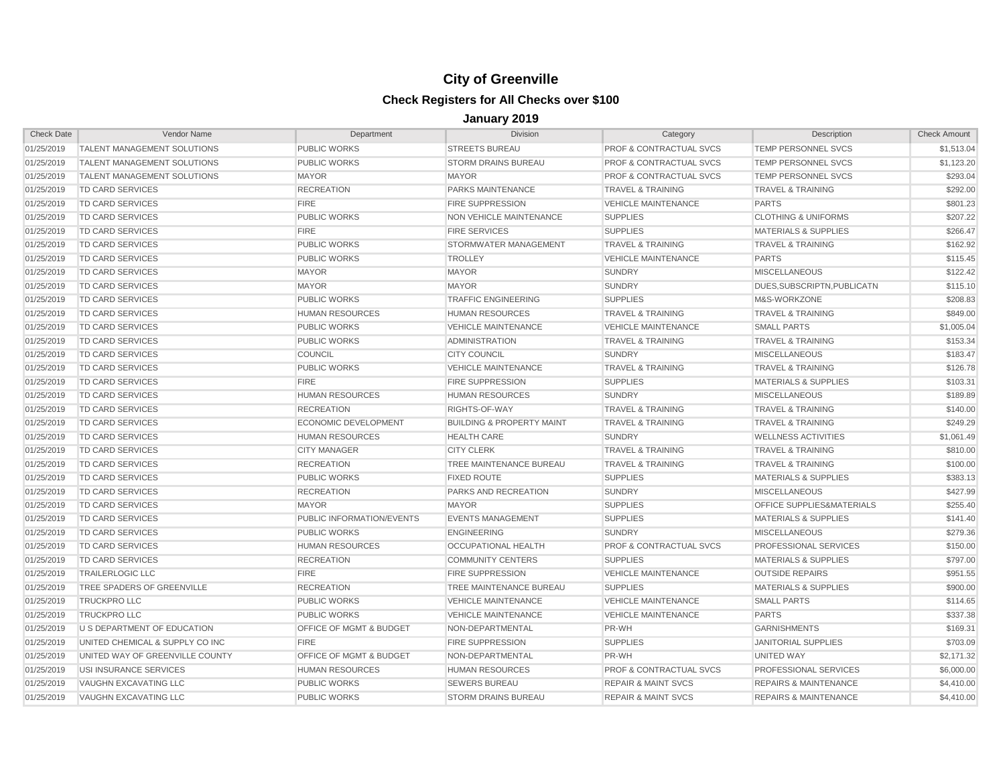| <b>Check Date</b> | Vendor Name                        | Department                         | <b>Division</b>                      | Category                           | Description                      | <b>Check Amount</b> |
|-------------------|------------------------------------|------------------------------------|--------------------------------------|------------------------------------|----------------------------------|---------------------|
| 01/25/2019        | TALENT MANAGEMENT SOLUTIONS        | PUBLIC WORKS                       | <b>STREETS BUREAU</b>                | <b>PROF &amp; CONTRACTUAL SVCS</b> | <b>TEMP PERSONNEL SVCS</b>       | \$1,513.04          |
| 01/25/2019        | TALENT MANAGEMENT SOLUTIONS        | <b>PUBLIC WORKS</b>                | <b>STORM DRAINS BUREAU</b>           | <b>PROF &amp; CONTRACTUAL SVCS</b> | <b>TEMP PERSONNEL SVCS</b>       | \$1,123.20          |
| 01/25/2019        | <b>TALENT MANAGEMENT SOLUTIONS</b> | <b>MAYOR</b>                       | <b>MAYOR</b>                         | <b>PROF &amp; CONTRACTUAL SVCS</b> | <b>TEMP PERSONNEL SVCS</b>       | \$293.04            |
| 01/25/2019        | TD CARD SERVICES                   | <b>RECREATION</b>                  | PARKS MAINTENANCE                    | <b>TRAVEL &amp; TRAINING</b>       | <b>TRAVEL &amp; TRAINING</b>     | \$292.00            |
| 01/25/2019        | <b>TD CARD SERVICES</b>            | <b>FIRE</b>                        | <b>FIRE SUPPRESSION</b>              | <b>VEHICLE MAINTENANCE</b>         | <b>PARTS</b>                     | \$801.23            |
| 01/25/2019        | TD CARD SERVICES                   | PUBLIC WORKS                       | NON VEHICLE MAINTENANCE              | <b>SUPPLIES</b>                    | <b>CLOTHING &amp; UNIFORMS</b>   | \$207.22            |
| 01/25/2019        | <b>TD CARD SERVICES</b>            | <b>FIRE</b>                        | <b>FIRE SERVICES</b>                 | <b>SUPPLIES</b>                    | <b>MATERIALS &amp; SUPPLIES</b>  | \$266.47            |
| 01/25/2019        | <b>TD CARD SERVICES</b>            | <b>PUBLIC WORKS</b>                | STORMWATER MANAGEMENT                | <b>TRAVEL &amp; TRAINING</b>       | <b>TRAVEL &amp; TRAINING</b>     | \$162.92            |
| 01/25/2019        | TD CARD SERVICES                   | <b>PUBLIC WORKS</b>                | <b>TROLLEY</b>                       | <b>VEHICLE MAINTENANCE</b>         | <b>PARTS</b>                     | \$115.45            |
| 01/25/2019        | TD CARD SERVICES                   | <b>MAYOR</b>                       | <b>MAYOR</b>                         | <b>SUNDRY</b>                      | <b>MISCELLANEOUS</b>             | \$122.42            |
| 01/25/2019        | TD CARD SERVICES                   | <b>MAYOR</b>                       | <b>MAYOR</b>                         | <b>SUNDRY</b>                      | DUES.SUBSCRIPTN.PUBLICATN        | \$115.10            |
| 01/25/2019        | TD CARD SERVICES                   | <b>PUBLIC WORKS</b>                | <b>TRAFFIC ENGINEERING</b>           | <b>SUPPLIES</b>                    | M&S-WORKZONE                     | \$208.83            |
| 01/25/2019        | TD CARD SERVICES                   | <b>HUMAN RESOURCES</b>             | <b>HUMAN RESOURCES</b>               | <b>TRAVEL &amp; TRAINING</b>       | <b>TRAVEL &amp; TRAINING</b>     | \$849.00            |
| 01/25/2019        | <b>TD CARD SERVICES</b>            | <b>PUBLIC WORKS</b>                | <b>VEHICLE MAINTENANCE</b>           | <b>VEHICLE MAINTENANCE</b>         | <b>SMALL PARTS</b>               | \$1,005.04          |
| 01/25/2019        | TD CARD SERVICES                   | <b>PUBLIC WORKS</b>                | ADMINISTRATION                       | <b>TRAVEL &amp; TRAINING</b>       | <b>TRAVEL &amp; TRAINING</b>     | \$153.34            |
| 01/25/2019        | <b>TD CARD SERVICES</b>            | <b>COUNCIL</b>                     | <b>CITY COUNCIL</b>                  | <b>SUNDRY</b>                      | <b>MISCELLANEOUS</b>             | \$183.47            |
| 01/25/2019        | <b>TD CARD SERVICES</b>            | <b>PUBLIC WORKS</b>                | <b>VEHICLE MAINTENANCE</b>           | <b>TRAVEL &amp; TRAINING</b>       | <b>TRAVEL &amp; TRAINING</b>     | \$126.78            |
| 01/25/2019        | TD CARD SERVICES                   | <b>FIRE</b>                        | <b>FIRE SUPPRESSION</b>              | <b>SUPPLIES</b>                    | <b>MATERIALS &amp; SUPPLIES</b>  | \$103.31            |
| 01/25/2019        | TD CARD SERVICES                   | <b>HUMAN RESOURCES</b>             | <b>HUMAN RESOURCES</b>               | <b>SUNDRY</b>                      | <b>MISCELLANEOUS</b>             | \$189.89            |
| 01/25/2019        | TD CARD SERVICES                   | <b>RECREATION</b>                  | RIGHTS-OF-WAY                        | <b>TRAVEL &amp; TRAINING</b>       | <b>TRAVEL &amp; TRAINING</b>     | \$140.00            |
| 01/25/2019        | TD CARD SERVICES                   | ECONOMIC DEVELOPMENT               | <b>BUILDING &amp; PROPERTY MAINT</b> | <b>TRAVEL &amp; TRAINING</b>       | <b>TRAVEL &amp; TRAINING</b>     | \$249.29            |
| 01/25/2019        | TD CARD SERVICES                   | <b>HUMAN RESOURCES</b>             | <b>HEALTH CARE</b>                   | <b>SUNDRY</b>                      | <b>WELLNESS ACTIVITIES</b>       | \$1,061.49          |
| 01/25/2019        | <b>TD CARD SERVICES</b>            | <b>CITY MANAGER</b>                | <b>CITY CLERK</b>                    | <b>TRAVEL &amp; TRAINING</b>       | <b>TRAVEL &amp; TRAINING</b>     | \$810.00            |
| 01/25/2019        | TD CARD SERVICES                   | <b>RECREATION</b>                  | TREE MAINTENANCE BUREAU              | <b>TRAVEL &amp; TRAINING</b>       | <b>TRAVEL &amp; TRAINING</b>     | \$100.00            |
| 01/25/2019        | <b>TD CARD SERVICES</b>            | <b>PUBLIC WORKS</b>                | <b>FIXED ROUTE</b>                   | <b>SUPPLIES</b>                    | <b>MATERIALS &amp; SUPPLIES</b>  | \$383.13            |
| 01/25/2019        | <b>TD CARD SERVICES</b>            | <b>RECREATION</b>                  | PARKS AND RECREATION                 | <b>SUNDRY</b>                      | <b>MISCELLANEOUS</b>             | \$427.99            |
| 01/25/2019        | TD CARD SERVICES                   | <b>MAYOR</b>                       | <b>MAYOR</b>                         | <b>SUPPLIES</b>                    | OFFICE SUPPLIES&MATERIALS        | \$255.40            |
| 01/25/2019        | TD CARD SERVICES                   | PUBLIC INFORMATION/EVENTS          | <b>EVENTS MANAGEMENT</b>             | <b>SUPPLIES</b>                    | <b>MATERIALS &amp; SUPPLIES</b>  | \$141.40            |
| 01/25/2019        | TD CARD SERVICES                   | <b>PUBLIC WORKS</b>                | <b>ENGINEERING</b>                   | <b>SUNDRY</b>                      | <b>MISCELLANEOUS</b>             | \$279.36            |
| 01/25/2019        | TD CARD SERVICES                   | <b>HUMAN RESOURCES</b>             | <b>OCCUPATIONAL HEALTH</b>           | PROF & CONTRACTUAL SVCS            | PROFESSIONAL SERVICES            | \$150.00            |
| 01/25/2019        | <b>TD CARD SERVICES</b>            | <b>RECREATION</b>                  | <b>COMMUNITY CENTERS</b>             | <b>SUPPLIES</b>                    | <b>MATERIALS &amp; SUPPLIES</b>  | \$797.00            |
| 01/25/2019        | <b>TRAILERLOGIC LLC</b>            | <b>FIRE</b>                        | <b>FIRE SUPPRESSION</b>              | <b>VEHICLE MAINTENANCE</b>         | <b>OUTSIDE REPAIRS</b>           | \$951.55            |
| 01/25/2019        | TREE SPADERS OF GREENVILLE         | <b>RECREATION</b>                  | TREE MAINTENANCE BUREAU              | <b>SUPPLIES</b>                    | <b>MATERIALS &amp; SUPPLIES</b>  | \$900.00            |
| 01/25/2019        | <b>TRUCKPRO LLC</b>                | PUBLIC WORKS                       | <b>VEHICLE MAINTENANCE</b>           | <b>VEHICLE MAINTENANCE</b>         | <b>SMALL PARTS</b>               | \$114.65            |
| 01/25/2019        | <b>TRUCKPRO LLC</b>                | <b>PUBLIC WORKS</b>                | <b>VEHICLE MAINTENANCE</b>           | <b>VEHICLE MAINTENANCE</b>         | <b>PARTS</b>                     | \$337.38            |
| 01/25/2019        | U S DEPARTMENT OF EDUCATION        | OFFICE OF MGMT & BUDGET            | NON-DEPARTMENTAL                     | PR-WH                              | <b>GARNISHMENTS</b>              | \$169.31            |
| 01/25/2019        | UNITED CHEMICAL & SUPPLY CO INC    | <b>FIRE</b>                        | <b>FIRE SUPPRESSION</b>              | <b>SUPPLIES</b>                    | <b>JANITORIAL SUPPLIES</b>       | \$703.09            |
| 01/25/2019        | UNITED WAY OF GREENVILLE COUNTY    | <b>OFFICE OF MGMT &amp; BUDGET</b> | NON-DEPARTMENTAL                     | PR-WH                              | UNITED WAY                       | \$2,171.32          |
| 01/25/2019        | USI INSURANCE SERVICES             | <b>HUMAN RESOURCES</b>             | <b>HUMAN RESOURCES</b>               | <b>PROF &amp; CONTRACTUAL SVCS</b> | PROFESSIONAL SERVICES            | \$6,000.00          |
| 01/25/2019        | VAUGHN EXCAVATING LLC              | <b>PUBLIC WORKS</b>                | <b>SEWERS BUREAU</b>                 | <b>REPAIR &amp; MAINT SVCS</b>     | <b>REPAIRS &amp; MAINTENANCE</b> | \$4,410.00          |
| 01/25/2019        | VAUGHN EXCAVATING LLC              | PUBLIC WORKS                       | <b>STORM DRAINS BUREAU</b>           | <b>REPAIR &amp; MAINT SVCS</b>     | <b>REPAIRS &amp; MAINTENANCE</b> | \$4,410.00          |